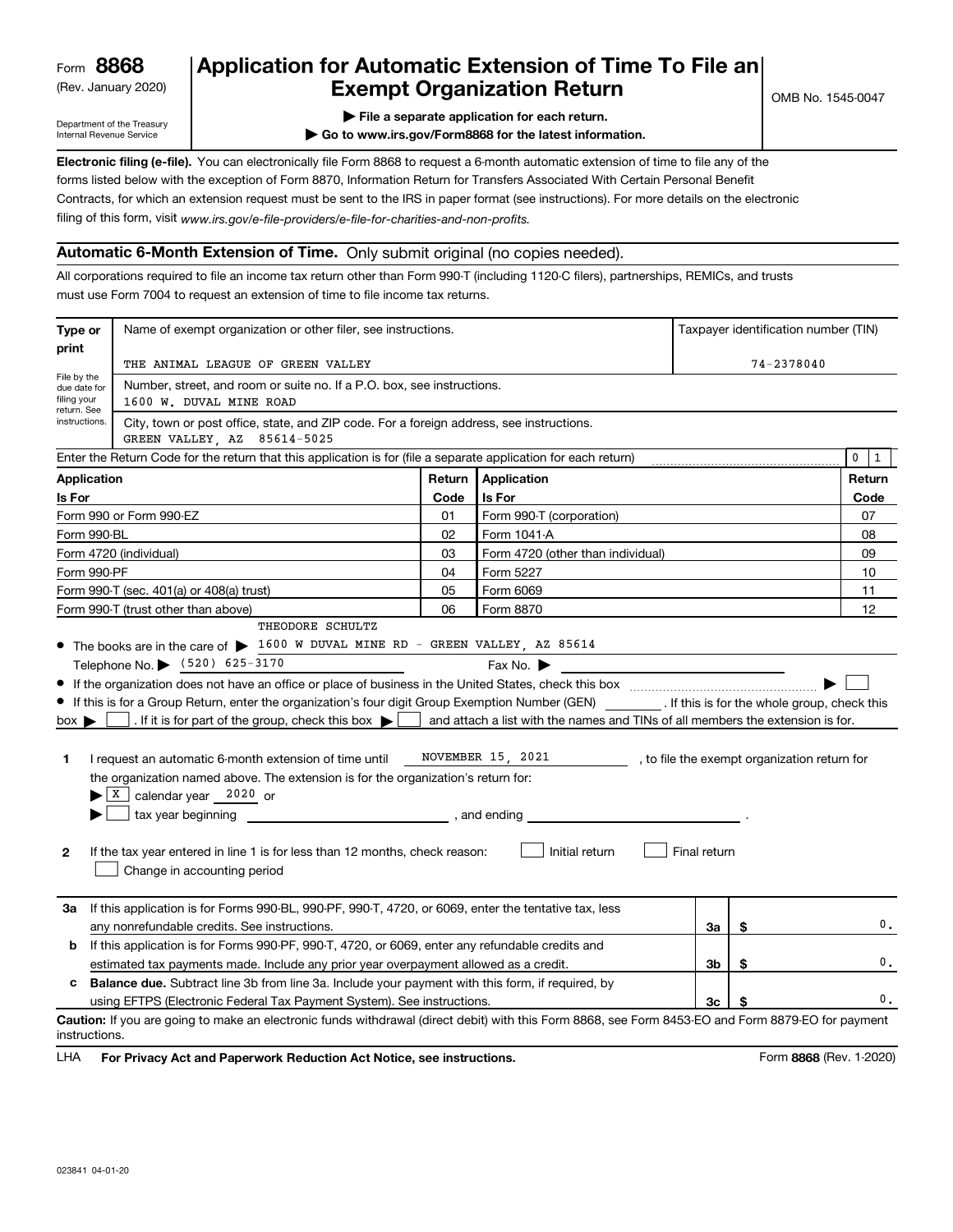(Rev. January 2020)

# **Application for Automatic Extension of Time To File an Exempt Organization Return**

Department of the Treasury Internal Revenue Service

**| File a separate application for each return.**

**| Go to www.irs.gov/Form8868 for the latest information.**

**Electronic filing (e-file).**  You can electronically file Form 8868 to request a 6-month automatic extension of time to file any of the filing of this form, visit www.irs.gov/e-file-providers/e-file-for-charities-and-non-profits. forms listed below with the exception of Form 8870, Information Return for Transfers Associated With Certain Personal Benefit Contracts, for which an extension request must be sent to the IRS in paper format (see instructions). For more details on the electronic

## **Automatic 6-Month Extension of Time.** Only submit original (no copies needed).

All corporations required to file an income tax return other than Form 990-T (including 1120-C filers), partnerships, REMICs, and trusts must use Form 7004 to request an extension of time to file income tax returns.

| Type or                                        | Name of exempt organization or other filer, see instructions.                                                                                                                                                                                                                                                                                                                                                                                                                                                                                                                                                                                                                                                            | Taxpayer identification number (TIN) |                                                                                                                                                                                                                                                         |              |    |        |  |  |
|------------------------------------------------|--------------------------------------------------------------------------------------------------------------------------------------------------------------------------------------------------------------------------------------------------------------------------------------------------------------------------------------------------------------------------------------------------------------------------------------------------------------------------------------------------------------------------------------------------------------------------------------------------------------------------------------------------------------------------------------------------------------------------|--------------------------------------|---------------------------------------------------------------------------------------------------------------------------------------------------------------------------------------------------------------------------------------------------------|--------------|----|--------|--|--|
| print                                          | THE ANIMAL LEAGUE OF GREEN VALLEY                                                                                                                                                                                                                                                                                                                                                                                                                                                                                                                                                                                                                                                                                        |                                      |                                                                                                                                                                                                                                                         | 74-2378040   |    |        |  |  |
| File by the<br>due date for<br>filing your     | Number, street, and room or suite no. If a P.O. box, see instructions.<br>1600 W. DUVAL MINE ROAD                                                                                                                                                                                                                                                                                                                                                                                                                                                                                                                                                                                                                        |                                      |                                                                                                                                                                                                                                                         |              |    |        |  |  |
| return. See<br>instructions.                   | City, town or post office, state, and ZIP code. For a foreign address, see instructions.<br>GREEN VALLEY AZ 85614-5025                                                                                                                                                                                                                                                                                                                                                                                                                                                                                                                                                                                                   |                                      |                                                                                                                                                                                                                                                         |              |    |        |  |  |
|                                                | Enter the Return Code for the return that this application is for (file a separate application for each return)                                                                                                                                                                                                                                                                                                                                                                                                                                                                                                                                                                                                          |                                      |                                                                                                                                                                                                                                                         |              |    | 0<br>1 |  |  |
| <b>Application</b>                             |                                                                                                                                                                                                                                                                                                                                                                                                                                                                                                                                                                                                                                                                                                                          | Return                               | Application                                                                                                                                                                                                                                             |              |    | Return |  |  |
| Is For                                         |                                                                                                                                                                                                                                                                                                                                                                                                                                                                                                                                                                                                                                                                                                                          | Code                                 | Is For                                                                                                                                                                                                                                                  |              |    | Code   |  |  |
|                                                | Form 990 or Form 990-EZ                                                                                                                                                                                                                                                                                                                                                                                                                                                                                                                                                                                                                                                                                                  | 01                                   | Form 990-T (corporation)                                                                                                                                                                                                                                |              |    | 07     |  |  |
| Form 990-BL                                    |                                                                                                                                                                                                                                                                                                                                                                                                                                                                                                                                                                                                                                                                                                                          | 02                                   | Form 1041-A                                                                                                                                                                                                                                             |              |    | 08     |  |  |
|                                                | Form 4720 (individual)                                                                                                                                                                                                                                                                                                                                                                                                                                                                                                                                                                                                                                                                                                   | 03                                   | Form 4720 (other than individual)                                                                                                                                                                                                                       |              |    | 09     |  |  |
| Form 990-PF                                    |                                                                                                                                                                                                                                                                                                                                                                                                                                                                                                                                                                                                                                                                                                                          | 04                                   | Form 5227                                                                                                                                                                                                                                               |              |    | 10     |  |  |
|                                                | Form 990-T (sec. 401(a) or 408(a) trust)                                                                                                                                                                                                                                                                                                                                                                                                                                                                                                                                                                                                                                                                                 | 05                                   | Form 6069                                                                                                                                                                                                                                               | 11           |    |        |  |  |
|                                                | Form 990-T (trust other than above)                                                                                                                                                                                                                                                                                                                                                                                                                                                                                                                                                                                                                                                                                      | 06                                   | Form 8870<br>12                                                                                                                                                                                                                                         |              |    |        |  |  |
| $box \blacktriangleright$<br>1<br>$\mathbf{2}$ | • The books are in the care of > 1600 W DUVAL MINE RD - GREEN VALLEY, AZ 85614<br>Telephone No. (520) 625-3170<br>If this is for a Group Return, enter the organization's four digit Group Exemption Number (GEN) [15] If this is for the whole group, check this<br>. If it is for part of the group, check this box $\blacktriangleright$  <br>I request an automatic 6-month extension of time until<br>the organization named above. The extension is for the organization's return for:<br>$\blacktriangleright$ $\lfloor$ X $\rfloor$ calendar year 2020 or<br>tax year beginning tax year beginning<br>If the tax year entered in line 1 is for less than 12 months, check reason:<br>Change in accounting period |                                      | Fax No. $\blacktriangleright$<br><u> 1989 - Johann Barbara, martxa alemaniar a</u><br>and attach a list with the names and TINs of all members the extension is for.<br>NOVEMBER 15, 2021, to file the exempt organization return for<br>Initial return | Final return |    |        |  |  |
| За                                             | If this application is for Forms 990-BL, 990-PF, 990-T, 4720, or 6069, enter the tentative tax, less<br>any nonrefundable credits. See instructions.                                                                                                                                                                                                                                                                                                                                                                                                                                                                                                                                                                     |                                      |                                                                                                                                                                                                                                                         | За           | \$ | 0.     |  |  |
| b                                              | If this application is for Forms 990-PF, 990-T, 4720, or 6069, enter any refundable credits and                                                                                                                                                                                                                                                                                                                                                                                                                                                                                                                                                                                                                          |                                      |                                                                                                                                                                                                                                                         |              |    |        |  |  |
|                                                | estimated tax payments made. Include any prior year overpayment allowed as a credit.                                                                                                                                                                                                                                                                                                                                                                                                                                                                                                                                                                                                                                     |                                      |                                                                                                                                                                                                                                                         | 3b           | \$ | 0.     |  |  |
| c                                              | <b>Balance due.</b> Subtract line 3b from line 3a. Include your payment with this form, if required, by                                                                                                                                                                                                                                                                                                                                                                                                                                                                                                                                                                                                                  |                                      |                                                                                                                                                                                                                                                         |              |    |        |  |  |
|                                                | using EFTPS (Electronic Federal Tax Payment System). See instructions.                                                                                                                                                                                                                                                                                                                                                                                                                                                                                                                                                                                                                                                   |                                      |                                                                                                                                                                                                                                                         | 3c           | \$ | 0.     |  |  |
| instructions.                                  | Caution: If you are going to make an electronic funds withdrawal (direct debit) with this Form 8868, see Form 8453-EO and Form 8879-EO for payment                                                                                                                                                                                                                                                                                                                                                                                                                                                                                                                                                                       |                                      |                                                                                                                                                                                                                                                         |              |    |        |  |  |

**HA** For Privacy Act and Paperwork Reduction Act Notice, see instructions. **But a struction of the Constantion Constant** Form 8868 (Rev. 1-2020) LHA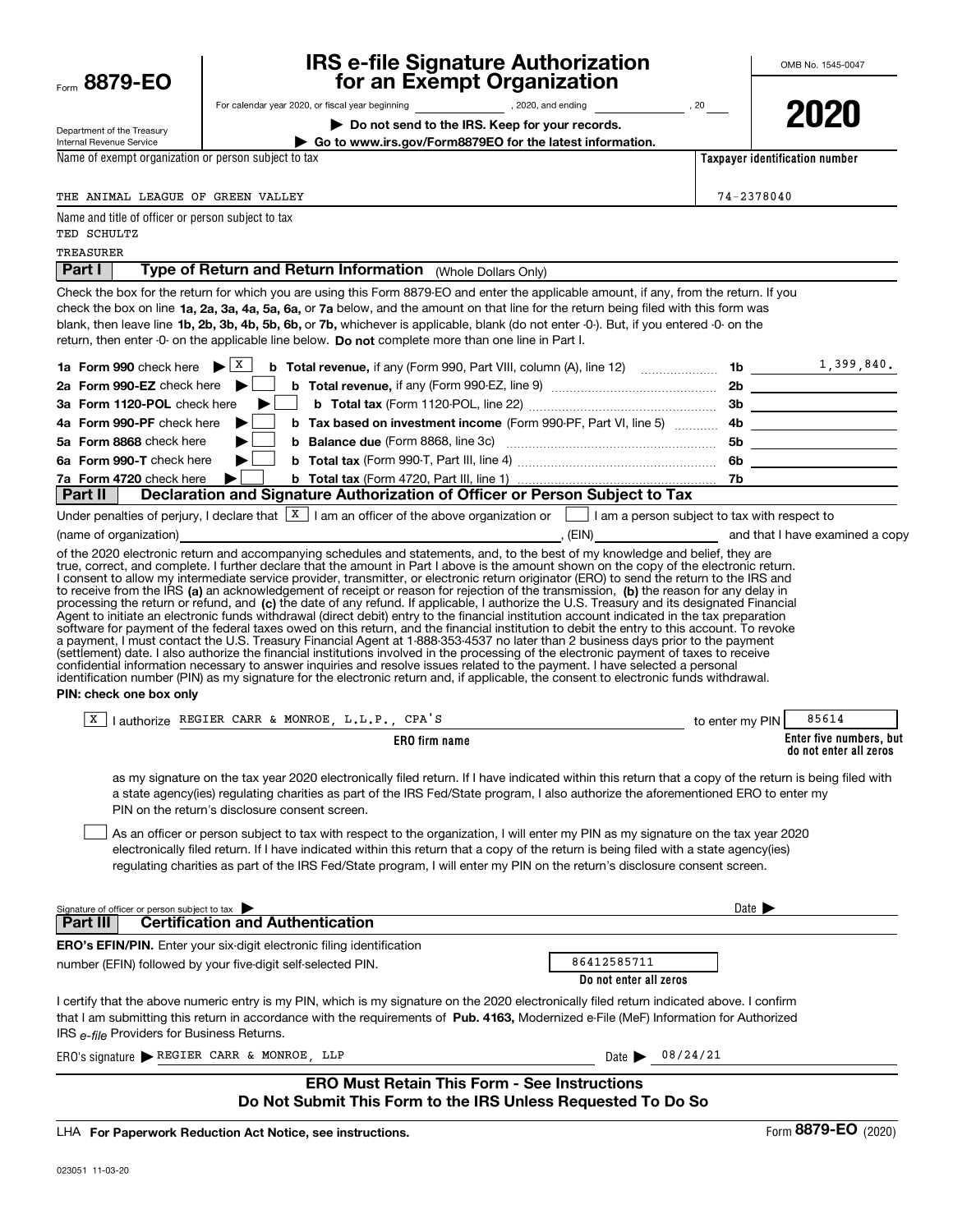| Form 8879-EO                                                                     | <b>IRS e-file Signature Authorization</b><br>for an Exempt Organization      |                                                                                                                                                                                                                                                                                                                                                                                                                                                                                                                                                                                                                                                                                                                                                                                                                                                                                                                                                                                                                                                                                                                                           | OMB No. 1545-0047          |                                                   |  |
|----------------------------------------------------------------------------------|------------------------------------------------------------------------------|-------------------------------------------------------------------------------------------------------------------------------------------------------------------------------------------------------------------------------------------------------------------------------------------------------------------------------------------------------------------------------------------------------------------------------------------------------------------------------------------------------------------------------------------------------------------------------------------------------------------------------------------------------------------------------------------------------------------------------------------------------------------------------------------------------------------------------------------------------------------------------------------------------------------------------------------------------------------------------------------------------------------------------------------------------------------------------------------------------------------------------------------|----------------------------|---------------------------------------------------|--|
| Department of the Treasury                                                       |                                                                              | Do not send to the IRS. Keep for your records.                                                                                                                                                                                                                                                                                                                                                                                                                                                                                                                                                                                                                                                                                                                                                                                                                                                                                                                                                                                                                                                                                            |                            | 2020                                              |  |
| Internal Revenue Service<br>Name of exempt organization or person subject to tax |                                                                              | Go to www.irs.gov/Form8879EO for the latest information.                                                                                                                                                                                                                                                                                                                                                                                                                                                                                                                                                                                                                                                                                                                                                                                                                                                                                                                                                                                                                                                                                  |                            | Taxpayer identification number                    |  |
|                                                                                  |                                                                              |                                                                                                                                                                                                                                                                                                                                                                                                                                                                                                                                                                                                                                                                                                                                                                                                                                                                                                                                                                                                                                                                                                                                           |                            |                                                   |  |
| THE ANIMAL LEAGUE OF GREEN VALLEY                                                |                                                                              |                                                                                                                                                                                                                                                                                                                                                                                                                                                                                                                                                                                                                                                                                                                                                                                                                                                                                                                                                                                                                                                                                                                                           | 74-2378040                 |                                                   |  |
| Name and title of officer or person subject to tax<br>TED SCHULTZ                |                                                                              |                                                                                                                                                                                                                                                                                                                                                                                                                                                                                                                                                                                                                                                                                                                                                                                                                                                                                                                                                                                                                                                                                                                                           |                            |                                                   |  |
| TREASURER                                                                        |                                                                              |                                                                                                                                                                                                                                                                                                                                                                                                                                                                                                                                                                                                                                                                                                                                                                                                                                                                                                                                                                                                                                                                                                                                           |                            |                                                   |  |
| Part I                                                                           | Type of Return and Return Information (Whole Dollars Only)                   |                                                                                                                                                                                                                                                                                                                                                                                                                                                                                                                                                                                                                                                                                                                                                                                                                                                                                                                                                                                                                                                                                                                                           |                            |                                                   |  |
| 1a Form 990 check here $\blacktriangleright$   X                                 |                                                                              | Check the box for the return for which you are using this Form 8879-EO and enter the applicable amount, if any, from the return. If you<br>check the box on line 1a, 2a, 3a, 4a, 5a, 6a, or 7a below, and the amount on that line for the return being filed with this form was<br>blank, then leave line 1b, 2b, 3b, 4b, 5b, 6b, or 7b, whichever is applicable, blank (do not enter -0-). But, if you entered -0- on the<br>return, then enter -0- on the applicable line below. Do not complete more than one line in Part I.<br><b>b</b> Total revenue, if any (Form 990, Part VIII, column (A), line 12) $\ldots$ 1. $\ldots$ 1. $\ldots$ 1. $\frac{1}{399}$ , 840.                                                                                                                                                                                                                                                                                                                                                                                                                                                                  |                            |                                                   |  |
| 2a Form 990-EZ check here                                                        |                                                                              |                                                                                                                                                                                                                                                                                                                                                                                                                                                                                                                                                                                                                                                                                                                                                                                                                                                                                                                                                                                                                                                                                                                                           |                            |                                                   |  |
| 3a Form 1120-POL check here                                                      |                                                                              |                                                                                                                                                                                                                                                                                                                                                                                                                                                                                                                                                                                                                                                                                                                                                                                                                                                                                                                                                                                                                                                                                                                                           |                            |                                                   |  |
| 4a Form 990-PF check here                                                        |                                                                              |                                                                                                                                                                                                                                                                                                                                                                                                                                                                                                                                                                                                                                                                                                                                                                                                                                                                                                                                                                                                                                                                                                                                           |                            |                                                   |  |
| 5a Form 8868 check here                                                          |                                                                              |                                                                                                                                                                                                                                                                                                                                                                                                                                                                                                                                                                                                                                                                                                                                                                                                                                                                                                                                                                                                                                                                                                                                           |                            | 5b _____________________                          |  |
| 6a Form 990-T check here                                                         |                                                                              |                                                                                                                                                                                                                                                                                                                                                                                                                                                                                                                                                                                                                                                                                                                                                                                                                                                                                                                                                                                                                                                                                                                                           |                            |                                                   |  |
| 7a Form 4720 check here<br>  Part II                                             |                                                                              | Declaration and Signature Authorization of Officer or Person Subject to Tax                                                                                                                                                                                                                                                                                                                                                                                                                                                                                                                                                                                                                                                                                                                                                                                                                                                                                                                                                                                                                                                               |                            |                                                   |  |
| PIN: check one box only                                                          |                                                                              | to receive from the IRS (a) an acknowledgement of receipt or reason for rejection of the transmission, (b) the reason for any delay in<br>processing the return or refund, and (c) the date of any refund. If applicable, I authorize the U.S. Treasury and its designated Financial<br>Agent to initiate an electronic funds withdrawal (direct debit) entry to the financial institution account indicated in the tax preparation<br>software for payment of the federal taxes owed on this return, and the financial institution to debit the entry to this account. To revoke<br>a payment, I must contact the U.S. Treasury Financial Agent at 1-888-353-4537 no later than 2 business days prior to the payment<br>(settlement) date. I also authorize the financial institutions involved in the processing of the electronic payment of taxes to receive<br>confidential information necessary to answer inquiries and resolve issues related to the payment. I have selected a personal<br>identification number (PIN) as my signature for the electronic return and, if applicable, the consent to electronic funds withdrawal. |                            |                                                   |  |
| X                                                                                | lauthorize REGIER CARR & MONROE, L.L.P., CPA'S                               |                                                                                                                                                                                                                                                                                                                                                                                                                                                                                                                                                                                                                                                                                                                                                                                                                                                                                                                                                                                                                                                                                                                                           | to enter my PIN            | 85614                                             |  |
|                                                                                  |                                                                              | <b>ERO</b> firm name                                                                                                                                                                                                                                                                                                                                                                                                                                                                                                                                                                                                                                                                                                                                                                                                                                                                                                                                                                                                                                                                                                                      |                            | Enter five numbers, but<br>do not enter all zeros |  |
|                                                                                  | PIN on the return's disclosure consent screen.                               | as my signature on the tax year 2020 electronically filed return. If I have indicated within this return that a copy of the return is being filed with<br>a state agency(ies) regulating charities as part of the IRS Fed/State program, I also authorize the aforementioned ERO to enter my<br>As an officer or person subject to tax with respect to the organization, I will enter my PIN as my signature on the tax year 2020<br>electronically filed return. If I have indicated within this return that a copy of the return is being filed with a state agency(ies)<br>regulating charities as part of the IRS Fed/State program, I will enter my PIN on the return's disclosure consent screen.                                                                                                                                                                                                                                                                                                                                                                                                                                   |                            |                                                   |  |
| Signature of officer or person subject to tax<br>Part III                        | <b>Certification and Authentication</b>                                      |                                                                                                                                                                                                                                                                                                                                                                                                                                                                                                                                                                                                                                                                                                                                                                                                                                                                                                                                                                                                                                                                                                                                           | Date $\blacktriangleright$ |                                                   |  |
|                                                                                  | <b>ERO's EFIN/PIN.</b> Enter your six-digit electronic filing identification |                                                                                                                                                                                                                                                                                                                                                                                                                                                                                                                                                                                                                                                                                                                                                                                                                                                                                                                                                                                                                                                                                                                                           |                            |                                                   |  |
|                                                                                  | number (EFIN) followed by your five-digit self-selected PIN.                 | 86412585711<br>Do not enter all zeros                                                                                                                                                                                                                                                                                                                                                                                                                                                                                                                                                                                                                                                                                                                                                                                                                                                                                                                                                                                                                                                                                                     |                            |                                                   |  |
| IRS e-file Providers for Business Returns.                                       |                                                                              | I certify that the above numeric entry is my PIN, which is my signature on the 2020 electronically filed return indicated above. I confirm<br>that I am submitting this return in accordance with the requirements of Pub. 4163, Modernized e-File (MeF) Information for Authorized                                                                                                                                                                                                                                                                                                                                                                                                                                                                                                                                                                                                                                                                                                                                                                                                                                                       |                            |                                                   |  |
| ERO's signature REGIER CARR & MONROE, LLP                                        |                                                                              | Date $\blacktriangleright$                                                                                                                                                                                                                                                                                                                                                                                                                                                                                                                                                                                                                                                                                                                                                                                                                                                                                                                                                                                                                                                                                                                | 08/24/21                   |                                                   |  |
|                                                                                  |                                                                              | <b>ERO Must Retain This Form - See Instructions</b><br>Do Not Submit This Form to the IRS Unless Requested To Do So                                                                                                                                                                                                                                                                                                                                                                                                                                                                                                                                                                                                                                                                                                                                                                                                                                                                                                                                                                                                                       |                            |                                                   |  |

LHA For Paperwork Reduction Act Notice, see instructions.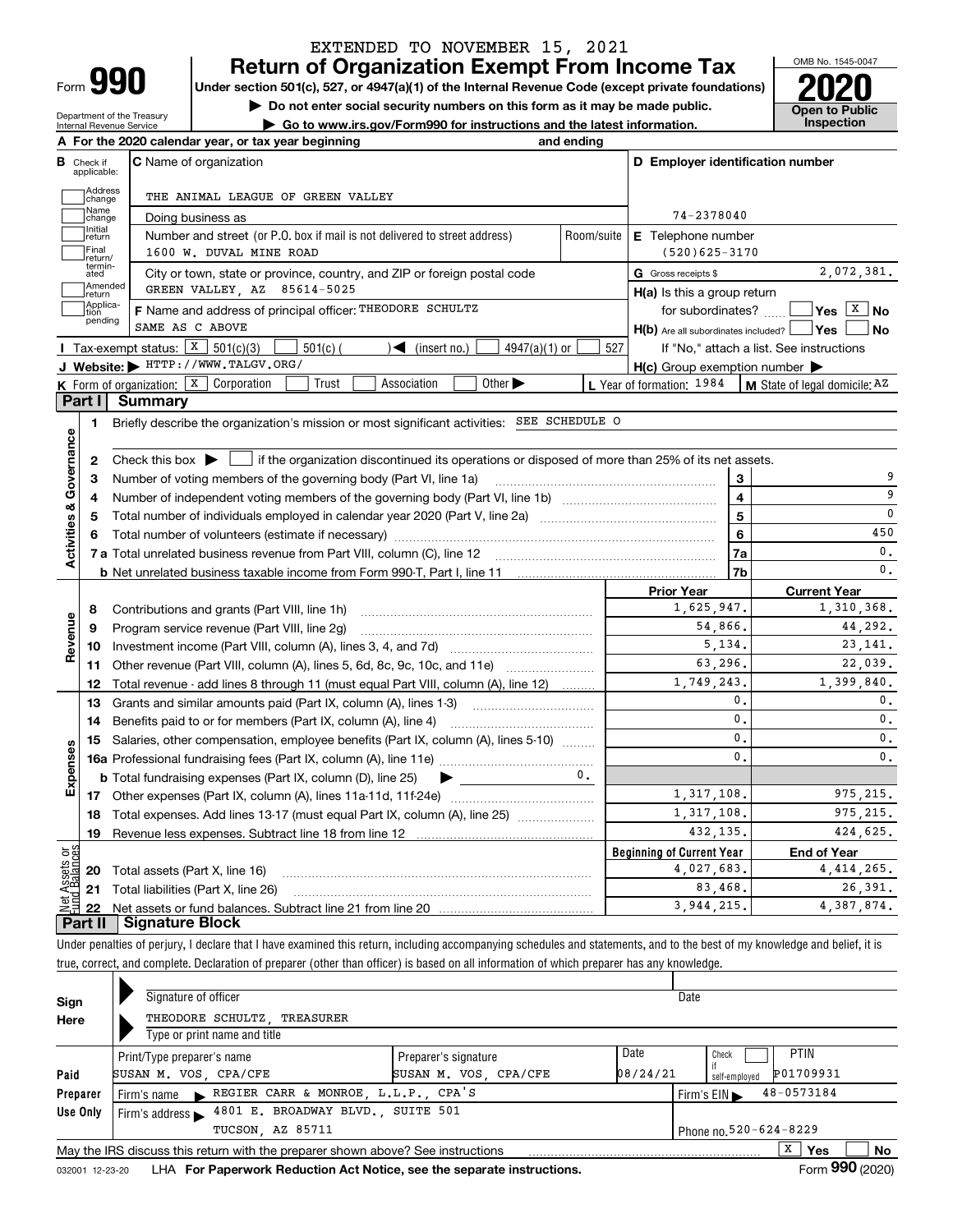| Form |  |
|------|--|

Department of the Treasury Internal Revenue Service

## **Return of Organization Exempt From Income Tax** EXTENDED TO NOVEMBER 15, 2021

**Under section 501(c), 527, or 4947(a)(1) of the Internal Revenue Code (except private foundations) 2020**

**| Do not enter social security numbers on this form as it may be made public.**

**| Go to www.irs.gov/Form990 for instructions and the latest information. Inspection**

OMB No. 1545-0047 **Open to Public** 

|                              | A For the 2020 calendar year, or tax year beginning                                                                                                            | and ending |                                                     |                                          |
|------------------------------|----------------------------------------------------------------------------------------------------------------------------------------------------------------|------------|-----------------------------------------------------|------------------------------------------|
| В<br>Check if<br>applicable: | <b>C</b> Name of organization                                                                                                                                  |            | D Employer identification number                    |                                          |
| Address<br>change            | THE ANIMAL LEAGUE OF GREEN VALLEY                                                                                                                              |            |                                                     |                                          |
| Name<br>change               | Doing business as                                                                                                                                              |            | 74-2378040                                          |                                          |
| Initial<br>return            | Number and street (or P.O. box if mail is not delivered to street address)                                                                                     | Room/suite | <b>E</b> Telephone number                           |                                          |
| Final<br>return/             | 1600 W. DUVAL MINE ROAD                                                                                                                                        |            | $(520)625 - 3170$                                   |                                          |
| termin-<br>ated              | City or town, state or province, country, and ZIP or foreign postal code                                                                                       |            | G Gross receipts \$                                 | 2,072,381.                               |
| Amended<br>Ireturn           | GREEN VALLEY, AZ 85614-5025                                                                                                                                    |            | $H(a)$ is this a group return                       |                                          |
| Applica-<br>tion             | F Name and address of principal officer: THEODORE SCHULTZ                                                                                                      |            | for subordinates?                                   | $ Y$ es $ X $ No                         |
| pending                      | SAME AS C ABOVE                                                                                                                                                |            | $H(b)$ Are all subordinates included? $\Box$ Yes    | ∣No                                      |
|                              | Tax-exempt status: $X$ 501(c)(3)<br>$4947(a)(1)$ or<br>$501(c)$ (<br>$\mathcal{L}$ (insert no.)                                                                | 527        |                                                     | If "No," attach a list. See instructions |
|                              | J Website: FITTP://WWW.TALGV.ORG/                                                                                                                              |            | $H(c)$ Group exemption number $\blacktriangleright$ |                                          |
|                              | K Form of organization: X Corporation<br>Trust<br>Association<br>Other $\blacktriangleright$                                                                   |            | L Year of formation: 1984                           | M State of legal domicile: AZ            |
| Part I                       | Summary                                                                                                                                                        |            |                                                     |                                          |
| 1                            | Briefly describe the organization's mission or most significant activities: SEE SCHEDULE O                                                                     |            |                                                     |                                          |
|                              |                                                                                                                                                                |            |                                                     |                                          |
| 2                            | Check this box $\blacktriangleright$ $\blacksquare$ if the organization discontinued its operations or disposed of more than 25% of its net assets.            |            |                                                     |                                          |
| З                            | Number of voting members of the governing body (Part VI, line 1a)                                                                                              |            | 3                                                   | 9                                        |
| 4                            |                                                                                                                                                                |            | $\overline{\mathbf{4}}$                             | 9                                        |
| 5                            |                                                                                                                                                                | 5          | 0                                                   |                                          |
| 6                            |                                                                                                                                                                | 6          | 450                                                 |                                          |
| Activities & Governance      |                                                                                                                                                                | 7a         | $\mathbf{0}$ .                                      |                                          |
|                              |                                                                                                                                                                |            | 7b                                                  | $\mathbf{0}$ .                           |
|                              |                                                                                                                                                                |            | <b>Prior Year</b><br>1,625,947.                     | <b>Current Year</b><br>1,310,368.        |
| 8                            | Contributions and grants (Part VIII, line 1h)                                                                                                                  |            | 54,866.                                             | 44,292.                                  |
| Revenue<br>9                 | Program service revenue (Part VIII, line 2g)                                                                                                                   |            | 5,134.                                              | 23, 141.                                 |
| 10                           |                                                                                                                                                                |            | 63.296.                                             | 22,039.                                  |
| 11<br>12                     | Other revenue (Part VIII, column (A), lines 5, 6d, 8c, 9c, 10c, and 11e)<br>Total revenue - add lines 8 through 11 (must equal Part VIII, column (A), line 12) |            | 1,749,243.                                          | 1,399,840.                               |
| 13                           | Grants and similar amounts paid (Part IX, column (A), lines 1-3)                                                                                               |            | 0.                                                  | $\mathbf{0}$ .                           |
| 14                           |                                                                                                                                                                |            | 0.                                                  | $\mathbf{0}$ .                           |
| 15                           | Salaries, other compensation, employee benefits (Part IX, column (A), lines 5-10)                                                                              |            | $\mathbf{0}$ .                                      | $\mathbf{0}$ .                           |
|                              |                                                                                                                                                                |            | $\mathbf{0}$ .                                      | $\mathbf{0}$ .                           |
|                              | <b>b</b> Total fundraising expenses (Part IX, column (D), line 25)<br>$\blacktriangleright$ , and the set of $\blacktriangleright$                             | 0.         |                                                     |                                          |
| Expenses                     |                                                                                                                                                                |            | 1,317,108.                                          | 975.215.                                 |
| 18                           | Total expenses. Add lines 13-17 (must equal Part IX, column (A), line 25) [                                                                                    |            | 1,317,108.                                          | 975.215.                                 |
| 19                           |                                                                                                                                                                | 432,135.   | 424.625.                                            |                                          |
| ۆە                           |                                                                                                                                                                |            | <b>Beginning of Current Year</b>                    | <b>End of Year</b>                       |
| 2                            | <b>20</b> Total assets (Part X, line 16)                                                                                                                       |            | 4,027,683.                                          | 4, 414, 265.                             |
|                              | 21 Total liabilities (Part X, line 26)                                                                                                                         |            | 83,468.                                             | 26.391.                                  |
| 22                           |                                                                                                                                                                |            | 3,944,215.                                          | 4,387,874.                               |
| Part II                      | <b>Signature Block</b>                                                                                                                                         |            |                                                     |                                          |

Under penalties of perjury, I declare that I have examined this return, including accompanying schedules and statements, and to the best of my knowledge and belief, it is true, correct, and complete. Declaration of preparer (other than officer) is based on all information of which preparer has any knowledge.

| Sign     | Signature of officer                                                                                     |                                               |                                                                 |  |  |  |  |  |  |  |  |  |
|----------|----------------------------------------------------------------------------------------------------------|-----------------------------------------------|-----------------------------------------------------------------|--|--|--|--|--|--|--|--|--|
| Here     | THEODORE SCHULTZ TREASURER<br>Type or print name and title                                               |                                               |                                                                 |  |  |  |  |  |  |  |  |  |
| Paid     | Print/Type preparer's name<br>SUSAN M. VOS, CPA/CFE                                                      | Preparer's signature<br>SUSAN M. VOS, CPA/CFE | Date<br>PTIN<br>Check<br>P01709931<br>08/24/21<br>self-employed |  |  |  |  |  |  |  |  |  |
| Preparer | Firm's name REGIER CARR & MONROE, L.L.P., CPA'S                                                          |                                               | 48-0573184<br>Firm's $EIN \blacktriangleright$                  |  |  |  |  |  |  |  |  |  |
| Use Only | 4801 E. BROADWAY BLVD., SUITE 501<br>Firm's address $\blacktriangleright$                                |                                               |                                                                 |  |  |  |  |  |  |  |  |  |
|          | TUCSON, AZ 85711<br>Phone no. 520-624-8229                                                               |                                               |                                                                 |  |  |  |  |  |  |  |  |  |
|          | x<br>No<br>Yes<br>May the IRS discuss this return with the preparer shown above? See instructions<br>000 |                                               |                                                                 |  |  |  |  |  |  |  |  |  |

032001 12-23-20 LHA **For Paperwork Reduction Act Notice, see the separate instructions. Form 990 (2020)**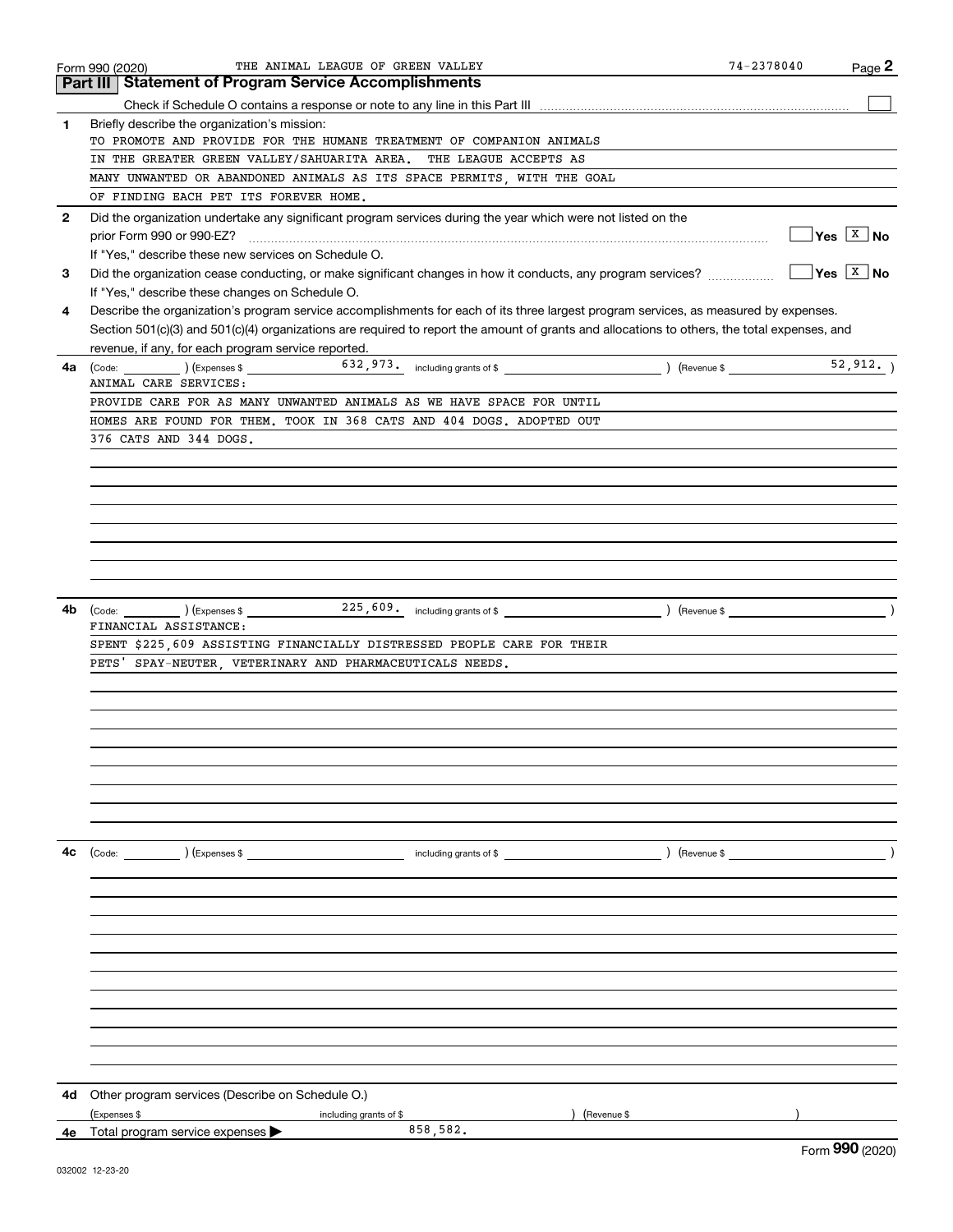|              | THE ANIMAL LEAGUE OF GREEN VALLEY<br>Form 990 (2020)                                                                                         | 74-2378040 | Page 2                                       |
|--------------|----------------------------------------------------------------------------------------------------------------------------------------------|------------|----------------------------------------------|
|              | <b>Part III   Statement of Program Service Accomplishments</b>                                                                               |            |                                              |
|              |                                                                                                                                              |            |                                              |
| 1.           | Briefly describe the organization's mission:                                                                                                 |            |                                              |
|              | TO PROMOTE AND PROVIDE FOR THE HUMANE TREATMENT OF COMPANION ANIMALS                                                                         |            |                                              |
|              | IN THE GREATER GREEN VALLEY/SAHUARITA AREA. THE LEAGUE ACCEPTS AS                                                                            |            |                                              |
|              | MANY UNWANTED OR ABANDONED ANIMALS AS ITS SPACE PERMITS, WITH THE GOAL                                                                       |            |                                              |
|              | OF FINDING EACH PET ITS FOREVER HOME.                                                                                                        |            |                                              |
| $\mathbf{2}$ | Did the organization undertake any significant program services during the year which were not listed on the                                 |            |                                              |
|              | prior Form 990 or 990-EZ?                                                                                                                    |            | $\sqrt{\mathsf{Yes}}$ $\sqrt{\mathsf{X}}$ No |
|              | If "Yes," describe these new services on Schedule O.                                                                                         |            |                                              |
|              |                                                                                                                                              |            | $\sqrt{\frac{X}{N}}$ No                      |
| 3            | Did the organization cease conducting, or make significant changes in how it conducts, any program services?                                 |            |                                              |
|              | If "Yes," describe these changes on Schedule O.                                                                                              |            |                                              |
| 4            | Describe the organization's program service accomplishments for each of its three largest program services, as measured by expenses.         |            |                                              |
|              | Section 501(c)(3) and 501(c)(4) organizations are required to report the amount of grants and allocations to others, the total expenses, and |            |                                              |
|              | revenue, if any, for each program service reported.                                                                                          |            |                                              |
| 4a           | $\begin{array}{ccc} \text{(Code:} & \text{ } & \text{)} & \text{(Expenses $}\ \end{array}$                                                   |            |                                              |
|              | ANIMAL CARE SERVICES:                                                                                                                        |            |                                              |
|              | PROVIDE CARE FOR AS MANY UNWANTED ANIMALS AS WE HAVE SPACE FOR UNTIL                                                                         |            |                                              |
|              | HOMES ARE FOUND FOR THEM. TOOK IN 368 CATS AND 404 DOGS. ADOPTED OUT                                                                         |            |                                              |
|              | 376 CATS AND 344 DOGS.                                                                                                                       |            |                                              |
|              |                                                                                                                                              |            |                                              |
|              |                                                                                                                                              |            |                                              |
|              |                                                                                                                                              |            |                                              |
|              |                                                                                                                                              |            |                                              |
|              |                                                                                                                                              |            |                                              |
|              |                                                                                                                                              |            |                                              |
|              |                                                                                                                                              |            |                                              |
|              |                                                                                                                                              |            |                                              |
| 4b           | $\left(\text{Code:}\ \_\_\_\_\_\_\\right)$ $\left(\text{Expenses $}\ \!\!\!\!\right)$                                                        |            |                                              |
|              | FINANCIAL ASSISTANCE:                                                                                                                        |            |                                              |
|              | SPENT \$225,609 ASSISTING FINANCIALLY DISTRESSED PEOPLE CARE FOR THEIR                                                                       |            |                                              |
|              | PETS' SPAY-NEUTER, VETERINARY AND PHARMACEUTICALS NEEDS.                                                                                     |            |                                              |
|              |                                                                                                                                              |            |                                              |
|              |                                                                                                                                              |            |                                              |
|              |                                                                                                                                              |            |                                              |
|              |                                                                                                                                              |            |                                              |
|              |                                                                                                                                              |            |                                              |
|              |                                                                                                                                              |            |                                              |
|              |                                                                                                                                              |            |                                              |
|              |                                                                                                                                              |            |                                              |
|              |                                                                                                                                              |            |                                              |
|              |                                                                                                                                              |            |                                              |
| 4с           | (Code: ) (Expenses \$<br>$\int$ (Revenue \$) (Revenue \$)                                                                                    |            |                                              |
|              |                                                                                                                                              |            |                                              |
|              |                                                                                                                                              |            |                                              |
|              |                                                                                                                                              |            |                                              |
|              |                                                                                                                                              |            |                                              |
|              |                                                                                                                                              |            |                                              |
|              |                                                                                                                                              |            |                                              |
|              |                                                                                                                                              |            |                                              |
|              |                                                                                                                                              |            |                                              |
|              |                                                                                                                                              |            |                                              |
|              |                                                                                                                                              |            |                                              |
|              |                                                                                                                                              |            |                                              |
|              |                                                                                                                                              |            |                                              |
|              |                                                                                                                                              |            |                                              |
| 4d           | Other program services (Describe on Schedule O.)                                                                                             |            |                                              |
|              | (Expenses \$<br>(Revenue \$<br>including grants of \$                                                                                        |            |                                              |
|              | 858,582.<br>4e Total program service expenses                                                                                                | $\sim$     |                                              |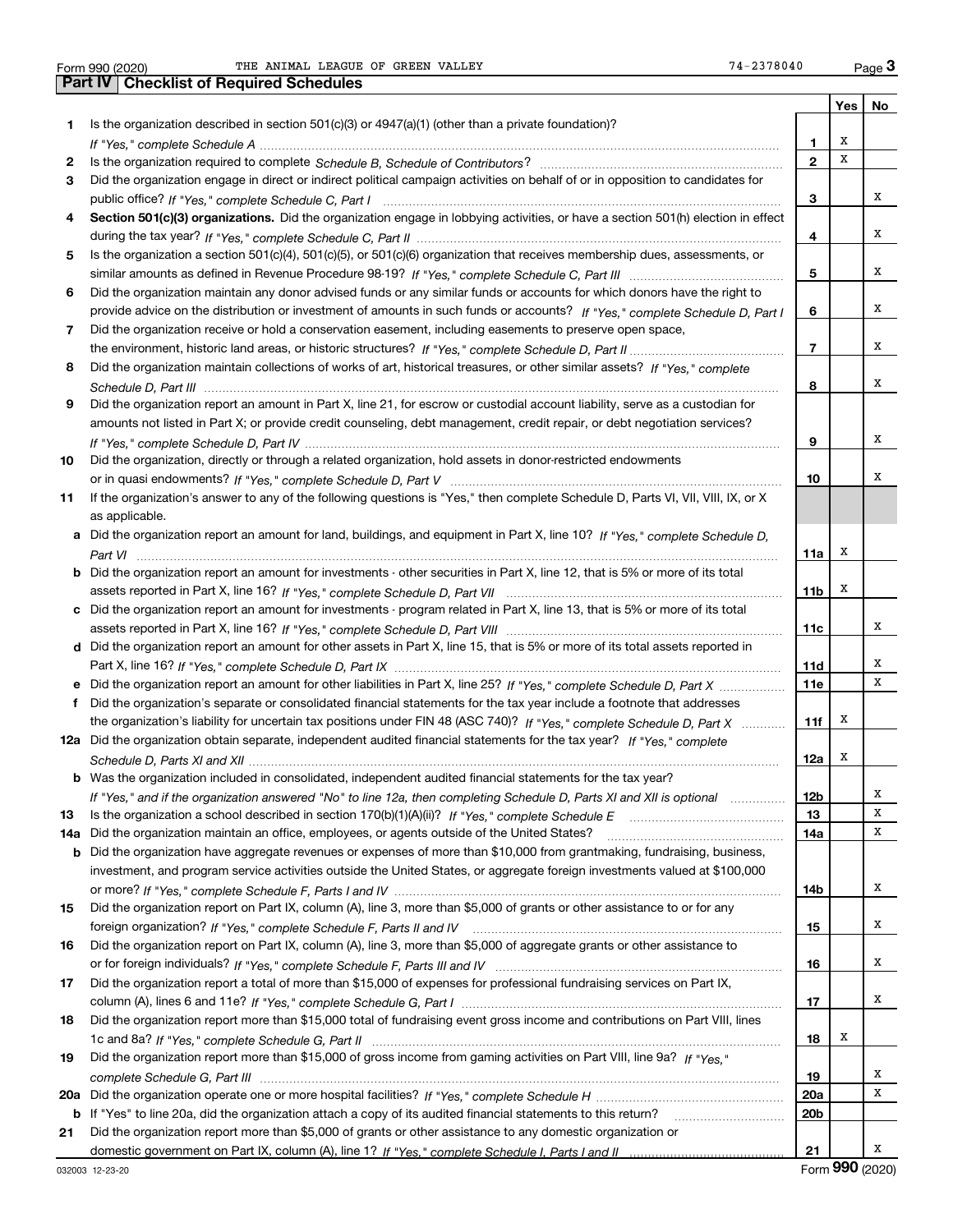Form 990 (2020) THE ANIMAL LEAGUE OF GREEN VALLEY 74–2378040 Page

**Yes No 1** Is the organization described in section 501(c)(3) or 4947(a)(1) (other than a private foundation)? **23456789** Did the organization report an amount in Part X, line 21, for escrow or custodial account liability, serve as a custodian for **101112a** Did the organization obtain separate, independent audited financial statements for the tax year? If "Yes," complete **1314a**Did the organization maintain an office, employees, or agents outside of the United States? ~~~~~~~~~~~~~~~~**151617181912345678910Section 501(c)(3) organizations.** Did the organization engage in lobbying activities, or have a section 501(h) election in effect **a** Did the organization report an amount for land, buildings, and equipment in Part X, line 10? If "Yes," complete Schedule D, **bcd** Did the organization report an amount for other assets in Part X, line 15, that is 5% or more of its total assets reported in **efb** Was the organization included in consolidated, independent audited financial statements for the tax year? **11a11b11c11d11e11f12a12b1314a14b151617181920a20b21b20 a** *If "Yes," complete Schedule H* Did the organization operate one or more hospital facilities? ~~~~~~~~~~~~~~~~~ **21b** If "Yes" to line 20a, did the organization attach a copy of its audited financial statements to this return? \_\_\_\_\_\_\_\_\_\_\_\_\_\_\_\_\_\_\_\_\_\_ *If "Yes," complete Schedule A* ~~~~~~~~~~~~~~~~~~~~~~~~~~~~~~~~~~~~~~~~~~~~~~~ Is the organization required to complete Schedule B, Schedule of Contributors? …………………………………………………… *If "Yes," complete Schedule C, Part I* public office? ~~~~~~~~~~~~~~~~~~~~~~~~~~~~~~~~~~~~ *If "Yes," complete Schedule C, Part II* during the tax year? ~~~~~~~~~~~~~~~~~~~~~~~~~~~~~~~~~ *If "Yes," complete Schedule C, Part III* similar amounts as defined in Revenue Procedure 98-19? ~~~~~~~~~~~~~~ *If "Yes," complete Schedule D, Part I* provide advice on the distribution or investment of amounts in such funds or accounts? *If "Yes," complete Schedule D, Part II* the environment, historic land areas, or historic structures? ~~~~~~~~~~~~~~ *If "Yes," complete* Did the organization maintain collections of works of art, historical treasures, or other similar assets? *Schedule D, Part III* ~~~~~~~~~~~~~~~~~~~~~~~~~~~~~~~~~~~~~~~~~~~~~~~~~~~~ *If "Yes," complete Schedule D, Part IV* ~~~~~~~~~~~~~~~~~~~~~~~~~~~~~~~~~~~~~~~~~~~ or in quasi endowments? If "Yes," c*omplete Schedule D, Part V* ………………………………………………………………………… *Part VI* ~~~~~~~~~~~~~~~~~~~~~~~~~~~~~~~~~~~~~~~~~~~~~~~~~~~~~~~~~~ *If "Yes," complete Schedule D, Part VII* assets reported in Part X, line 16? ~~~~~~~~~~~~~~~~~~~~~~~~~ assets reported in Part X, line 16? If "Yes," c*omplete Schedule D, Part VIII* ……………………………………………………………… Part X, line 16? *If "Yes," complete Schedule D, Part IX ………………………………………………………………………*……… Did the organization report an amount for other liabilities in Part X, line 25? If "Yes," c*omplete Schedule D, Part X* ……………… the organization's liability for uncertain tax positions under FIN 48 (ASC 740)? If "Yes," complete Schedule D, Part X ............ *Schedule D, Parts XI and XII* ~~~~~~~~~~~~~~~~~~~~~~~~~~~~~~~~~~~~~~~~~~~~~~~~ If "Yes," and if the organization answered "No" to line 12a, then completing Schedule D, Parts XI and XII is optional *www.* ls the organization a school described in section 170(b)(1)(A)(ii)? *If "Yes," complete Schedule E* \_\_\_\_\_\_\_\_\_\_\_\_\_\_\_\_\_\_\_\_\_\_\_\_\_\_\_\_\_\_\_\_\_ or more? *If "Yes," complete Schedule F, Parts I and IV ……………………………………………………………………*…………………… foreign organization? *If "Yes," complete Schedule F, Parts II and IV ………………………………………………………………*…… *If "Yes," complete Schedule F, Parts III and IV* or for foreign individuals? ~~~~~~~~~~~~~~~~~~~~~~~~~~ column (A), lines 6 and 11e? *If "Yes," complete Schedule G, Part I* ………………………………………………………………………… *If "Yes," complete Schedule G, Part II* 1c and 8a? ~~~~~~~~~~~~~~~~~~~~~~~~~~~~~~~~~~~~~ Did the organization report more than \$15,000 of gross income from gaming activities on Part VIII, line 9a? If "Yes," *complete Schedule G, Part III* ~~~~~~~~~~~~~~~~~~~~~~~~~~~~~~~~~~~~~~~~~~~~~~~ domestic government on Part IX, column (A), line 1? If "Yes," complete Schedule I, Parts I and II …………………………………… Did the organization engage in direct or indirect political campaign activities on behalf of or in opposition to candidates for Is the organization a section 501(c)(4), 501(c)(5), or 501(c)(6) organization that receives membership dues, assessments, or Did the organization maintain any donor advised funds or any similar funds or accounts for which donors have the right to Did the organization receive or hold a conservation easement, including easements to preserve open space, amounts not listed in Part X; or provide credit counseling, debt management, credit repair, or debt negotiation services? Did the organization, directly or through a related organization, hold assets in donor-restricted endowments If the organization's answer to any of the following questions is "Yes," then complete Schedule D, Parts VI, VII, VIII, IX, or X as applicable. Did the organization report an amount for investments - other securities in Part X, line 12, that is 5% or more of its total Did the organization report an amount for investments - program related in Part X, line 13, that is 5% or more of its total Did the organization's separate or consolidated financial statements for the tax year include a footnote that addresses Did the organization have aggregate revenues or expenses of more than \$10,000 from grantmaking, fundraising, business, investment, and program service activities outside the United States, or aggregate foreign investments valued at \$100,000 Did the organization report on Part IX, column (A), line 3, more than \$5,000 of grants or other assistance to or for any Did the organization report on Part IX, column (A), line 3, more than \$5,000 of aggregate grants or other assistance to Did the organization report a total of more than \$15,000 of expenses for professional fundraising services on Part IX, Did the organization report more than \$15,000 total of fundraising event gross income and contributions on Part VIII, lines Did the organization report more than \$5,000 of grants or other assistance to any domestic organization or **3Part IV Checklist of Required Schedules** XXXXXXXXXXXXXXXX $\overline{\mathbf{x}}$ XXXXXXXXXXX

Form (2020) **990**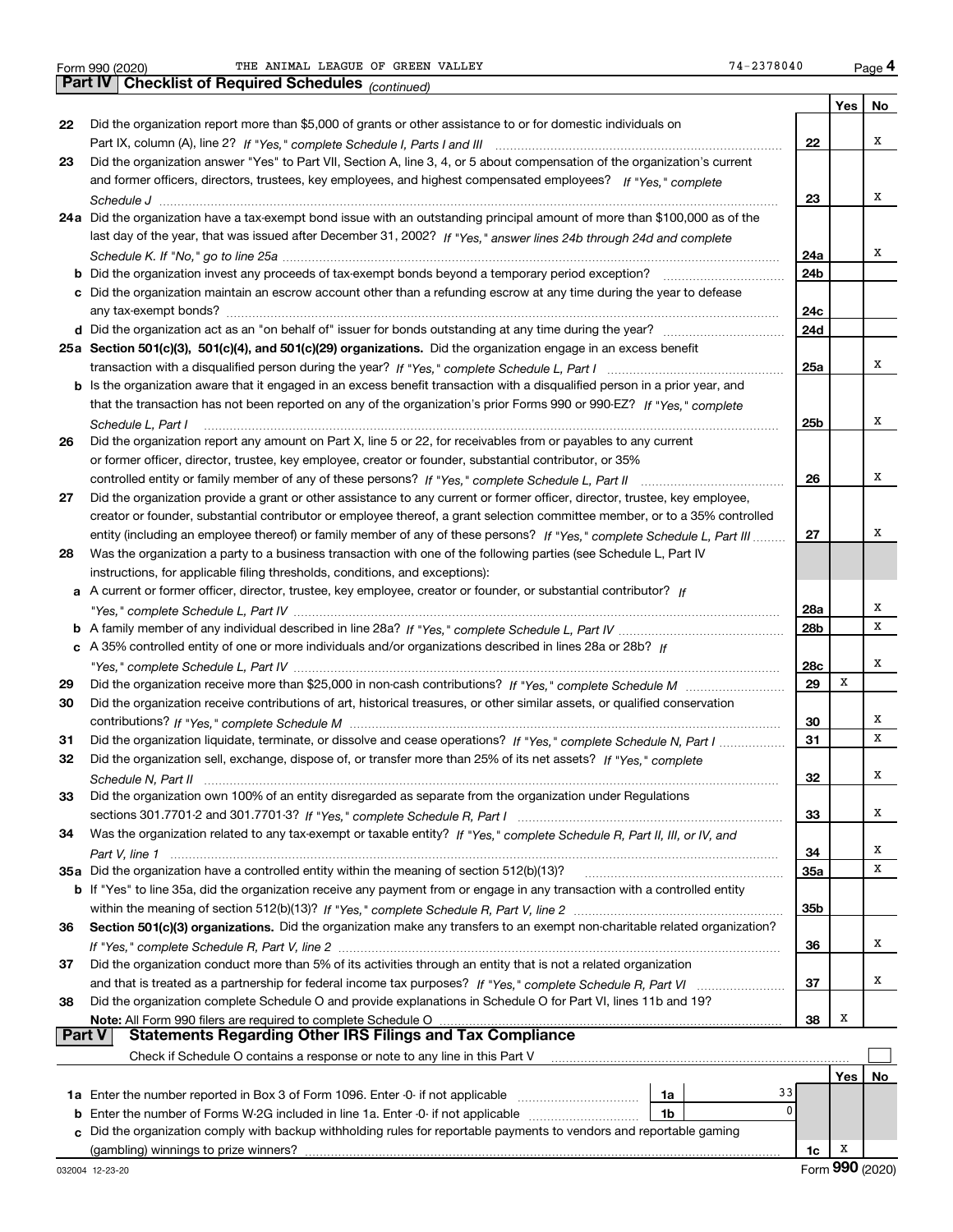*(continued)*

|               |                                                                                                                              |            | Yes | No |
|---------------|------------------------------------------------------------------------------------------------------------------------------|------------|-----|----|
| 22            | Did the organization report more than \$5,000 of grants or other assistance to or for domestic individuals on                |            |     |    |
|               |                                                                                                                              | 22         |     | х  |
| 23            | Did the organization answer "Yes" to Part VII, Section A, line 3, 4, or 5 about compensation of the organization's current   |            |     |    |
|               | and former officers, directors, trustees, key employees, and highest compensated employees? If "Yes." complete               |            |     |    |
|               |                                                                                                                              | 23         |     | х  |
|               | 24a Did the organization have a tax-exempt bond issue with an outstanding principal amount of more than \$100,000 as of the  |            |     |    |
|               | last day of the year, that was issued after December 31, 2002? If "Yes," answer lines 24b through 24d and complete           |            |     |    |
|               |                                                                                                                              | 24a        |     | х  |
|               | <b>b</b> Did the organization invest any proceeds of tax-exempt bonds beyond a temporary period exception?                   | 24b        |     |    |
|               | c Did the organization maintain an escrow account other than a refunding escrow at any time during the year to defease       |            |     |    |
|               |                                                                                                                              | 24c        |     |    |
|               |                                                                                                                              | 24d        |     |    |
|               | 25a Section 501(c)(3), 501(c)(4), and 501(c)(29) organizations. Did the organization engage in an excess benefit             |            |     |    |
|               |                                                                                                                              | 25a        |     | х  |
|               | b Is the organization aware that it engaged in an excess benefit transaction with a disqualified person in a prior year, and |            |     |    |
|               | that the transaction has not been reported on any of the organization's prior Forms 990 or 990-EZ? If "Yes," complete        |            |     |    |
|               | Schedule L, Part I                                                                                                           | 25b        |     | х  |
| 26            | Did the organization report any amount on Part X, line 5 or 22, for receivables from or payables to any current              |            |     |    |
|               | or former officer, director, trustee, key employee, creator or founder, substantial contributor, or 35%                      |            |     |    |
|               |                                                                                                                              | 26         |     | х  |
| 27            | Did the organization provide a grant or other assistance to any current or former officer, director, trustee, key employee,  |            |     |    |
|               | creator or founder, substantial contributor or employee thereof, a grant selection committee member, or to a 35% controlled  |            |     |    |
|               | entity (including an employee thereof) or family member of any of these persons? If "Yes," complete Schedule L, Part III     | 27         |     | х  |
| 28            | Was the organization a party to a business transaction with one of the following parties (see Schedule L, Part IV            |            |     |    |
|               | instructions, for applicable filing thresholds, conditions, and exceptions):                                                 |            |     |    |
| а             | A current or former officer, director, trustee, key employee, creator or founder, or substantial contributor? If             |            |     | х  |
|               |                                                                                                                              | 28a        |     | х  |
|               |                                                                                                                              | 28b        |     |    |
|               | c A 35% controlled entity of one or more individuals and/or organizations described in lines 28a or 28b? If                  |            |     | х  |
|               |                                                                                                                              | 28c<br>29  | x   |    |
| 29<br>30      | Did the organization receive contributions of art, historical treasures, or other similar assets, or qualified conservation  |            |     |    |
|               |                                                                                                                              | 30         |     | х  |
| 31            | Did the organization liquidate, terminate, or dissolve and cease operations? If "Yes," complete Schedule N, Part I           | 31         |     | х  |
| 32            | Did the organization sell, exchange, dispose of, or transfer more than 25% of its net assets? If "Yes," complete             |            |     |    |
|               |                                                                                                                              | 32         |     | х  |
| 33            | Did the organization own 100% of an entity disregarded as separate from the organization under Regulations                   |            |     |    |
|               |                                                                                                                              | 33         |     | Х  |
| 34            | Was the organization related to any tax-exempt or taxable entity? If "Yes," complete Schedule R, Part II, III, or IV, and    |            |     |    |
|               |                                                                                                                              | 34         |     | x  |
|               | 35a Did the organization have a controlled entity within the meaning of section 512(b)(13)?                                  | <b>35a</b> |     | х  |
|               | b If "Yes" to line 35a, did the organization receive any payment from or engage in any transaction with a controlled entity  |            |     |    |
|               |                                                                                                                              | 35b        |     |    |
| 36            | Section 501(c)(3) organizations. Did the organization make any transfers to an exempt non-charitable related organization?   |            |     |    |
|               |                                                                                                                              | 36         |     | х  |
| 37            | Did the organization conduct more than 5% of its activities through an entity that is not a related organization             |            |     |    |
|               |                                                                                                                              | 37         |     | х  |
| 38            | Did the organization complete Schedule O and provide explanations in Schedule O for Part VI, lines 11b and 19?               |            |     |    |
|               | Note: All Form 990 filers are required to complete Schedule O                                                                | 38         | х   |    |
| <b>Part V</b> | <b>Statements Regarding Other IRS Filings and Tax Compliance</b>                                                             |            |     |    |
|               | Check if Schedule O contains a response or note to any line in this Part V                                                   |            |     |    |
|               |                                                                                                                              |            | Yes | No |
|               | 33<br>1a                                                                                                                     |            |     |    |
| b             | $\mathbf{0}$<br>Enter the number of Forms W-2G included in line 1a. Enter -0- if not applicable<br>1 <sub>b</sub>            |            |     |    |
|               | Did the organization comply with backup withholding rules for reportable payments to vendors and reportable gaming           |            |     |    |
|               | (gambling) winnings to prize winners?                                                                                        | 1c         | х   |    |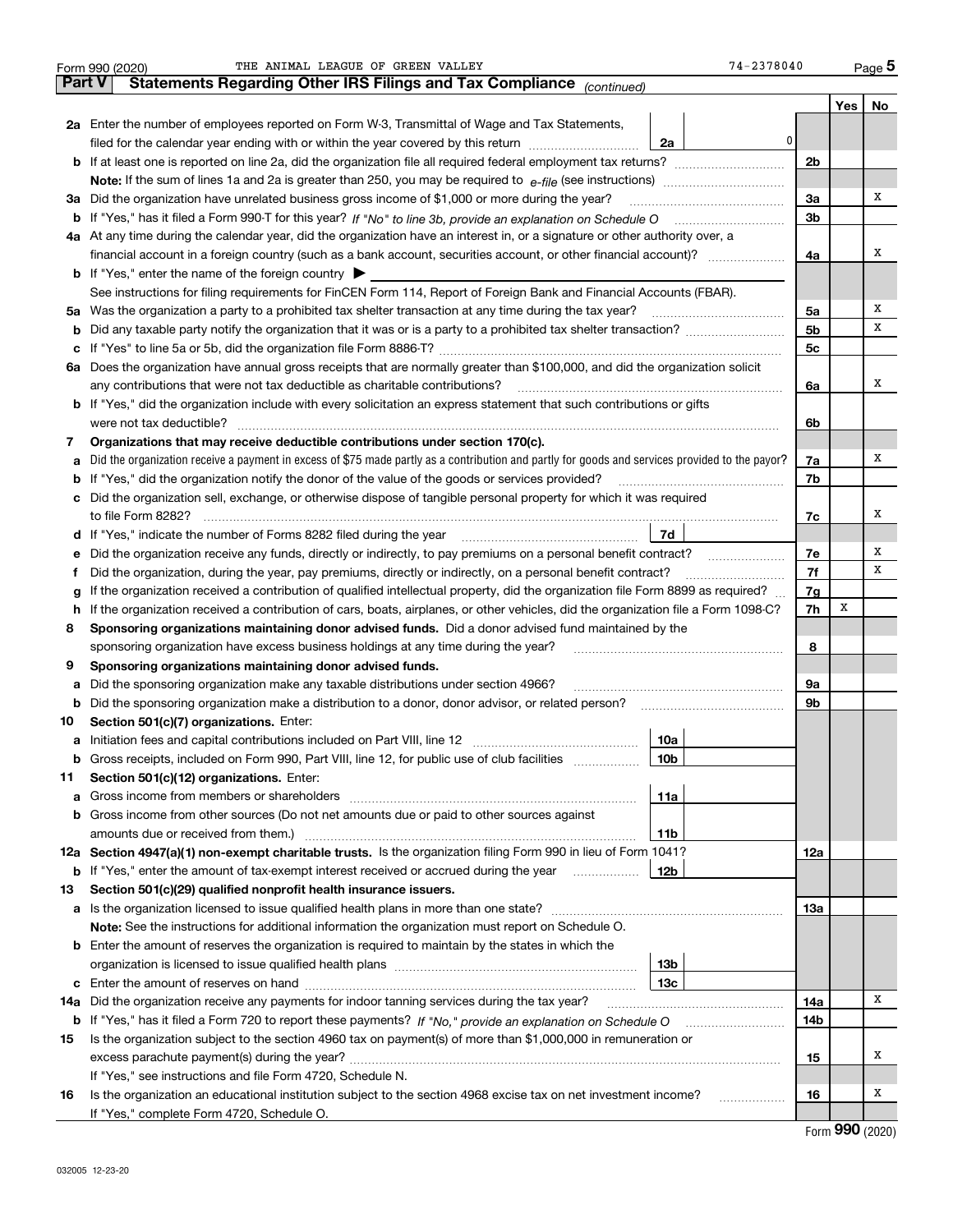|               | 74-2378040<br>THE ANIMAL LEAGUE OF GREEN VALLEY<br>Form 990 (2020)                                                                              |                |     | Page 5 |
|---------------|-------------------------------------------------------------------------------------------------------------------------------------------------|----------------|-----|--------|
| <b>Part V</b> | Statements Regarding Other IRS Filings and Tax Compliance (continued)                                                                           |                |     |        |
|               |                                                                                                                                                 |                | Yes | No     |
|               | 2a Enter the number of employees reported on Form W-3, Transmittal of Wage and Tax Statements,                                                  |                |     |        |
|               | 0<br>filed for the calendar year ending with or within the year covered by this return<br>2a                                                    |                |     |        |
|               |                                                                                                                                                 | 2 <sub>b</sub> |     |        |
|               |                                                                                                                                                 |                |     |        |
| За            | Did the organization have unrelated business gross income of \$1,000 or more during the year?                                                   | 3a             |     | Χ      |
| b             |                                                                                                                                                 | 3b             |     |        |
|               | 4a At any time during the calendar year, did the organization have an interest in, or a signature or other authority over, a                    |                |     |        |
|               | financial account in a foreign country (such as a bank account, securities account, or other financial account)?                                | 4a             |     | х      |
|               | <b>b</b> If "Yes," enter the name of the foreign country                                                                                        |                |     |        |
|               | See instructions for filing requirements for FinCEN Form 114, Report of Foreign Bank and Financial Accounts (FBAR).                             |                |     |        |
| 5a            | Was the organization a party to a prohibited tax shelter transaction at any time during the tax year?                                           | 5a             |     | х      |
| b             |                                                                                                                                                 | 5b             |     | х      |
| с             |                                                                                                                                                 | 5c             |     |        |
| 6а            | Does the organization have annual gross receipts that are normally greater than \$100,000, and did the organization solicit                     |                |     |        |
|               |                                                                                                                                                 | 6a             |     | Χ      |
|               | <b>b</b> If "Yes," did the organization include with every solicitation an express statement that such contributions or gifts                   |                |     |        |
|               | were not tax deductible?                                                                                                                        | 6b             |     |        |
| 7             | Organizations that may receive deductible contributions under section 170(c).                                                                   |                |     |        |
| а             | Did the organization receive a payment in excess of \$75 made partly as a contribution and partly for goods and services provided to the payor? | 7a             |     | х      |
| b             | If "Yes," did the organization notify the donor of the value of the goods or services provided?                                                 | 7b             |     |        |
|               | Did the organization sell, exchange, or otherwise dispose of tangible personal property for which it was required                               |                |     |        |
|               |                                                                                                                                                 | 7c             |     | х      |
| d             | 7d                                                                                                                                              |                |     |        |
| е             | Did the organization receive any funds, directly or indirectly, to pay premiums on a personal benefit contract?                                 | 7e             |     | х      |
| f             | Did the organization, during the year, pay premiums, directly or indirectly, on a personal benefit contract?                                    | 7f             |     | х      |
| g             | If the organization received a contribution of qualified intellectual property, did the organization file Form 8899 as required?                | 7g             |     |        |
| h             | If the organization received a contribution of cars, boats, airplanes, or other vehicles, did the organization file a Form 1098-C?              | 7h             | X   |        |
| 8             | Sponsoring organizations maintaining donor advised funds. Did a donor advised fund maintained by the                                            |                |     |        |
|               | sponsoring organization have excess business holdings at any time during the year?                                                              | 8              |     |        |
| 9             | Sponsoring organizations maintaining donor advised funds.                                                                                       |                |     |        |
| а             | Did the sponsoring organization make any taxable distributions under section 4966?                                                              | 9а             |     |        |
| b             | Did the sponsoring organization make a distribution to a donor, donor advisor, or related person?                                               | 9b             |     |        |
| 10            | Section 501(c)(7) organizations. Enter:                                                                                                         |                |     |        |
| а             | 10a<br>Initiation fees and capital contributions included on Part VIII, line 12 [100] [100] [100] [100] [100] [100] [<br>10 <sub>b</sub>        |                |     |        |
|               | Gross receipts, included on Form 990, Part VIII, line 12, for public use of club facilities                                                     |                |     |        |
| 11            | Section 501(c)(12) organizations. Enter:<br>Gross income from members or shareholders<br>11a                                                    |                |     |        |
| а<br>b        | Gross income from other sources (Do not net amounts due or paid to other sources against                                                        |                |     |        |
|               | 11b                                                                                                                                             |                |     |        |
|               | 12a Section 4947(a)(1) non-exempt charitable trusts. Is the organization filing Form 990 in lieu of Form 1041?                                  | 12a            |     |        |
|               | 12b<br><b>b</b> If "Yes," enter the amount of tax-exempt interest received or accrued during the year <i>manument</i> of                        |                |     |        |
| 13            | Section 501(c)(29) qualified nonprofit health insurance issuers.                                                                                |                |     |        |
| a             | Is the organization licensed to issue qualified health plans in more than one state?                                                            | 13а            |     |        |
|               | Note: See the instructions for additional information the organization must report on Schedule O.                                               |                |     |        |
| b             | Enter the amount of reserves the organization is required to maintain by the states in which the                                                |                |     |        |
|               | 13 <sub>b</sub>                                                                                                                                 |                |     |        |
| с             | 13с                                                                                                                                             |                |     |        |
| 14a           | Did the organization receive any payments for indoor tanning services during the tax year?                                                      | 14a            |     | х      |
|               | <b>b</b> If "Yes," has it filed a Form 720 to report these payments? If "No," provide an explanation on Schedule O                              | 14b            |     |        |
| 15            | Is the organization subject to the section 4960 tax on payment(s) of more than \$1,000,000 in remuneration or                                   |                |     |        |
|               |                                                                                                                                                 | 15             |     | х      |
|               | If "Yes," see instructions and file Form 4720, Schedule N.                                                                                      |                |     |        |
| 16            | Is the organization an educational institution subject to the section 4968 excise tax on net investment income?                                 | 16             |     | x      |
|               | If "Yes," complete Form 4720, Schedule O.                                                                                                       |                |     |        |
|               |                                                                                                                                                 |                |     |        |

Form (2020) **990**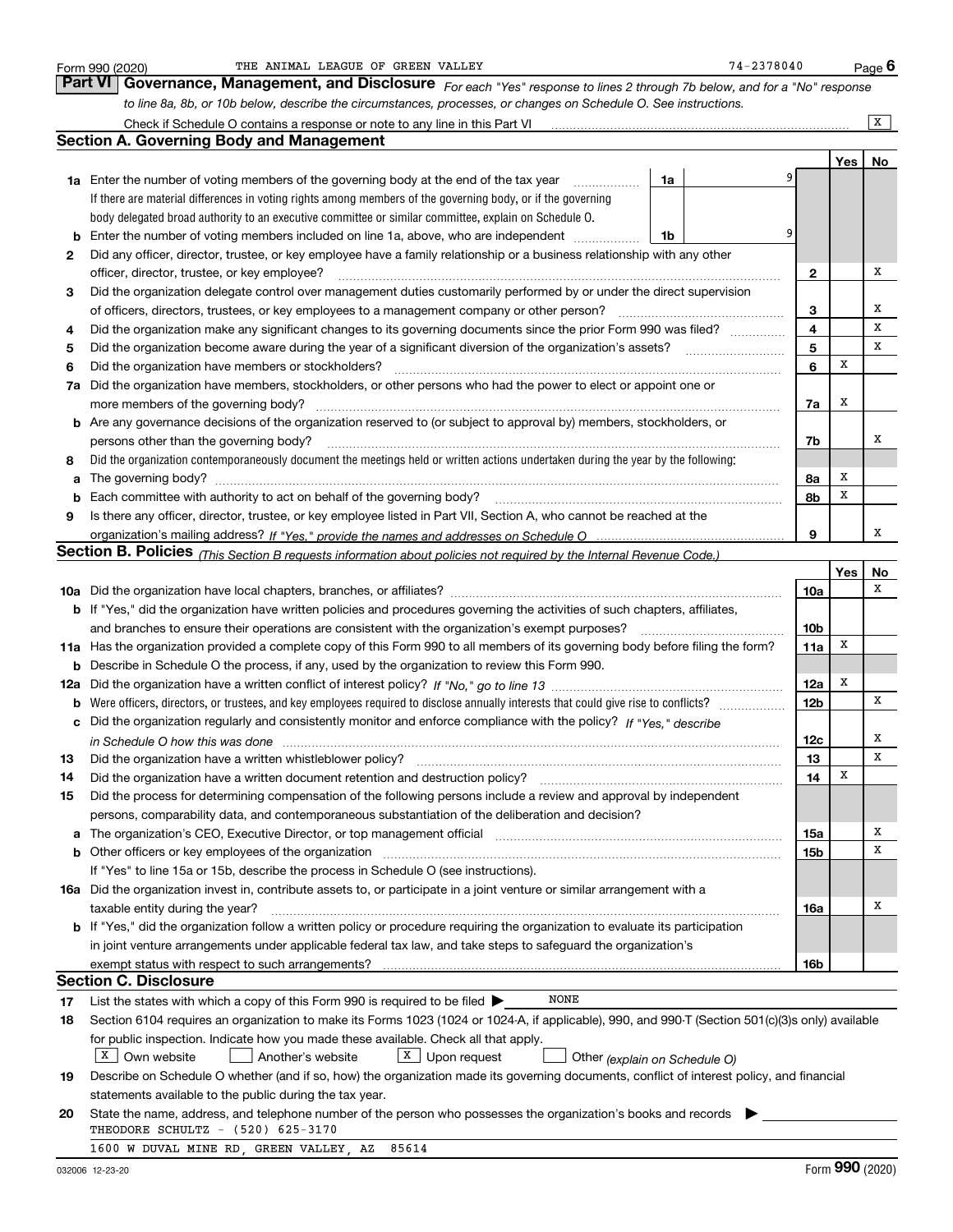|    | THE ANIMAL LEAGUE OF GREEN VALLEY<br>Form 990 (2020)                                                                                                                  |    | 74-2378040 |   |                 |     | <u>Page</u> 6  |
|----|-----------------------------------------------------------------------------------------------------------------------------------------------------------------------|----|------------|---|-----------------|-----|----------------|
|    | Part VI<br>Governance, Management, and Disclosure For each "Yes" response to lines 2 through 7b below, and for a "No" response                                        |    |            |   |                 |     |                |
|    | to line 8a, 8b, or 10b below, describe the circumstances, processes, or changes on Schedule O. See instructions.                                                      |    |            |   |                 |     |                |
|    | Check if Schedule O contains a response or note to any line in this Part VI                                                                                           |    |            |   |                 |     | $\overline{X}$ |
|    | <b>Section A. Governing Body and Management</b>                                                                                                                       |    |            |   |                 |     |                |
|    |                                                                                                                                                                       |    |            |   |                 | Yes | No             |
|    | 1a Enter the number of voting members of the governing body at the end of the tax year                                                                                | 1a |            | 9 |                 |     |                |
|    | If there are material differences in voting rights among members of the governing body, or if the governing                                                           |    |            |   |                 |     |                |
|    | body delegated broad authority to an executive committee or similar committee, explain on Schedule O.                                                                 |    |            |   |                 |     |                |
| b  | Enter the number of voting members included on line 1a, above, who are independent                                                                                    | 1b |            | 9 |                 |     |                |
| 2  | Did any officer, director, trustee, or key employee have a family relationship or a business relationship with any other                                              |    |            |   |                 |     |                |
|    | officer, director, trustee, or key employee?                                                                                                                          |    |            |   | 2               |     | х              |
| 3  | Did the organization delegate control over management duties customarily performed by or under the direct supervision                                                 |    |            |   |                 |     |                |
|    | of officers, directors, trustees, or key employees to a management company or other person?                                                                           |    |            |   | 3               |     | х              |
| 4  | Did the organization make any significant changes to its governing documents since the prior Form 990 was filed?                                                      |    |            |   | 4               |     | х              |
| 5  | Did the organization become aware during the year of a significant diversion of the organization's assets?                                                            |    |            |   | 5               |     | х              |
| 6  | Did the organization have members or stockholders?                                                                                                                    |    |            |   | 6               | х   |                |
| 7a | Did the organization have members, stockholders, or other persons who had the power to elect or appoint one or                                                        |    |            |   |                 |     |                |
|    | more members of the governing body?                                                                                                                                   |    |            |   | 7a              | x   |                |
| b  | Are any governance decisions of the organization reserved to (or subject to approval by) members, stockholders, or                                                    |    |            |   |                 |     |                |
|    | persons other than the governing body?                                                                                                                                |    |            |   | 7b              |     | х              |
| 8  | Did the organization contemporaneously document the meetings held or written actions undertaken during the year by the following:                                     |    |            |   |                 |     |                |
| a  |                                                                                                                                                                       |    |            |   | 8a              | х   |                |
| b  |                                                                                                                                                                       |    |            |   | 8b              | X   |                |
| 9  | Is there any officer, director, trustee, or key employee listed in Part VII, Section A, who cannot be reached at the                                                  |    |            |   |                 |     |                |
|    |                                                                                                                                                                       |    |            |   | 9               |     | х              |
|    | <b>Section B. Policies</b> (This Section B requests information about policies not required by the Internal Revenue Code.)                                            |    |            |   |                 |     |                |
|    |                                                                                                                                                                       |    |            |   |                 | Yes | No             |
|    |                                                                                                                                                                       |    |            |   | 10a             |     | х              |
|    | b If "Yes," did the organization have written policies and procedures governing the activities of such chapters, affiliates,                                          |    |            |   |                 |     |                |
|    | and branches to ensure their operations are consistent with the organization's exempt purposes?                                                                       |    |            |   | 10 <sub>b</sub> |     |                |
|    | 11a Has the organization provided a complete copy of this Form 990 to all members of its governing body before filing the form?                                       |    |            |   | 11a             | X   |                |
| b  | Describe in Schedule O the process, if any, used by the organization to review this Form 990.                                                                         |    |            |   |                 |     |                |
|    |                                                                                                                                                                       |    |            |   | 12a             | х   |                |
| b  |                                                                                                                                                                       |    |            |   | <b>12b</b>      |     | х              |
|    | Did the organization regularly and consistently monitor and enforce compliance with the policy? If "Yes." describe                                                    |    |            |   |                 |     |                |
|    |                                                                                                                                                                       |    |            |   | 12c             |     | Χ              |
|    |                                                                                                                                                                       |    |            |   | 13              |     | X              |
| 14 | Did the organization have a written document retention and destruction policy?                                                                                        |    |            |   | 14              | х   |                |
| 15 | Did the process for determining compensation of the following persons include a review and approval by independent                                                    |    |            |   |                 |     |                |
|    | persons, comparability data, and contemporaneous substantiation of the deliberation and decision?                                                                     |    |            |   |                 |     |                |
| a  | The organization's CEO, Executive Director, or top management official manufactured content of the organization's CEO, Executive Director, or top management official |    |            |   | 15a             |     | x              |
| b  |                                                                                                                                                                       |    |            |   | 15b             |     | х              |
|    | If "Yes" to line 15a or 15b, describe the process in Schedule O (see instructions).                                                                                   |    |            |   |                 |     |                |
|    | 16a Did the organization invest in, contribute assets to, or participate in a joint venture or similar arrangement with a                                             |    |            |   |                 |     |                |
|    | taxable entity during the year?                                                                                                                                       |    |            |   | 16a             |     | х              |
|    | b If "Yes," did the organization follow a written policy or procedure requiring the organization to evaluate its participation                                        |    |            |   |                 |     |                |
|    | in joint venture arrangements under applicable federal tax law, and take steps to safeguard the organization's                                                        |    |            |   |                 |     |                |
|    | exempt status with respect to such arrangements?                                                                                                                      |    |            |   | 16b             |     |                |
|    | <b>Section C. Disclosure</b>                                                                                                                                          |    |            |   |                 |     |                |
| 17 | <b>NONE</b><br>List the states with which a copy of this Form 990 is required to be filed $\blacktriangleright$                                                       |    |            |   |                 |     |                |
| 18 | Section 6104 requires an organization to make its Forms 1023 (1024 or 1024-A, if applicable), 990, and 990-T (Section 501(c)(3)s only) available                      |    |            |   |                 |     |                |
|    | for public inspection. Indicate how you made these available. Check all that apply.                                                                                   |    |            |   |                 |     |                |
|    | $X \mid$ Own website<br>$X$ Upon request<br>Another's website<br>Other (explain on Schedule O)                                                                        |    |            |   |                 |     |                |
| 19 | Describe on Schedule O whether (and if so, how) the organization made its governing documents, conflict of interest policy, and financial                             |    |            |   |                 |     |                |
|    | statements available to the public during the tax year.                                                                                                               |    |            |   |                 |     |                |
| 20 | State the name, address, and telephone number of the person who possesses the organization's books and records                                                        |    |            |   |                 |     |                |
|    | THEODORE SCHULTZ - (520) 625-3170                                                                                                                                     |    |            |   |                 |     |                |
|    | 1600 W DUVAL MINE RD, GREEN VALLEY, AZ<br>85614                                                                                                                       |    |            |   |                 |     |                |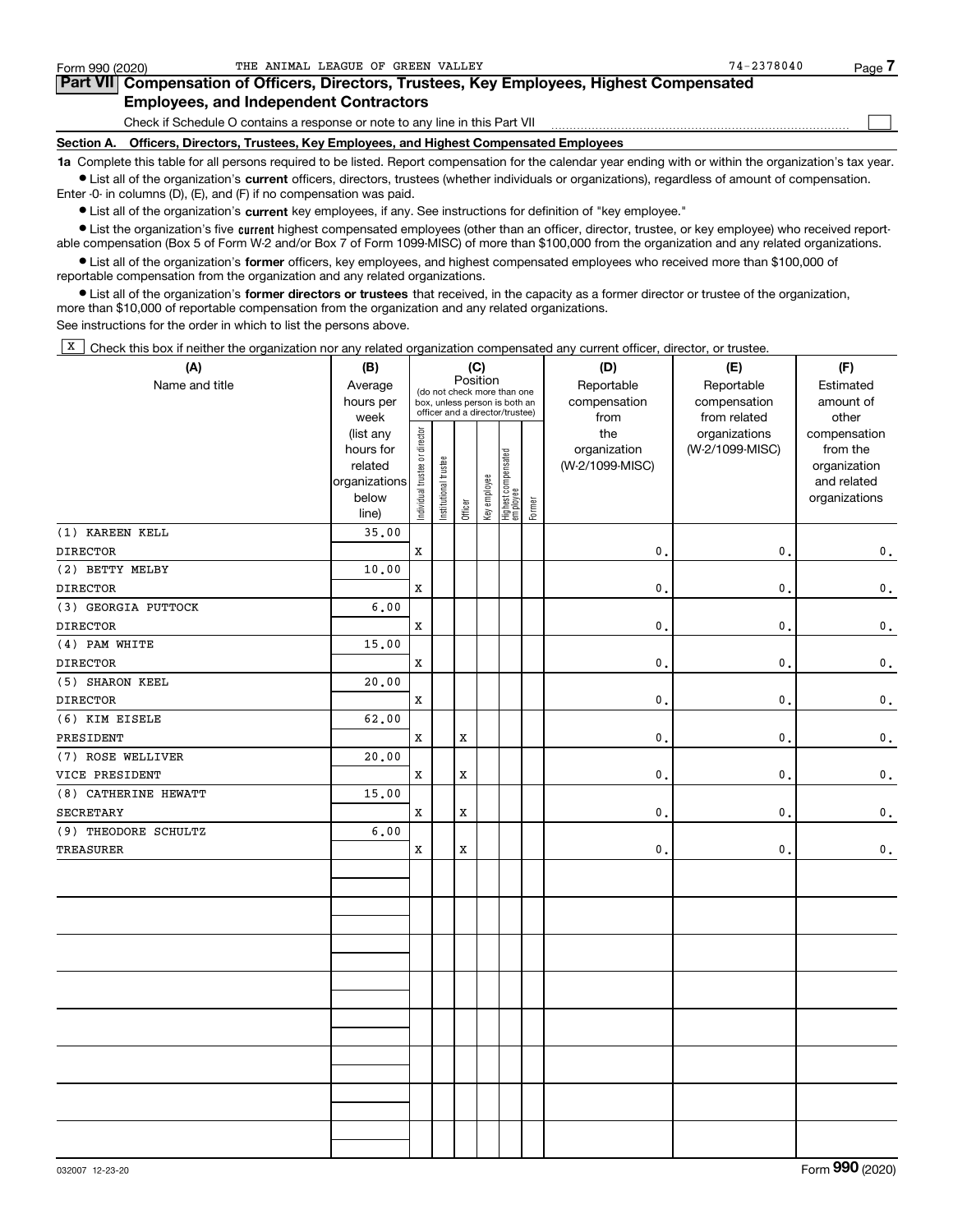$\mathcal{L}^{\text{max}}$ 

# **7Part VII Compensation of Officers, Directors, Trustees, Key Employees, Highest Compensated Employees, and Independent Contractors**

Check if Schedule O contains a response or note to any line in this Part VII

**Section A. Officers, Directors, Trustees, Key Employees, and Highest Compensated Employees**

**1a**  Complete this table for all persons required to be listed. Report compensation for the calendar year ending with or within the organization's tax year. **•** List all of the organization's current officers, directors, trustees (whether individuals or organizations), regardless of amount of compensation.

Enter -0- in columns (D), (E), and (F) if no compensation was paid.

 $\bullet$  List all of the organization's  $\,$ current key employees, if any. See instructions for definition of "key employee."

**•** List the organization's five current highest compensated employees (other than an officer, director, trustee, or key employee) who received reportable compensation (Box 5 of Form W-2 and/or Box 7 of Form 1099-MISC) of more than \$100,000 from the organization and any related organizations.

**•** List all of the organization's former officers, key employees, and highest compensated employees who received more than \$100,000 of reportable compensation from the organization and any related organizations.

**former directors or trustees**  ¥ List all of the organization's that received, in the capacity as a former director or trustee of the organization, more than \$10,000 of reportable compensation from the organization and any related organizations.

See instructions for the order in which to list the persons above.

 $\overline{X}$  Check this box if neither the organization nor any related organization compensated any current officer, director, or trustee.

| (A)                  | (B)               | (C)                            |                                                                  |             |              |                                 |        | (D)             | (E)                           | (F)                   |
|----------------------|-------------------|--------------------------------|------------------------------------------------------------------|-------------|--------------|---------------------------------|--------|-----------------|-------------------------------|-----------------------|
| Name and title       | Average           |                                | Position<br>(do not check more than one                          |             |              |                                 |        | Reportable      | Reportable                    | Estimated             |
|                      | hours per         |                                | box, unless person is both an<br>officer and a director/trustee) |             |              |                                 |        | compensation    | compensation                  | amount of             |
|                      | week<br>(list any |                                |                                                                  |             |              |                                 |        | from<br>the     | from related<br>organizations | other<br>compensation |
|                      | hours for         |                                |                                                                  |             |              |                                 |        | organization    | (W-2/1099-MISC)               | from the              |
|                      | related           |                                |                                                                  |             |              |                                 |        | (W-2/1099-MISC) |                               | organization          |
|                      | organizations     |                                |                                                                  |             |              |                                 |        |                 |                               | and related           |
|                      | below             | Individual trustee or director | Institutional trustee                                            | Officer     | Key employee | Highest compensated<br>employee | Former |                 |                               | organizations         |
|                      | line)             |                                |                                                                  |             |              |                                 |        |                 |                               |                       |
| (1) KAREEN KELL      | 35.00             |                                |                                                                  |             |              |                                 |        |                 |                               |                       |
| <b>DIRECTOR</b>      |                   | X                              |                                                                  |             |              |                                 |        | 0.              | 0.                            | 0.                    |
| (2) BETTY MELBY      | 10.00             |                                |                                                                  |             |              |                                 |        |                 |                               |                       |
| <b>DIRECTOR</b>      |                   | X                              |                                                                  |             |              |                                 |        | 0.              | $\mathbf{0}$ .                | $\mathbf 0$ .         |
| (3) GEORGIA PUTTOCK  | 6.00              |                                |                                                                  |             |              |                                 |        |                 |                               |                       |
| <b>DIRECTOR</b>      |                   | X                              |                                                                  |             |              |                                 |        | 0.              | $\mathbf{0}$                  | 0.                    |
| (4) PAM WHITE        | 15.00             |                                |                                                                  |             |              |                                 |        |                 |                               |                       |
| <b>DIRECTOR</b>      |                   | X                              |                                                                  |             |              |                                 |        | 0               | $\mathbf{0}$                  | 0.                    |
| (5) SHARON KEEL      | 20.00             |                                |                                                                  |             |              |                                 |        |                 |                               |                       |
| <b>DIRECTOR</b>      |                   | X                              |                                                                  |             |              |                                 |        | 0.              | $\mathbf{0}$ .                | $\mathbf 0$ .         |
| (6) KIM EISELE       | 62.00             |                                |                                                                  |             |              |                                 |        |                 |                               |                       |
| PRESIDENT            |                   | X                              |                                                                  | X           |              |                                 |        | $\mathbf{0}$ .  | 0.                            | $\mathbf 0$ .         |
| (7) ROSE WELLIVER    | 20.00             |                                |                                                                  |             |              |                                 |        |                 |                               |                       |
| VICE PRESIDENT       |                   | $\mathbf X$                    |                                                                  | $\mathbf x$ |              |                                 |        | $\mathbf{0}$ .  | $\mathbf{0}$ .                | 0.                    |
| (8) CATHERINE HEWATT | 15.00             |                                |                                                                  |             |              |                                 |        |                 |                               |                       |
| <b>SECRETARY</b>     |                   | X                              |                                                                  | X           |              |                                 |        | 0.              | $\mathbf{0}$ .                | $\mathbf 0$ .         |
| (9) THEODORE SCHULTZ | 6.00              |                                |                                                                  |             |              |                                 |        |                 |                               |                       |
| <b>TREASURER</b>     |                   | $\mathbf x$                    |                                                                  | $\mathbf x$ |              |                                 |        | $\mathbf{0}$ .  | $\mathbf{0}$ .                | $\mathbf 0$ .         |
|                      |                   |                                |                                                                  |             |              |                                 |        |                 |                               |                       |
|                      |                   |                                |                                                                  |             |              |                                 |        |                 |                               |                       |
|                      |                   |                                |                                                                  |             |              |                                 |        |                 |                               |                       |
|                      |                   |                                |                                                                  |             |              |                                 |        |                 |                               |                       |
|                      |                   |                                |                                                                  |             |              |                                 |        |                 |                               |                       |
|                      |                   |                                |                                                                  |             |              |                                 |        |                 |                               |                       |
|                      |                   |                                |                                                                  |             |              |                                 |        |                 |                               |                       |
|                      |                   |                                |                                                                  |             |              |                                 |        |                 |                               |                       |
|                      |                   |                                |                                                                  |             |              |                                 |        |                 |                               |                       |
|                      |                   |                                |                                                                  |             |              |                                 |        |                 |                               |                       |
|                      |                   |                                |                                                                  |             |              |                                 |        |                 |                               |                       |
|                      |                   |                                |                                                                  |             |              |                                 |        |                 |                               |                       |
|                      |                   |                                |                                                                  |             |              |                                 |        |                 |                               |                       |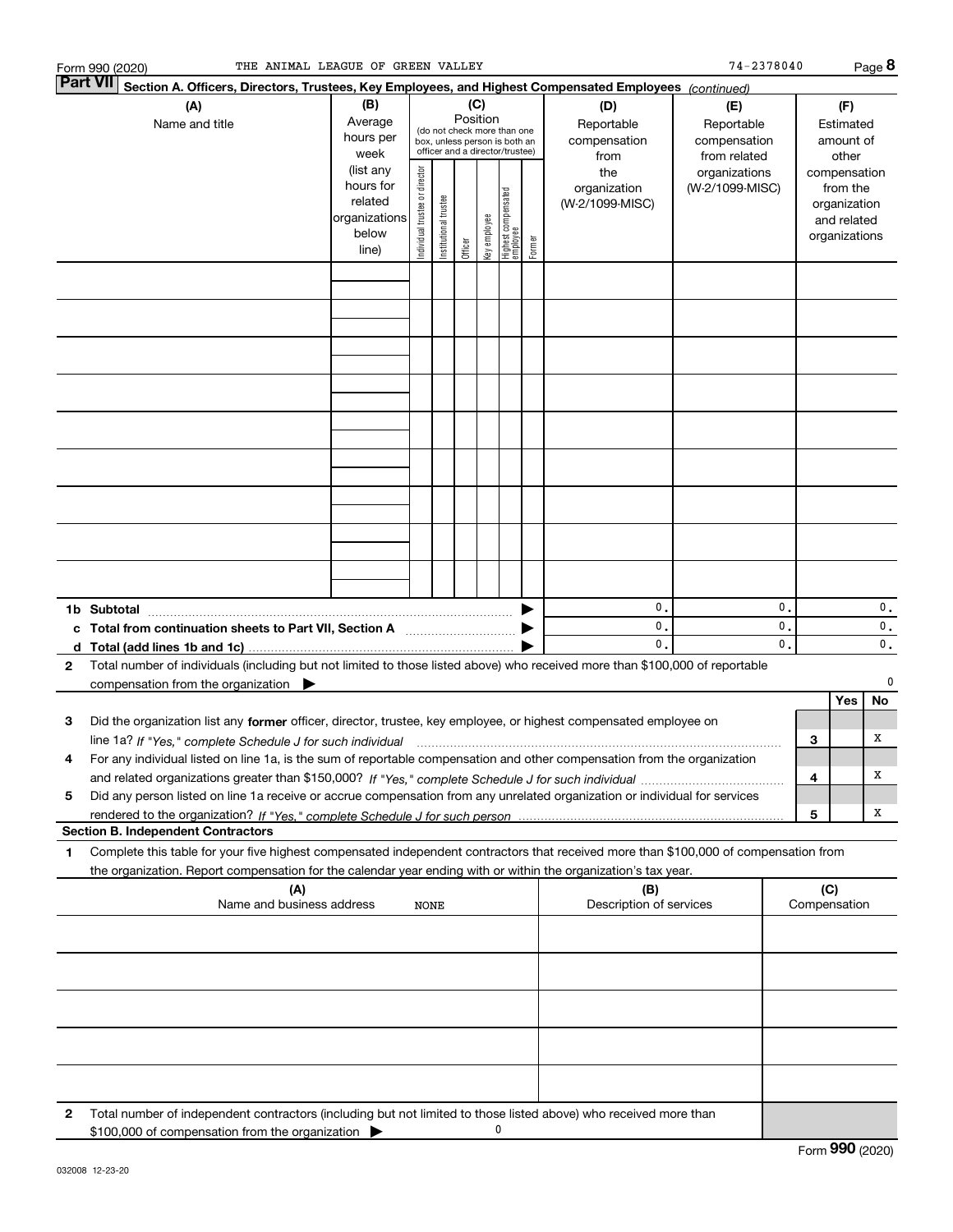|   | THE ANIMAL LEAGUE OF GREEN VALLEY<br>Form 990 (2020)                                                                                                                              |                                                                      |                                |                       |                 |              |                                                                                                 |        |                                           | 74-2378040                                        |                |     |                                                                          | $Page$ 8 |
|---|-----------------------------------------------------------------------------------------------------------------------------------------------------------------------------------|----------------------------------------------------------------------|--------------------------------|-----------------------|-----------------|--------------|-------------------------------------------------------------------------------------------------|--------|-------------------------------------------|---------------------------------------------------|----------------|-----|--------------------------------------------------------------------------|----------|
|   | <b>Part VII</b><br>Section A. Officers, Directors, Trustees, Key Employees, and Highest Compensated Employees (continued)                                                         |                                                                      |                                |                       |                 |              |                                                                                                 |        |                                           |                                                   |                |     |                                                                          |          |
|   | (A)<br>Name and title                                                                                                                                                             | (B)<br>Average<br>hours per<br>week                                  |                                |                       | (C)<br>Position |              | (do not check more than one<br>box, unless person is both an<br>officer and a director/trustee) |        | (D)<br>Reportable<br>compensation<br>from | (E)<br>Reportable<br>compensation<br>from related |                |     | (F)<br>Estimated<br>amount of<br>other                                   |          |
|   |                                                                                                                                                                                   | (list any<br>hours for<br>related<br>organizations<br>below<br>line) | Individual trustee or director | Institutional trustee | Officer         | key employee | Highest compensated<br>employee                                                                 | Former | the<br>organization<br>(W-2/1099-MISC)    | organizations<br>(W-2/1099-MISC)                  |                |     | compensation<br>from the<br>organization<br>and related<br>organizations |          |
|   |                                                                                                                                                                                   |                                                                      |                                |                       |                 |              |                                                                                                 |        |                                           |                                                   |                |     |                                                                          |          |
|   |                                                                                                                                                                                   |                                                                      |                                |                       |                 |              |                                                                                                 |        |                                           |                                                   |                |     |                                                                          |          |
|   |                                                                                                                                                                                   |                                                                      |                                |                       |                 |              |                                                                                                 |        |                                           |                                                   |                |     |                                                                          |          |
|   |                                                                                                                                                                                   |                                                                      |                                |                       |                 |              |                                                                                                 |        |                                           |                                                   |                |     |                                                                          |          |
|   |                                                                                                                                                                                   |                                                                      |                                |                       |                 |              |                                                                                                 |        |                                           |                                                   |                |     |                                                                          |          |
|   |                                                                                                                                                                                   |                                                                      |                                |                       |                 |              |                                                                                                 |        |                                           |                                                   |                |     |                                                                          |          |
|   |                                                                                                                                                                                   |                                                                      |                                |                       |                 |              |                                                                                                 |        |                                           |                                                   |                |     |                                                                          |          |
|   |                                                                                                                                                                                   |                                                                      |                                |                       |                 |              |                                                                                                 |        |                                           |                                                   |                |     |                                                                          |          |
|   |                                                                                                                                                                                   |                                                                      |                                |                       |                 |              |                                                                                                 |        |                                           |                                                   |                |     |                                                                          |          |
|   |                                                                                                                                                                                   |                                                                      |                                |                       |                 |              |                                                                                                 |        |                                           |                                                   |                |     |                                                                          |          |
|   | 1b Subtotal                                                                                                                                                                       |                                                                      |                                |                       |                 |              |                                                                                                 |        | $\mathbf{0}$ .                            |                                                   | $\mathbf{0}$ . |     |                                                                          | 0.       |
|   | c Total from continuation sheets to Part VII, Section A <b>manual</b> contains the Total from continuum                                                                           |                                                                      |                                |                       |                 |              |                                                                                                 |        | 0.<br>$\mathbf 0$ .                       |                                                   | 0.<br>0.       |     |                                                                          | 0.<br>0. |
| 2 | Total number of individuals (including but not limited to those listed above) who received more than \$100,000 of reportable                                                      |                                                                      |                                |                       |                 |              |                                                                                                 |        |                                           |                                                   |                |     |                                                                          |          |
|   | compensation from the organization $\blacktriangleright$                                                                                                                          |                                                                      |                                |                       |                 |              |                                                                                                 |        |                                           |                                                   |                |     | Yes                                                                      | 0<br>No  |
| з | Did the organization list any former officer, director, trustee, key employee, or highest compensated employee on                                                                 |                                                                      |                                |                       |                 |              |                                                                                                 |        |                                           |                                                   |                |     |                                                                          |          |
| 4 | For any individual listed on line 1a, is the sum of reportable compensation and other compensation from the organization                                                          |                                                                      |                                |                       |                 |              |                                                                                                 |        |                                           |                                                   |                | 3   |                                                                          | х        |
| 5 | Did any person listed on line 1a receive or accrue compensation from any unrelated organization or individual for services                                                        |                                                                      |                                |                       |                 |              |                                                                                                 |        |                                           |                                                   |                | 4   |                                                                          | х        |
|   |                                                                                                                                                                                   |                                                                      |                                |                       |                 |              |                                                                                                 |        |                                           |                                                   |                | 5   |                                                                          | x        |
| 1 | <b>Section B. Independent Contractors</b><br>Complete this table for your five highest compensated independent contractors that received more than \$100,000 of compensation from |                                                                      |                                |                       |                 |              |                                                                                                 |        |                                           |                                                   |                |     |                                                                          |          |
|   | the organization. Report compensation for the calendar year ending with or within the organization's tax year.<br>(A)                                                             |                                                                      |                                |                       |                 |              |                                                                                                 |        | (B)                                       |                                                   |                | (C) |                                                                          |          |
|   | Name and business address                                                                                                                                                         |                                                                      | <b>NONE</b>                    |                       |                 |              |                                                                                                 |        | Description of services                   |                                                   |                |     | Compensation                                                             |          |
|   |                                                                                                                                                                                   |                                                                      |                                |                       |                 |              |                                                                                                 |        |                                           |                                                   |                |     |                                                                          |          |
|   |                                                                                                                                                                                   |                                                                      |                                |                       |                 |              |                                                                                                 |        |                                           |                                                   |                |     |                                                                          |          |
|   |                                                                                                                                                                                   |                                                                      |                                |                       |                 |              |                                                                                                 |        |                                           |                                                   |                |     |                                                                          |          |
|   |                                                                                                                                                                                   |                                                                      |                                |                       |                 |              |                                                                                                 |        |                                           |                                                   |                |     |                                                                          |          |
|   |                                                                                                                                                                                   |                                                                      |                                |                       |                 |              |                                                                                                 |        |                                           |                                                   |                |     |                                                                          |          |
| 2 | Total number of independent contractors (including but not limited to those listed above) who received more than                                                                  |                                                                      |                                |                       |                 |              |                                                                                                 |        |                                           |                                                   |                |     |                                                                          |          |
|   | \$100,000 of compensation from the organization                                                                                                                                   |                                                                      |                                |                       |                 |              | 0                                                                                               |        |                                           |                                                   |                |     |                                                                          |          |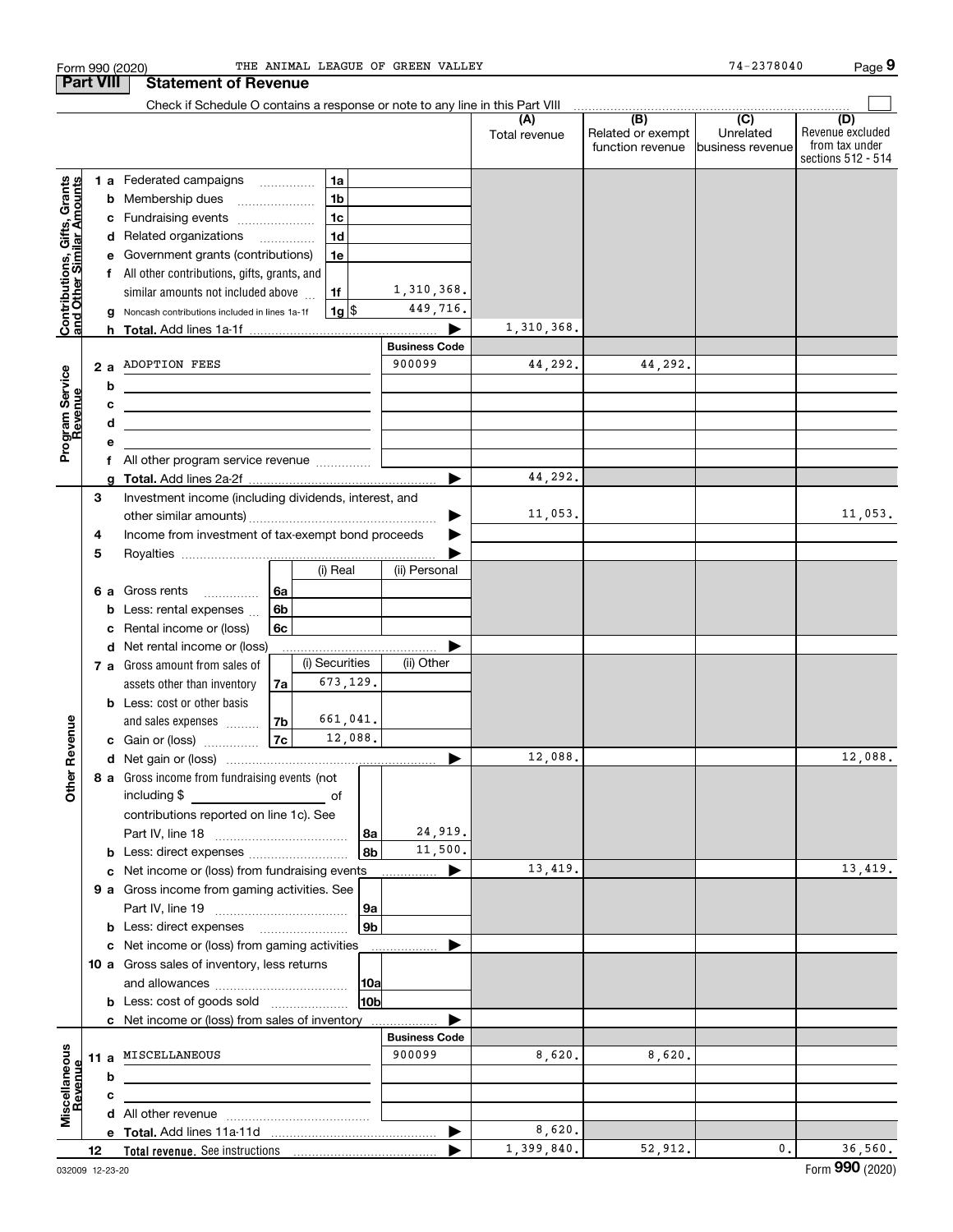| Form 990 (2020)                                           |    |    |                                                                                           |                |                |                      | THE ANIMAL LEAGUE OF GREEN VALLEY |                      |                                              | 74-2378040                                       | Page 9                                                          |
|-----------------------------------------------------------|----|----|-------------------------------------------------------------------------------------------|----------------|----------------|----------------------|-----------------------------------|----------------------|----------------------------------------------|--------------------------------------------------|-----------------------------------------------------------------|
| <b>Part VIII</b>                                          |    |    | <b>Statement of Revenue</b>                                                               |                |                |                      |                                   |                      |                                              |                                                  |                                                                 |
|                                                           |    |    | Check if Schedule O contains a response or note to any line in this Part VIII             |                |                |                      |                                   |                      |                                              |                                                  |                                                                 |
|                                                           |    |    |                                                                                           |                |                |                      |                                   | (A)<br>Total revenue | (B)<br>Related or exempt<br>function revenue | $\overline{C}$<br>Unrelated<br>lbusiness revenue | (D)<br>Revenue excluded<br>from tax under<br>sections 512 - 514 |
|                                                           |    |    | 1 a Federated campaigns                                                                   |                | 1a             |                      |                                   |                      |                                              |                                                  |                                                                 |
|                                                           |    |    | <b>b</b> Membership dues<br>$\overline{\phantom{a}}$                                      |                | 1 <sub>b</sub> |                      |                                   |                      |                                              |                                                  |                                                                 |
|                                                           |    |    | c Fundraising events                                                                      |                | 1 <sub>c</sub> |                      |                                   |                      |                                              |                                                  |                                                                 |
|                                                           |    |    | d Related organizations                                                                   |                | 1 <sub>d</sub> |                      |                                   |                      |                                              |                                                  |                                                                 |
|                                                           |    |    | e Government grants (contributions)                                                       |                | 1e             |                      |                                   |                      |                                              |                                                  |                                                                 |
|                                                           |    |    | f All other contributions, gifts, grants, and                                             |                |                |                      |                                   |                      |                                              |                                                  |                                                                 |
| Contributions, Gifts, Grants<br>and Other Similar Amounts |    |    | similar amounts not included above                                                        |                | 1f             |                      | 1,310,368.                        |                      |                                              |                                                  |                                                                 |
|                                                           |    |    | g Noncash contributions included in lines 1a-1f                                           |                | $1g$ \$        |                      | 449,716.                          |                      |                                              |                                                  |                                                                 |
|                                                           |    |    |                                                                                           |                |                |                      |                                   | 1,310,368.           |                                              |                                                  |                                                                 |
|                                                           |    |    |                                                                                           |                |                |                      | <b>Business Code</b>              |                      |                                              |                                                  |                                                                 |
| Program Service<br>Revenue                                |    | 2a | <b>ADOPTION FEES</b>                                                                      |                |                |                      | 900099                            | 44,292.              | 44,292.                                      |                                                  |                                                                 |
|                                                           |    | b  | the contract of the contract of the contract of the contract of the                       |                |                |                      |                                   |                      |                                              |                                                  |                                                                 |
|                                                           |    | с  | <u> 1989 - Johann Stein, mars an deus an deus Amerikaanse komme</u>                       |                |                |                      |                                   |                      |                                              |                                                  |                                                                 |
|                                                           |    | d  | the control of the control of the control of the control of the control of the control of |                |                |                      |                                   |                      |                                              |                                                  |                                                                 |
|                                                           |    | е  | f All other program service revenue                                                       |                |                |                      |                                   |                      |                                              |                                                  |                                                                 |
|                                                           |    |    |                                                                                           |                |                |                      |                                   | 44,292.              |                                              |                                                  |                                                                 |
|                                                           | З  |    | Investment income (including dividends, interest, and                                     |                |                |                      |                                   |                      |                                              |                                                  |                                                                 |
|                                                           |    |    |                                                                                           |                |                |                      |                                   | 11,053.              |                                              |                                                  | 11,053.                                                         |
|                                                           | 4  |    | Income from investment of tax-exempt bond proceeds                                        |                |                |                      |                                   |                      |                                              |                                                  |                                                                 |
|                                                           | 5  |    |                                                                                           |                |                |                      |                                   |                      |                                              |                                                  |                                                                 |
|                                                           |    |    |                                                                                           |                | (i) Real       |                      | (ii) Personal                     |                      |                                              |                                                  |                                                                 |
|                                                           |    | 6а | Gross rents<br>.                                                                          | 6a             |                |                      |                                   |                      |                                              |                                                  |                                                                 |
|                                                           |    |    | <b>b</b> Less: rental expenses $\ldots$                                                   | 6 <sub>b</sub> |                |                      |                                   |                      |                                              |                                                  |                                                                 |
|                                                           |    |    | c Rental income or (loss)                                                                 | 6c             |                |                      |                                   |                      |                                              |                                                  |                                                                 |
|                                                           |    |    | d Net rental income or (loss)                                                             |                |                |                      |                                   |                      |                                              |                                                  |                                                                 |
|                                                           |    |    | 7 a Gross amount from sales of                                                            |                | (i) Securities |                      | (ii) Other                        |                      |                                              |                                                  |                                                                 |
|                                                           |    |    | assets other than inventory                                                               | 7al            | 673,129.       |                      |                                   |                      |                                              |                                                  |                                                                 |
|                                                           |    |    | <b>b</b> Less: cost or other basis                                                        |                |                |                      |                                   |                      |                                              |                                                  |                                                                 |
|                                                           |    |    | and sales expenses                                                                        | 7b             | 661,041.       |                      |                                   |                      |                                              |                                                  |                                                                 |
| evenue                                                    |    |    | c Gain or (loss)                                                                          | 7c             | 12,088.        |                      |                                   |                      |                                              |                                                  |                                                                 |
| Œ                                                         |    |    | d Net gain or (loss)                                                                      |                |                |                      |                                   | 12,088.              |                                              |                                                  | 12,088.                                                         |
| Other                                                     |    |    | 8 a Gross income from fundraising events (not                                             |                |                |                      |                                   |                      |                                              |                                                  |                                                                 |
|                                                           |    |    | including \$<br>and the contract of the contract of                                       |                |                |                      |                                   |                      |                                              |                                                  |                                                                 |
|                                                           |    |    | contributions reported on line 1c). See                                                   |                |                |                      | 24,919.                           |                      |                                              |                                                  |                                                                 |
|                                                           |    |    |                                                                                           |                |                | 8a<br>8 <sub>b</sub> | 11,500.                           |                      |                                              |                                                  |                                                                 |
|                                                           |    |    | <b>b</b> Less: direct expenses <i></i><br>c Net income or (loss) from fundraising events  |                |                |                      | ▶                                 | 13,419.              |                                              |                                                  | 13,419.                                                         |
|                                                           |    |    | 9 a Gross income from gaming activities. See                                              |                |                |                      |                                   |                      |                                              |                                                  |                                                                 |
|                                                           |    |    |                                                                                           |                |                | 9a                   |                                   |                      |                                              |                                                  |                                                                 |
|                                                           |    |    | <b>b</b> Less: direct expenses <b>manually</b>                                            |                |                | 9 <sub>b</sub>       |                                   |                      |                                              |                                                  |                                                                 |
|                                                           |    |    | c Net income or (loss) from gaming activities                                             |                |                |                      | .                                 |                      |                                              |                                                  |                                                                 |
|                                                           |    |    | 10 a Gross sales of inventory, less returns                                               |                |                |                      |                                   |                      |                                              |                                                  |                                                                 |
|                                                           |    |    |                                                                                           |                |                | 10a                  |                                   |                      |                                              |                                                  |                                                                 |
|                                                           |    |    | <b>b</b> Less: cost of goods sold                                                         |                |                | 10ь                  |                                   |                      |                                              |                                                  |                                                                 |
|                                                           |    |    | c Net income or (loss) from sales of inventory                                            |                |                |                      |                                   |                      |                                              |                                                  |                                                                 |
|                                                           |    |    |                                                                                           |                |                |                      | <b>Business Code</b>              |                      |                                              |                                                  |                                                                 |
| Miscellaneous                                             |    |    | 11 a MISCELLANEOUS                                                                        |                |                |                      | 900099                            | 8,620.               | 8,620.                                       |                                                  |                                                                 |
| Revenue                                                   |    | b  |                                                                                           |                |                |                      |                                   |                      |                                              |                                                  |                                                                 |
|                                                           |    | с  | the control of the control of the control of the control of the control of the control of |                |                |                      |                                   |                      |                                              |                                                  |                                                                 |
|                                                           |    |    |                                                                                           |                |                |                      |                                   |                      |                                              |                                                  |                                                                 |
|                                                           |    |    |                                                                                           |                |                |                      |                                   | 8,620.               |                                              |                                                  |                                                                 |
|                                                           | 12 |    |                                                                                           |                |                |                      |                                   | 1,399,840.           | 52,912.                                      | 0.                                               | 36,560.                                                         |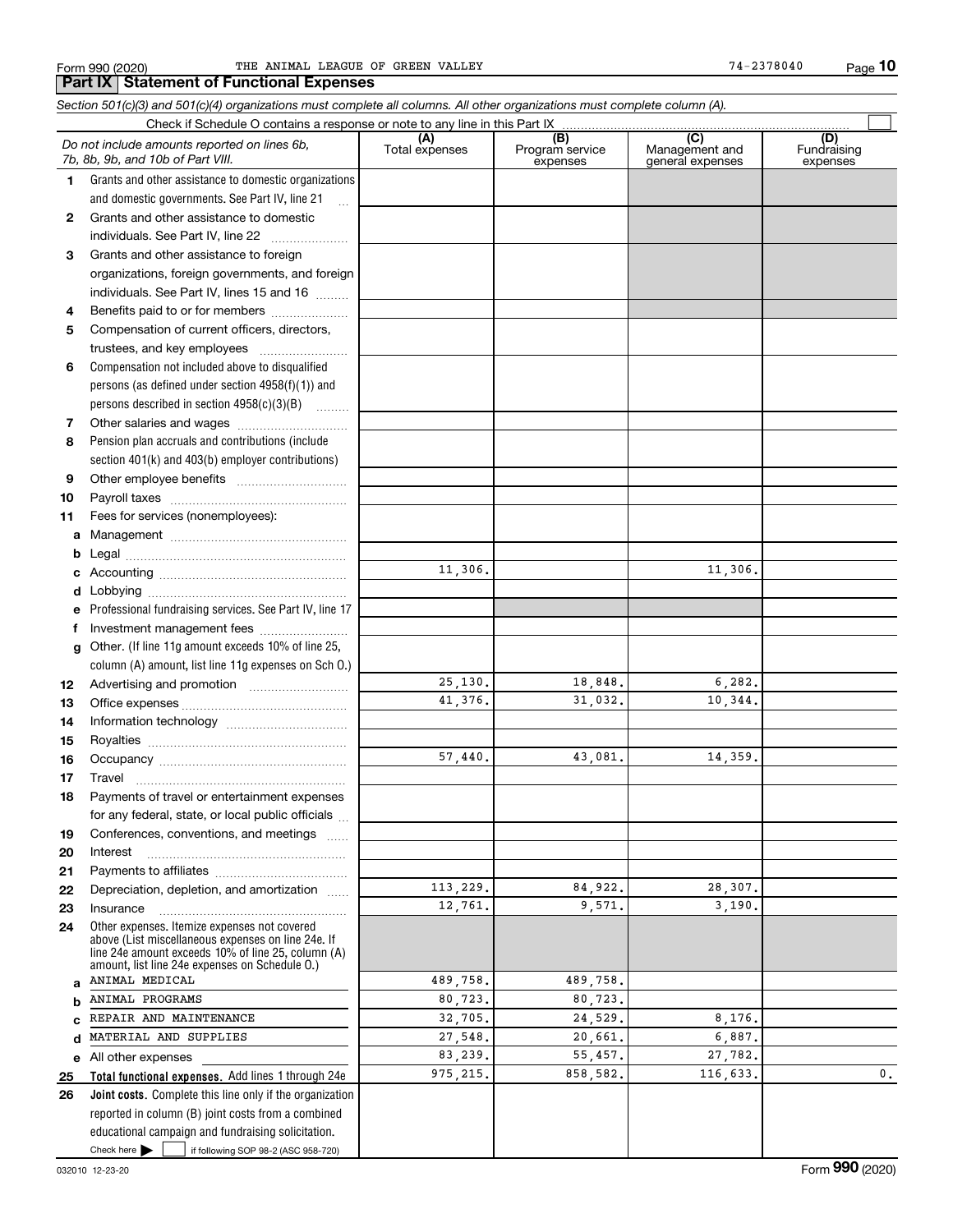|                                                                                                                                                                                                                  | Check if Schedule O contains a response or note to any line in this Part IX |                                    |                                           |                                |
|------------------------------------------------------------------------------------------------------------------------------------------------------------------------------------------------------------------|-----------------------------------------------------------------------------|------------------------------------|-------------------------------------------|--------------------------------|
| Do not include amounts reported on lines 6b,<br>7b, 8b, 9b, and 10b of Part VIII.                                                                                                                                | (A)<br>Total expenses                                                       | (B)<br>Program service<br>expenses | (C)<br>Management and<br>general expenses | (D)<br>Fundraising<br>expenses |
| 1.<br>Grants and other assistance to domestic organizations                                                                                                                                                      |                                                                             |                                    |                                           |                                |
| and domestic governments. See Part IV, line 21<br>$\mathbf{r}$                                                                                                                                                   |                                                                             |                                    |                                           |                                |
| Grants and other assistance to domestic<br>$\mathbf{2}$                                                                                                                                                          |                                                                             |                                    |                                           |                                |
| individuals. See Part IV, line 22                                                                                                                                                                                |                                                                             |                                    |                                           |                                |
| Grants and other assistance to foreign<br>3                                                                                                                                                                      |                                                                             |                                    |                                           |                                |
| organizations, foreign governments, and foreign                                                                                                                                                                  |                                                                             |                                    |                                           |                                |
| individuals. See Part IV, lines 15 and 16                                                                                                                                                                        |                                                                             |                                    |                                           |                                |
| Benefits paid to or for members<br>4                                                                                                                                                                             |                                                                             |                                    |                                           |                                |
| Compensation of current officers, directors,<br>5                                                                                                                                                                |                                                                             |                                    |                                           |                                |
| trustees, and key employees                                                                                                                                                                                      |                                                                             |                                    |                                           |                                |
| Compensation not included above to disqualified<br>6                                                                                                                                                             |                                                                             |                                    |                                           |                                |
| persons (as defined under section $4958(f)(1)$ ) and                                                                                                                                                             |                                                                             |                                    |                                           |                                |
| persons described in section 4958(c)(3)(B)                                                                                                                                                                       |                                                                             |                                    |                                           |                                |
| 7                                                                                                                                                                                                                |                                                                             |                                    |                                           |                                |
| Pension plan accruals and contributions (include<br>8                                                                                                                                                            |                                                                             |                                    |                                           |                                |
| section 401(k) and 403(b) employer contributions)                                                                                                                                                                |                                                                             |                                    |                                           |                                |
| 9                                                                                                                                                                                                                |                                                                             |                                    |                                           |                                |
| 10                                                                                                                                                                                                               |                                                                             |                                    |                                           |                                |
| 11<br>Fees for services (nonemployees):                                                                                                                                                                          |                                                                             |                                    |                                           |                                |
| а                                                                                                                                                                                                                |                                                                             |                                    |                                           |                                |
| b                                                                                                                                                                                                                |                                                                             |                                    |                                           |                                |
|                                                                                                                                                                                                                  | 11,306.                                                                     |                                    | 11,306.                                   |                                |
| d                                                                                                                                                                                                                |                                                                             |                                    |                                           |                                |
| Professional fundraising services. See Part IV, line 17<br>е                                                                                                                                                     |                                                                             |                                    |                                           |                                |
| Investment management fees<br>f.                                                                                                                                                                                 |                                                                             |                                    |                                           |                                |
| Other. (If line 11g amount exceeds 10% of line 25,<br>g                                                                                                                                                          |                                                                             |                                    |                                           |                                |
| column (A) amount, list line 11g expenses on Sch 0.)                                                                                                                                                             |                                                                             |                                    |                                           |                                |
| 12                                                                                                                                                                                                               | 25,130.                                                                     | 18,848.                            | 6, 282.                                   |                                |
| 13                                                                                                                                                                                                               | 41,376.                                                                     | 31,032.                            | 10,344.                                   |                                |
| 14                                                                                                                                                                                                               |                                                                             |                                    |                                           |                                |
| 15                                                                                                                                                                                                               |                                                                             |                                    |                                           |                                |
| 16                                                                                                                                                                                                               | 57,440.                                                                     | 43,081.                            | 14.359.                                   |                                |
| 17                                                                                                                                                                                                               |                                                                             |                                    |                                           |                                |
| Payments of travel or entertainment expenses<br>18                                                                                                                                                               |                                                                             |                                    |                                           |                                |
| for any federal, state, or local public officials                                                                                                                                                                |                                                                             |                                    |                                           |                                |
| Conferences, conventions, and meetings<br>19                                                                                                                                                                     |                                                                             |                                    |                                           |                                |
| 20<br>Interest                                                                                                                                                                                                   |                                                                             |                                    |                                           |                                |
| 21                                                                                                                                                                                                               |                                                                             |                                    |                                           |                                |
| Depreciation, depletion, and amortization<br>22                                                                                                                                                                  | 113,229.                                                                    | 84,922.                            | 28,307.                                   |                                |
| Insurance<br>23                                                                                                                                                                                                  | 12,761.                                                                     | 9,571.                             | 3,190.                                    |                                |
| Other expenses. Itemize expenses not covered<br>24<br>above (List miscellaneous expenses on line 24e. If<br>line 24e amount exceeds 10% of line 25, column (A)<br>amount, list line 24e expenses on Schedule O.) |                                                                             |                                    |                                           |                                |
| ANIMAL MEDICAL<br>a                                                                                                                                                                                              | 489,758.                                                                    | 489,758.                           |                                           |                                |
| ANIMAL PROGRAMS<br>b                                                                                                                                                                                             | 80,723.                                                                     | 80,723.                            |                                           |                                |
| REPAIR AND MAINTENANCE                                                                                                                                                                                           | 32,705.                                                                     | 24,529.                            | 8,176.                                    |                                |
| MATERIAL AND SUPPLIES<br>d                                                                                                                                                                                       | 27,548.                                                                     | 20,661.                            | 6,887.                                    |                                |
| All other expenses<br>е                                                                                                                                                                                          | 83,239.                                                                     | 55,457.                            | 27,782.                                   |                                |
| Total functional expenses. Add lines 1 through 24e<br>25                                                                                                                                                         | 975, 215.                                                                   | 858,582.                           | 116,633.                                  | 0.                             |
| Joint costs. Complete this line only if the organization<br>26                                                                                                                                                   |                                                                             |                                    |                                           |                                |
| reported in column (B) joint costs from a combined                                                                                                                                                               |                                                                             |                                    |                                           |                                |
| educational campaign and fundraising solicitation.                                                                                                                                                               |                                                                             |                                    |                                           |                                |

Check here  $\begin{array}{|c|c|c|c|c|}\hline \text{ } & \text{ if following SOP 98-2 (ASC 958-720)} \hline \end{array}$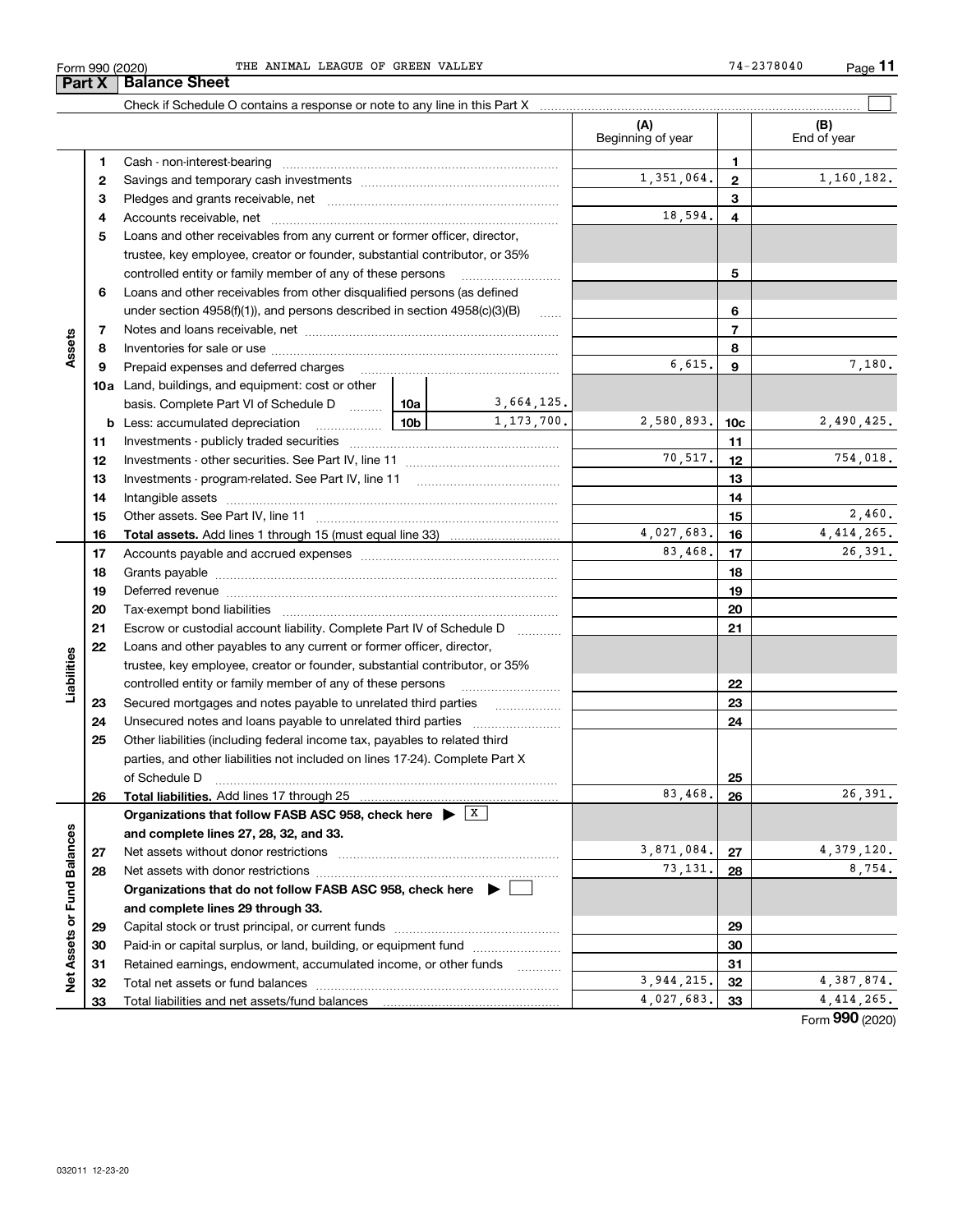| ∙orm | THE<br>990 (2020) | ANIMAI | ОF<br>LEAGUE | GREEN | VALLEY | 778040<br>$\mathbf{A}$<br>ـ ـ | <b>STATISTICS</b><br>Page |  |
|------|-------------------|--------|--------------|-------|--------|-------------------------------|---------------------------|--|
|------|-------------------|--------|--------------|-------|--------|-------------------------------|---------------------------|--|

**11**  $74 - 2378040$ 

|                             |    | Check if Schedule O contains a response or note to any line in this Part X                                                                                                                                                     |                 |            |                          |                |                    |
|-----------------------------|----|--------------------------------------------------------------------------------------------------------------------------------------------------------------------------------------------------------------------------------|-----------------|------------|--------------------------|----------------|--------------------|
|                             |    |                                                                                                                                                                                                                                |                 |            | (A)<br>Beginning of year |                | (B)<br>End of year |
|                             | 1  |                                                                                                                                                                                                                                |                 |            |                          | 1              |                    |
|                             | 2  |                                                                                                                                                                                                                                | 1,351,064.      | 2          | 1,160,182.               |                |                    |
|                             | з  |                                                                                                                                                                                                                                |                 |            |                          | 3              |                    |
|                             | 4  |                                                                                                                                                                                                                                |                 |            | 18,594.                  | 4              |                    |
|                             | 5  | Loans and other receivables from any current or former officer, director,                                                                                                                                                      |                 |            |                          |                |                    |
|                             |    | trustee, key employee, creator or founder, substantial contributor, or 35%                                                                                                                                                     |                 |            |                          |                |                    |
|                             |    | controlled entity or family member of any of these persons                                                                                                                                                                     |                 |            |                          | 5              |                    |
|                             | 6  | Loans and other receivables from other disqualified persons (as defined                                                                                                                                                        |                 |            |                          |                |                    |
|                             |    | under section $4958(f)(1)$ , and persons described in section $4958(c)(3)(B)$                                                                                                                                                  |                 |            |                          | 6              |                    |
|                             | 7  |                                                                                                                                                                                                                                |                 |            |                          | $\overline{7}$ |                    |
| Assets                      | 8  |                                                                                                                                                                                                                                |                 |            |                          | 8              |                    |
|                             | 9  | Prepaid expenses and deferred charges                                                                                                                                                                                          |                 |            | 6,615.                   | 9              | 7,180.             |
|                             |    | <b>10a</b> Land, buildings, and equipment: cost or other                                                                                                                                                                       |                 |            |                          |                |                    |
|                             |    | basis. Complete Part VI of Schedule D  10a   3,664,125.                                                                                                                                                                        |                 |            |                          |                |                    |
|                             |    | <b>b</b> Less: accumulated depreciation                                                                                                                                                                                        | 10 <sub>b</sub> | 1,173,700. | 2,580,893.               | 10c            | 2,490,425.         |
|                             | 11 |                                                                                                                                                                                                                                |                 |            |                          | 11             |                    |
|                             | 12 |                                                                                                                                                                                                                                |                 |            | 70,517.                  | 12             | 754,018.           |
|                             | 13 |                                                                                                                                                                                                                                |                 |            | 13                       |                |                    |
|                             | 14 |                                                                                                                                                                                                                                |                 |            | 14                       |                |                    |
|                             | 15 |                                                                                                                                                                                                                                |                 |            | 15                       | 2,460.         |                    |
|                             | 16 |                                                                                                                                                                                                                                |                 |            | 4,027,683.               | 16             | 4, 414, 265.       |
|                             | 17 |                                                                                                                                                                                                                                | 83,468.         | 17         | 26,391.                  |                |                    |
|                             | 18 |                                                                                                                                                                                                                                |                 | 18         |                          |                |                    |
|                             | 19 | Deferred revenue manual contracts and contracts are all the contracts and contracts are contracted and contracts are contracted and contract are contracted and contract are contracted and contract are contracted and contra |                 |            |                          | 19             |                    |
|                             | 20 |                                                                                                                                                                                                                                |                 |            |                          | 20             |                    |
|                             | 21 | Escrow or custodial account liability. Complete Part IV of Schedule D                                                                                                                                                          |                 | .          |                          | 21             |                    |
|                             | 22 | Loans and other payables to any current or former officer, director,                                                                                                                                                           |                 |            |                          |                |                    |
| Liabilities                 |    | trustee, key employee, creator or founder, substantial contributor, or 35%                                                                                                                                                     |                 |            |                          |                |                    |
|                             |    | controlled entity or family member of any of these persons                                                                                                                                                                     |                 |            |                          | 22             |                    |
|                             | 23 |                                                                                                                                                                                                                                |                 |            |                          | 23             |                    |
|                             | 24 |                                                                                                                                                                                                                                |                 |            |                          | 24             |                    |
|                             | 25 | Other liabilities (including federal income tax, payables to related third                                                                                                                                                     |                 |            |                          |                |                    |
|                             |    | parties, and other liabilities not included on lines 17-24). Complete Part X                                                                                                                                                   |                 |            |                          |                |                    |
|                             |    | of Schedule D                                                                                                                                                                                                                  |                 |            |                          | 25             |                    |
|                             | 26 | Total liabilities. Add lines 17 through 25                                                                                                                                                                                     |                 |            | 83,468.                  | 26             | 26,391.            |
|                             |    | Organizations that follow FASB ASC 958, check here $\blacktriangleright$ $\boxed{\text{X}}$                                                                                                                                    |                 |            |                          |                |                    |
|                             |    | and complete lines 27, 28, 32, and 33.                                                                                                                                                                                         |                 |            |                          |                |                    |
|                             | 27 | Net assets without donor restrictions                                                                                                                                                                                          |                 |            | 3,871,084.               | 27             | 4, 379, 120.       |
|                             | 28 | Net assets with donor restrictions                                                                                                                                                                                             |                 |            | 73,131.                  | 28             | 8,754.             |
|                             |    | Organizations that do not follow FASB ASC 958, check here $\blacktriangleright$                                                                                                                                                |                 |            |                          |                |                    |
|                             |    | and complete lines 29 through 33.                                                                                                                                                                                              |                 |            |                          |                |                    |
|                             | 29 |                                                                                                                                                                                                                                |                 |            |                          | 29             |                    |
|                             | 30 | Paid-in or capital surplus, or land, building, or equipment fund                                                                                                                                                               |                 |            |                          | 30             |                    |
| Net Assets or Fund Balances | 31 | Retained earnings, endowment, accumulated income, or other funds                                                                                                                                                               |                 |            |                          | 31             |                    |
|                             | 32 | Total net assets or fund balances                                                                                                                                                                                              |                 |            | 3,944,215.               | 32             | 4,387,874.         |
|                             | 33 |                                                                                                                                                                                                                                | 4,027,683.      | 33         | 4, 414, 265.             |                |                    |

Form (2020) **990**

## **Part X Balance Sheet**

| Form 990 (202) |  |
|----------------|--|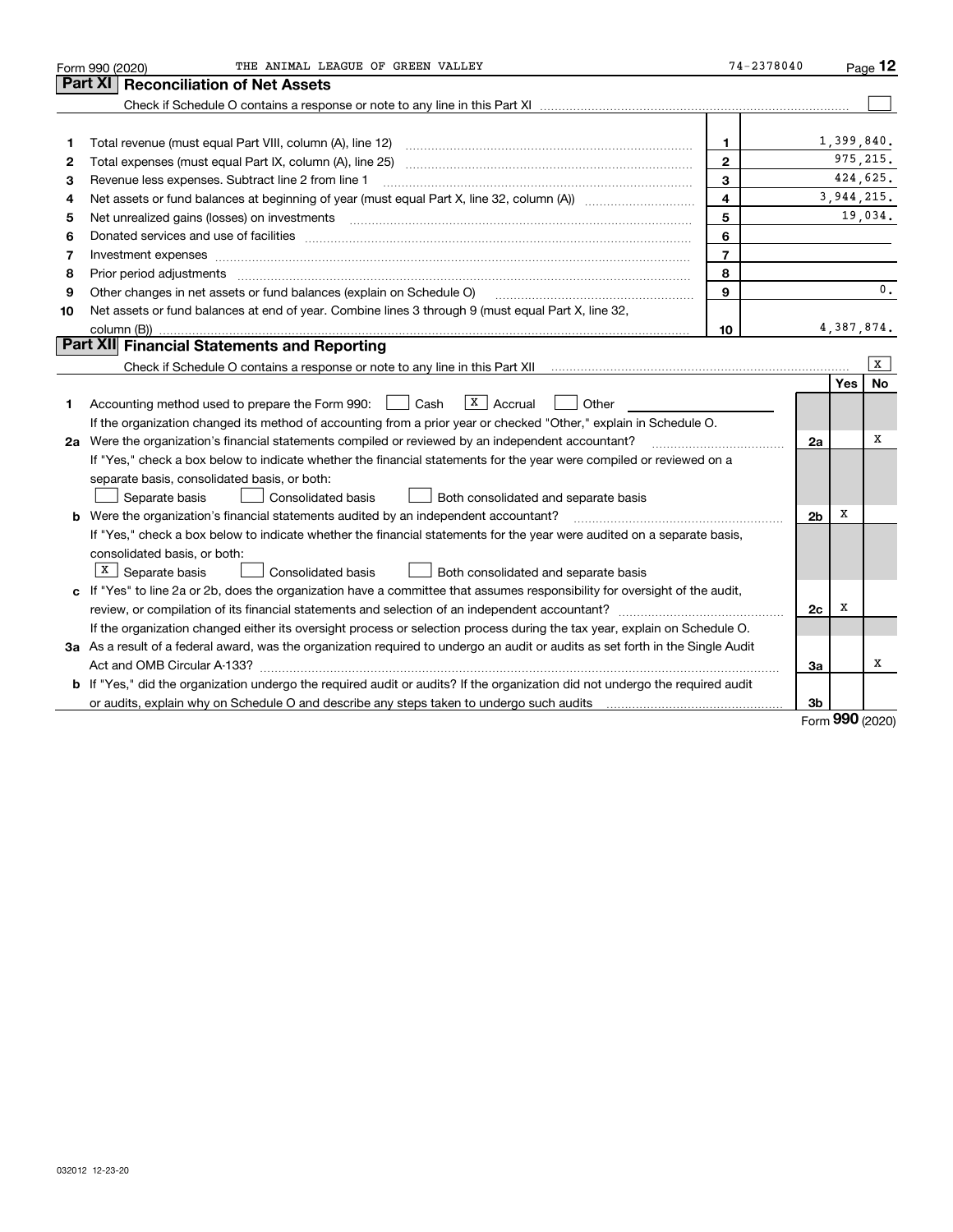|    | THE ANIMAL LEAGUE OF GREEN VALLEY<br>Form 990 (2020)                                                                                                                                                                           | 74-2378040              |                |            | Page $12$ |
|----|--------------------------------------------------------------------------------------------------------------------------------------------------------------------------------------------------------------------------------|-------------------------|----------------|------------|-----------|
|    | Part XI<br><b>Reconciliation of Net Assets</b>                                                                                                                                                                                 |                         |                |            |           |
|    |                                                                                                                                                                                                                                |                         |                |            |           |
|    |                                                                                                                                                                                                                                |                         |                |            |           |
| 1  |                                                                                                                                                                                                                                | 1                       |                | 1,399,840. |           |
| 2  |                                                                                                                                                                                                                                | $\mathbf{2}$            |                |            | 975.215.  |
| з  | Revenue less expenses. Subtract line 2 from line 1                                                                                                                                                                             | 3                       |                |            | 424,625.  |
| 4  |                                                                                                                                                                                                                                | $\overline{\mathbf{4}}$ |                | 3,944,215. |           |
| 5  | Net unrealized gains (losses) on investments [11] matter continuum matter is a set of the set of the set of the                                                                                                                | 5                       |                |            | 19,034.   |
| 6  | Donated services and use of facilities [111] processes and the service of facilities [11] processes and use of facilities [11] processes and the service of facilities [11] processes and the service of the service of the se | 6                       |                |            |           |
| 7  | Investment expenses www.communication.com/www.communication.com/www.communication.com/www.com                                                                                                                                  | $\overline{7}$          |                |            |           |
| 8  | Prior period adjustments www.communication.communication.communication.com/                                                                                                                                                    | 8                       |                |            |           |
| 9  | Other changes in net assets or fund balances (explain on Schedule O)                                                                                                                                                           | 9                       |                |            | 0.        |
| 10 | Net assets or fund balances at end of year. Combine lines 3 through 9 (must equal Part X, line 32,                                                                                                                             |                         |                |            |           |
|    |                                                                                                                                                                                                                                | 10                      |                | 4,387,874. |           |
|    | Part XII Financial Statements and Reporting                                                                                                                                                                                    |                         |                |            |           |
|    |                                                                                                                                                                                                                                |                         |                |            | x         |
|    |                                                                                                                                                                                                                                |                         |                | <b>Yes</b> | No        |
| 1  | $\vert X \vert$ Accrual<br>Accounting method used to prepare the Form 990: <u>I</u> Cash<br>Other                                                                                                                              |                         |                |            |           |
|    | If the organization changed its method of accounting from a prior year or checked "Other," explain in Schedule O.                                                                                                              |                         |                |            |           |
|    | 2a Were the organization's financial statements compiled or reviewed by an independent accountant?                                                                                                                             |                         | 2a             |            | X         |
|    | If "Yes," check a box below to indicate whether the financial statements for the year were compiled or reviewed on a                                                                                                           |                         |                |            |           |
|    | separate basis, consolidated basis, or both:                                                                                                                                                                                   |                         |                |            |           |
|    | Separate basis<br>Consolidated basis<br>Both consolidated and separate basis                                                                                                                                                   |                         |                |            |           |
|    | <b>b</b> Were the organization's financial statements audited by an independent accountant?                                                                                                                                    |                         | 2 <sub>b</sub> | х          |           |
|    | If "Yes," check a box below to indicate whether the financial statements for the year were audited on a separate basis,                                                                                                        |                         |                |            |           |
|    | consolidated basis, or both:                                                                                                                                                                                                   |                         |                |            |           |
|    | $X \mid$ Separate basis<br>Consolidated basis<br>Both consolidated and separate basis                                                                                                                                          |                         |                |            |           |
|    | c If "Yes" to line 2a or 2b, does the organization have a committee that assumes responsibility for oversight of the audit,                                                                                                    |                         |                |            |           |
|    |                                                                                                                                                                                                                                |                         | 2c             | х          |           |
|    | If the organization changed either its oversight process or selection process during the tax year, explain on Schedule O.                                                                                                      |                         |                |            |           |
|    | 3a As a result of a federal award, was the organization required to undergo an audit or audits as set forth in the Single Audit                                                                                                |                         |                |            |           |
|    |                                                                                                                                                                                                                                |                         | 3a             |            | x         |
|    | b If "Yes," did the organization undergo the required audit or audits? If the organization did not undergo the required audit                                                                                                  |                         |                |            |           |
|    |                                                                                                                                                                                                                                |                         | 3b             |            |           |

Form (2020) **990**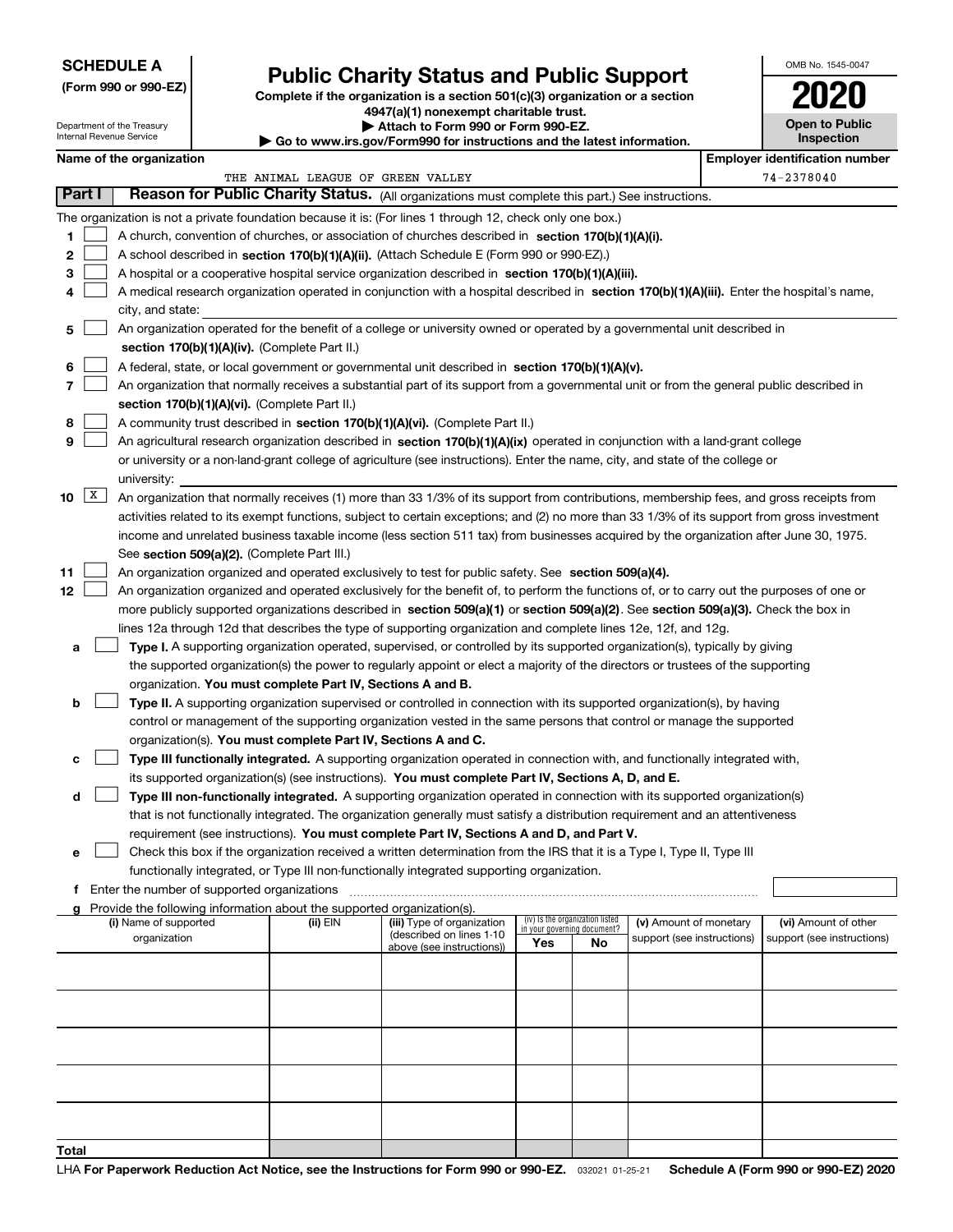## **SCHEDULE A**

Department of the Treasury Internal Revenue Service

**(Form 990 or 990-EZ)**

# **Public Charity Status and Public Support**

**Complete if the organization is a section 501(c)(3) organization or a section 4947(a)(1) nonexempt charitable trust.**

**| Attach to Form 990 or Form 990-EZ.** 

**| Go to www.irs.gov/Form990 for instructions and the latest information.**

| OMB No. 1545-0047                   |
|-------------------------------------|
| 2020                                |
| <b>Open to Public</b><br>Inspection |

|        | Name of the organization<br><b>Employer identification number</b> |                                                                                                                                                                                                                                                                |          |                                                        |                             |                                 |                            |  |                            |
|--------|-------------------------------------------------------------------|----------------------------------------------------------------------------------------------------------------------------------------------------------------------------------------------------------------------------------------------------------------|----------|--------------------------------------------------------|-----------------------------|---------------------------------|----------------------------|--|----------------------------|
|        | THE ANIMAL LEAGUE OF GREEN VALLEY                                 |                                                                                                                                                                                                                                                                |          |                                                        |                             |                                 | 74-2378040                 |  |                            |
| Part I |                                                                   | Reason for Public Charity Status. (All organizations must complete this part.) See instructions.                                                                                                                                                               |          |                                                        |                             |                                 |                            |  |                            |
|        |                                                                   | The organization is not a private foundation because it is: (For lines 1 through 12, check only one box.)                                                                                                                                                      |          |                                                        |                             |                                 |                            |  |                            |
| 1      |                                                                   | A church, convention of churches, or association of churches described in section 170(b)(1)(A)(i).                                                                                                                                                             |          |                                                        |                             |                                 |                            |  |                            |
| 2      |                                                                   | A school described in section 170(b)(1)(A)(ii). (Attach Schedule E (Form 990 or 990-EZ).)                                                                                                                                                                      |          |                                                        |                             |                                 |                            |  |                            |
| 3      |                                                                   | A hospital or a cooperative hospital service organization described in section 170(b)(1)(A)(iii).                                                                                                                                                              |          |                                                        |                             |                                 |                            |  |                            |
| 4      |                                                                   | A medical research organization operated in conjunction with a hospital described in section 170(b)(1)(A)(iii). Enter the hospital's name,                                                                                                                     |          |                                                        |                             |                                 |                            |  |                            |
|        |                                                                   | city, and state:                                                                                                                                                                                                                                               |          |                                                        |                             |                                 |                            |  |                            |
| 5      |                                                                   | An organization operated for the benefit of a college or university owned or operated by a governmental unit described in                                                                                                                                      |          |                                                        |                             |                                 |                            |  |                            |
|        |                                                                   | section 170(b)(1)(A)(iv). (Complete Part II.)                                                                                                                                                                                                                  |          |                                                        |                             |                                 |                            |  |                            |
| 6      |                                                                   | A federal, state, or local government or governmental unit described in section 170(b)(1)(A)(v).                                                                                                                                                               |          |                                                        |                             |                                 |                            |  |                            |
| 7      |                                                                   | An organization that normally receives a substantial part of its support from a governmental unit or from the general public described in                                                                                                                      |          |                                                        |                             |                                 |                            |  |                            |
|        |                                                                   | section 170(b)(1)(A)(vi). (Complete Part II.)                                                                                                                                                                                                                  |          |                                                        |                             |                                 |                            |  |                            |
| 8      |                                                                   | A community trust described in section 170(b)(1)(A)(vi). (Complete Part II.)                                                                                                                                                                                   |          |                                                        |                             |                                 |                            |  |                            |
| 9      |                                                                   | An agricultural research organization described in section 170(b)(1)(A)(ix) operated in conjunction with a land-grant college                                                                                                                                  |          |                                                        |                             |                                 |                            |  |                            |
|        |                                                                   | or university or a non-land-grant college of agriculture (see instructions). Enter the name, city, and state of the college or                                                                                                                                 |          |                                                        |                             |                                 |                            |  |                            |
|        |                                                                   | university:                                                                                                                                                                                                                                                    |          |                                                        |                             |                                 |                            |  |                            |
| 10     | X                                                                 | An organization that normally receives (1) more than 33 1/3% of its support from contributions, membership fees, and gross receipts from                                                                                                                       |          |                                                        |                             |                                 |                            |  |                            |
|        |                                                                   | activities related to its exempt functions, subject to certain exceptions; and (2) no more than 33 1/3% of its support from gross investment                                                                                                                   |          |                                                        |                             |                                 |                            |  |                            |
|        |                                                                   | income and unrelated business taxable income (less section 511 tax) from businesses acquired by the organization after June 30, 1975.                                                                                                                          |          |                                                        |                             |                                 |                            |  |                            |
|        |                                                                   | See section 509(a)(2). (Complete Part III.)                                                                                                                                                                                                                    |          |                                                        |                             |                                 |                            |  |                            |
| 11     |                                                                   | An organization organized and operated exclusively to test for public safety. See section 509(a)(4).                                                                                                                                                           |          |                                                        |                             |                                 |                            |  |                            |
| 12     |                                                                   | An organization organized and operated exclusively for the benefit of, to perform the functions of, or to carry out the purposes of one or                                                                                                                     |          |                                                        |                             |                                 |                            |  |                            |
|        |                                                                   | more publicly supported organizations described in section 509(a)(1) or section 509(a)(2). See section 509(a)(3). Check the box in                                                                                                                             |          |                                                        |                             |                                 |                            |  |                            |
|        |                                                                   | lines 12a through 12d that describes the type of supporting organization and complete lines 12e, 12f, and 12g.                                                                                                                                                 |          |                                                        |                             |                                 |                            |  |                            |
| а      |                                                                   | Type I. A supporting organization operated, supervised, or controlled by its supported organization(s), typically by giving<br>the supported organization(s) the power to regularly appoint or elect a majority of the directors or trustees of the supporting |          |                                                        |                             |                                 |                            |  |                            |
|        |                                                                   | organization. You must complete Part IV, Sections A and B.                                                                                                                                                                                                     |          |                                                        |                             |                                 |                            |  |                            |
| b      |                                                                   | Type II. A supporting organization supervised or controlled in connection with its supported organization(s), by having                                                                                                                                        |          |                                                        |                             |                                 |                            |  |                            |
|        |                                                                   | control or management of the supporting organization vested in the same persons that control or manage the supported                                                                                                                                           |          |                                                        |                             |                                 |                            |  |                            |
|        |                                                                   | organization(s). You must complete Part IV, Sections A and C.                                                                                                                                                                                                  |          |                                                        |                             |                                 |                            |  |                            |
| c      |                                                                   | Type III functionally integrated. A supporting organization operated in connection with, and functionally integrated with,                                                                                                                                     |          |                                                        |                             |                                 |                            |  |                            |
|        |                                                                   | its supported organization(s) (see instructions). You must complete Part IV, Sections A, D, and E.                                                                                                                                                             |          |                                                        |                             |                                 |                            |  |                            |
| d      |                                                                   | Type III non-functionally integrated. A supporting organization operated in connection with its supported organization(s)                                                                                                                                      |          |                                                        |                             |                                 |                            |  |                            |
|        |                                                                   | that is not functionally integrated. The organization generally must satisfy a distribution requirement and an attentiveness                                                                                                                                   |          |                                                        |                             |                                 |                            |  |                            |
|        |                                                                   | requirement (see instructions). You must complete Part IV, Sections A and D, and Part V.                                                                                                                                                                       |          |                                                        |                             |                                 |                            |  |                            |
| е      |                                                                   | Check this box if the organization received a written determination from the IRS that it is a Type I, Type II, Type III                                                                                                                                        |          |                                                        |                             |                                 |                            |  |                            |
|        |                                                                   | functionally integrated, or Type III non-functionally integrated supporting organization.                                                                                                                                                                      |          |                                                        |                             |                                 |                            |  |                            |
|        |                                                                   | f Enter the number of supported organizations                                                                                                                                                                                                                  |          |                                                        |                             |                                 |                            |  |                            |
|        |                                                                   | Provide the following information about the supported organization(s).                                                                                                                                                                                         |          |                                                        |                             |                                 |                            |  |                            |
|        |                                                                   | (i) Name of supported                                                                                                                                                                                                                                          | (ii) EIN | (iii) Type of organization<br>(described on lines 1-10 | in your governing document? | (iv) Is the organization listed | (v) Amount of monetary     |  | (vi) Amount of other       |
|        |                                                                   | organization                                                                                                                                                                                                                                                   |          | above (see instructions))                              | Yes                         | No                              | support (see instructions) |  | support (see instructions) |
|        |                                                                   |                                                                                                                                                                                                                                                                |          |                                                        |                             |                                 |                            |  |                            |
|        |                                                                   |                                                                                                                                                                                                                                                                |          |                                                        |                             |                                 |                            |  |                            |
|        |                                                                   |                                                                                                                                                                                                                                                                |          |                                                        |                             |                                 |                            |  |                            |
|        |                                                                   |                                                                                                                                                                                                                                                                |          |                                                        |                             |                                 |                            |  |                            |
|        |                                                                   |                                                                                                                                                                                                                                                                |          |                                                        |                             |                                 |                            |  |                            |
|        |                                                                   |                                                                                                                                                                                                                                                                |          |                                                        |                             |                                 |                            |  |                            |
|        |                                                                   |                                                                                                                                                                                                                                                                |          |                                                        |                             |                                 |                            |  |                            |
|        |                                                                   |                                                                                                                                                                                                                                                                |          |                                                        |                             |                                 |                            |  |                            |
|        |                                                                   |                                                                                                                                                                                                                                                                |          |                                                        |                             |                                 |                            |  |                            |
|        |                                                                   |                                                                                                                                                                                                                                                                |          |                                                        |                             |                                 |                            |  |                            |
| Total  |                                                                   |                                                                                                                                                                                                                                                                |          |                                                        |                             |                                 |                            |  |                            |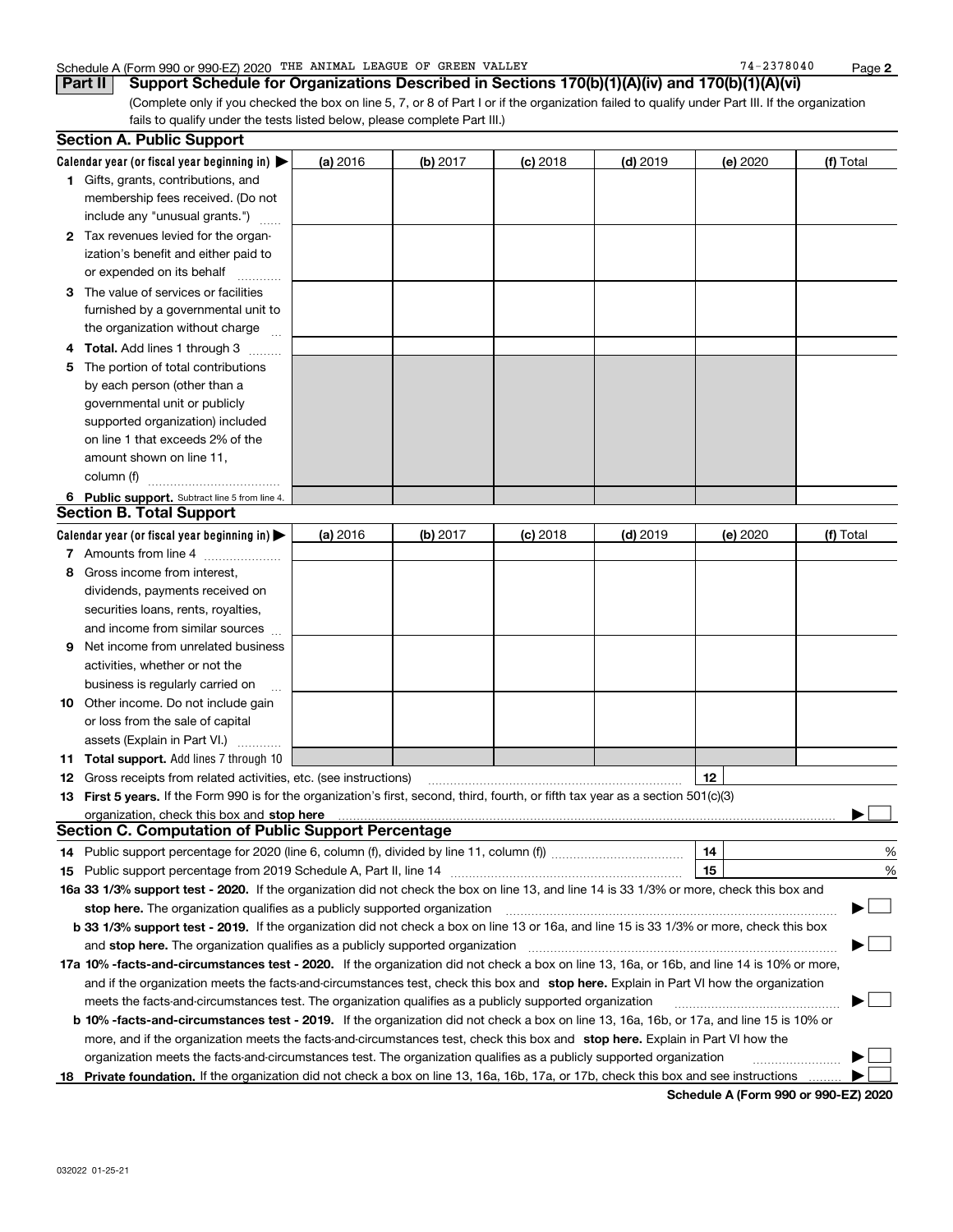### Schedule A (Form 990 or 990-EZ) 2020 Page THE ANIMAL LEAGUE OF GREEN VALLEY 74-2378040

**Part II Support Schedule for Organizations Described in Sections 170(b)(1)(A)(iv) and 170(b)(1)(A)(vi)**

(Complete only if you checked the box on line 5, 7, or 8 of Part I or if the organization failed to qualify under Part III. If the organization fails to qualify under the tests listed below, please complete Part III.)

|    | <b>Section A. Public Support</b>                                                                                                               |          |            |            |            |          |           |
|----|------------------------------------------------------------------------------------------------------------------------------------------------|----------|------------|------------|------------|----------|-----------|
|    | Calendar year (or fiscal year beginning in) $\blacktriangleright$                                                                              | (a) 2016 | (b) 2017   | $(c)$ 2018 | $(d)$ 2019 | (e) 2020 | (f) Total |
|    | <b>1</b> Gifts, grants, contributions, and                                                                                                     |          |            |            |            |          |           |
|    | membership fees received. (Do not                                                                                                              |          |            |            |            |          |           |
|    | include any "unusual grants.")                                                                                                                 |          |            |            |            |          |           |
|    | 2 Tax revenues levied for the organ-                                                                                                           |          |            |            |            |          |           |
|    | ization's benefit and either paid to                                                                                                           |          |            |            |            |          |           |
|    | or expended on its behalf                                                                                                                      |          |            |            |            |          |           |
|    | 3 The value of services or facilities                                                                                                          |          |            |            |            |          |           |
|    | furnished by a governmental unit to                                                                                                            |          |            |            |            |          |           |
|    | the organization without charge                                                                                                                |          |            |            |            |          |           |
|    | 4 Total. Add lines 1 through 3                                                                                                                 |          |            |            |            |          |           |
| 5. | The portion of total contributions                                                                                                             |          |            |            |            |          |           |
|    | by each person (other than a                                                                                                                   |          |            |            |            |          |           |
|    | governmental unit or publicly                                                                                                                  |          |            |            |            |          |           |
|    | supported organization) included                                                                                                               |          |            |            |            |          |           |
|    | on line 1 that exceeds 2% of the                                                                                                               |          |            |            |            |          |           |
|    | amount shown on line 11,                                                                                                                       |          |            |            |            |          |           |
|    | column (f)                                                                                                                                     |          |            |            |            |          |           |
|    | 6 Public support. Subtract line 5 from line 4.                                                                                                 |          |            |            |            |          |           |
|    | <b>Section B. Total Support</b>                                                                                                                |          |            |            |            |          |           |
|    | Calendar year (or fiscal year beginning in) $\blacktriangleright$                                                                              | (a) 2016 | $(b)$ 2017 | $(c)$ 2018 | $(d)$ 2019 | (e) 2020 | (f) Total |
|    | 7 Amounts from line 4                                                                                                                          |          |            |            |            |          |           |
|    | 8 Gross income from interest,                                                                                                                  |          |            |            |            |          |           |
|    | dividends, payments received on                                                                                                                |          |            |            |            |          |           |
|    | securities loans, rents, royalties,                                                                                                            |          |            |            |            |          |           |
|    | and income from similar sources                                                                                                                |          |            |            |            |          |           |
|    | <b>9</b> Net income from unrelated business                                                                                                    |          |            |            |            |          |           |
|    | activities, whether or not the                                                                                                                 |          |            |            |            |          |           |
|    | business is regularly carried on                                                                                                               |          |            |            |            |          |           |
|    | <b>10</b> Other income. Do not include gain                                                                                                    |          |            |            |            |          |           |
|    | or loss from the sale of capital                                                                                                               |          |            |            |            |          |           |
|    | assets (Explain in Part VI.)                                                                                                                   |          |            |            |            |          |           |
|    | <b>11 Total support.</b> Add lines 7 through 10                                                                                                |          |            |            |            |          |           |
|    | <b>12</b> Gross receipts from related activities, etc. (see instructions)                                                                      |          |            |            |            | 12       |           |
|    | 13 First 5 years. If the Form 990 is for the organization's first, second, third, fourth, or fifth tax year as a section 501(c)(3)             |          |            |            |            |          |           |
|    |                                                                                                                                                |          |            |            |            |          |           |
|    | <b>Section C. Computation of Public Support Percentage</b>                                                                                     |          |            |            |            |          |           |
|    | 14 Public support percentage for 2020 (line 6, column (f), divided by line 11, column (f) <i>marroummaname</i>                                 |          |            |            |            | 14       | %         |
|    |                                                                                                                                                |          |            |            |            | 15       | %         |
|    | 16a 33 1/3% support test - 2020. If the organization did not check the box on line 13, and line 14 is 33 1/3% or more, check this box and      |          |            |            |            |          |           |
|    | stop here. The organization qualifies as a publicly supported organization                                                                     |          |            |            |            |          |           |
|    | b 33 1/3% support test - 2019. If the organization did not check a box on line 13 or 16a, and line 15 is 33 1/3% or more, check this box       |          |            |            |            |          |           |
|    | and stop here. The organization qualifies as a publicly supported organization                                                                 |          |            |            |            |          |           |
|    | 17a 10% -facts-and-circumstances test - 2020. If the organization did not check a box on line 13, 16a, or 16b, and line 14 is 10% or more,     |          |            |            |            |          |           |
|    | and if the organization meets the facts-and-circumstances test, check this box and stop here. Explain in Part VI how the organization          |          |            |            |            |          |           |
|    | meets the facts-and-circumstances test. The organization qualifies as a publicly supported organization                                        |          |            |            |            |          |           |
|    | <b>b 10% -facts-and-circumstances test - 2019.</b> If the organization did not check a box on line 13, 16a, 16b, or 17a, and line 15 is 10% or |          |            |            |            |          |           |
|    | more, and if the organization meets the facts-and-circumstances test, check this box and stop here. Explain in Part VI how the                 |          |            |            |            |          |           |
|    | organization meets the facts-and-circumstances test. The organization qualifies as a publicly supported organization                           |          |            |            |            |          |           |
|    | 18 Private foundation. If the organization did not check a box on line 13, 16a, 16b, 17a, or 17b, check this box and see instructions          |          |            |            |            |          |           |
|    |                                                                                                                                                |          |            |            |            |          |           |

**Schedule A (Form 990 or 990-EZ) 2020**

**2**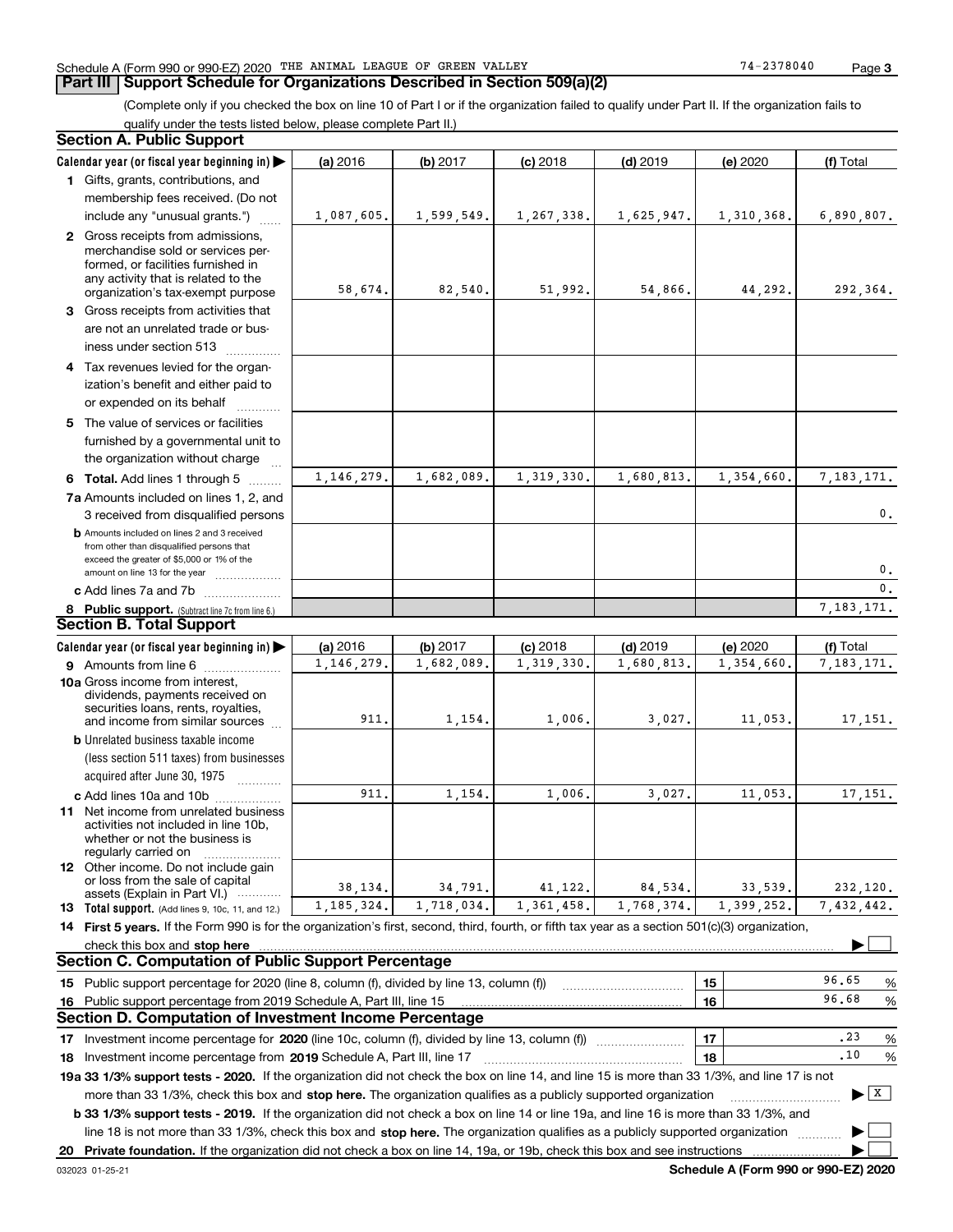#### Schedule A (Form 990 or 990-EZ) 2020 Page THE ANIMAL LEAGUE OF GREEN VALLEY 74-2378040

## **Part III** | Support Schedule for Organizations Described in Section 509(a)(2)

(Complete only if you checked the box on line 10 of Part I or if the organization failed to qualify under Part II. If the organization fails to qualify under the tests listed below, please complete Part II.)

| Section A. Public Support                                                                                                                                                                                                                                        |              |            |              |            |            |                                       |
|------------------------------------------------------------------------------------------------------------------------------------------------------------------------------------------------------------------------------------------------------------------|--------------|------------|--------------|------------|------------|---------------------------------------|
| Calendar year (or fiscal year beginning in) $\blacktriangleright$                                                                                                                                                                                                | (a) 2016     | (b) 2017   | $(c)$ 2018   | $(d)$ 2019 | (e) 2020   | (f) Total                             |
| 1 Gifts, grants, contributions, and                                                                                                                                                                                                                              |              |            |              |            |            |                                       |
| membership fees received. (Do not                                                                                                                                                                                                                                |              |            |              |            |            |                                       |
| include any "unusual grants.")                                                                                                                                                                                                                                   | 1,087,605.   | 1,599,549. | 1, 267, 338. | 1,625,947. | 1,310,368. | 6,890,807.                            |
| 2 Gross receipts from admissions,<br>merchandise sold or services per-<br>formed, or facilities furnished in<br>any activity that is related to the                                                                                                              | 58,674.      | 82,540.    | 51,992.      | 54,866.    | 44,292.    | 292,364.                              |
| organization's tax-exempt purpose                                                                                                                                                                                                                                |              |            |              |            |            |                                       |
| 3 Gross receipts from activities that<br>are not an unrelated trade or bus-<br>iness under section 513                                                                                                                                                           |              |            |              |            |            |                                       |
| 4 Tax revenues levied for the organ-<br>ization's benefit and either paid to                                                                                                                                                                                     |              |            |              |            |            |                                       |
| or expended on its behalf                                                                                                                                                                                                                                        |              |            |              |            |            |                                       |
| 5 The value of services or facilities<br>furnished by a governmental unit to<br>the organization without charge                                                                                                                                                  |              |            |              |            |            |                                       |
| 6 Total. Add lines 1 through 5                                                                                                                                                                                                                                   | 1, 146, 279. | 1,682,089. | 1,319,330.   | 1,680,813. | 1,354,660. | 7,183,171.                            |
| 7a Amounts included on lines 1, 2, and                                                                                                                                                                                                                           |              |            |              |            |            |                                       |
| 3 received from disqualified persons                                                                                                                                                                                                                             |              |            |              |            |            | 0.                                    |
| <b>b</b> Amounts included on lines 2 and 3 received<br>from other than disqualified persons that<br>exceed the greater of \$5,000 or 1% of the<br>amount on line 13 for the year                                                                                 |              |            |              |            |            | 0.                                    |
| c Add lines 7a and 7b                                                                                                                                                                                                                                            |              |            |              |            |            | $\mathbf{0}$ .                        |
| 8 Public support. (Subtract line 7c from line 6.)                                                                                                                                                                                                                |              |            |              |            |            | 7,183,171.                            |
| <b>Section B. Total Support</b>                                                                                                                                                                                                                                  |              |            |              |            |            |                                       |
| Calendar year (or fiscal year beginning in) $\blacktriangleright$                                                                                                                                                                                                | (a) 2016     | (b) 2017   | $(c)$ 2018   | $(d)$ 2019 | (e) 2020   | (f) Total                             |
| 9 Amounts from line 6                                                                                                                                                                                                                                            | 1, 146, 279. | 1,682,089. | 1, 319, 330. | 1,680,813. | 1,354,660. | 7, 183, 171.                          |
| 10a Gross income from interest,<br>dividends, payments received on<br>securities loans, rents, royalties,<br>and income from similar sources                                                                                                                     | 911.         | 1,154.     | 1,006.       | 3,027.     | 11,053.    | 17,151.                               |
| <b>b</b> Unrelated business taxable income                                                                                                                                                                                                                       |              |            |              |            |            |                                       |
| (less section 511 taxes) from businesses<br>acquired after June 30, 1975                                                                                                                                                                                         |              |            |              |            |            |                                       |
| c Add lines 10a and 10b                                                                                                                                                                                                                                          | 911          | 1,154.     | 1,006.       | 3,027.     | 11,053.    | 17, 151.                              |
| 11 Net income from unrelated business<br>activities not included in line 10b,<br>whether or not the business is<br>regularly carried on                                                                                                                          |              |            |              |            |            |                                       |
| <b>12</b> Other income. Do not include gain<br>or loss from the sale of capital<br>assets (Explain in Part VI.)                                                                                                                                                  | 38,134.      | 34,791.    | 41,122.      | 84,534.    | 33,539.    | 232,120.                              |
| <b>13</b> Total support. (Add lines 9, 10c, 11, and 12.)                                                                                                                                                                                                         | 1, 185, 324. | 1.718.034. | 1,361,458.   | 1,768,374. | 1,399,252. | 7,432,442.                            |
| 14 First 5 years. If the Form 990 is for the organization's first, second, third, fourth, or fifth tax year as a section 501(c)(3) organization,                                                                                                                 |              |            |              |            |            |                                       |
| check this box and stop here                                                                                                                                                                                                                                     |              |            |              |            |            |                                       |
| Section C. Computation of Public Support Percentage                                                                                                                                                                                                              |              |            |              |            |            |                                       |
| 15 Public support percentage for 2020 (line 8, column (f), divided by line 13, column (f))                                                                                                                                                                       |              |            |              |            | 15         | 96.65<br>%                            |
| 16 Public support percentage from 2019 Schedule A, Part III, line 15                                                                                                                                                                                             |              |            |              |            | 16         | 96.68<br>%                            |
| Section D. Computation of Investment Income Percentage                                                                                                                                                                                                           |              |            |              |            |            |                                       |
| 17 Investment income percentage for 2020 (line 10c, column (f), divided by line 13, column (f))                                                                                                                                                                  |              |            |              |            | 17         | .23<br>%                              |
| 18 Investment income percentage from 2019 Schedule A, Part III, line 17                                                                                                                                                                                          |              |            |              |            | 18         | .10<br>%                              |
| 19a 33 1/3% support tests - 2020. If the organization did not check the box on line 14, and line 15 is more than 33 1/3%, and line 17 is not                                                                                                                     |              |            |              |            |            |                                       |
| more than 33 1/3%, check this box and stop here. The organization qualifies as a publicly supported organization<br><b>b 33 1/3% support tests - 2019.</b> If the organization did not check a box on line 14 or line 19a, and line 16 is more than 33 1/3%, and |              |            |              |            |            | $\blacktriangleright$ $\mid$ X $\mid$ |
| line 18 is not more than 33 1/3%, check this box and stop here. The organization qualifies as a publicly supported organization                                                                                                                                  |              |            |              |            |            |                                       |
| 20 Private foundation. If the organization did not check a box on line 14, 19a, or 19b, check this box and see instructions                                                                                                                                      |              |            |              |            |            |                                       |

**Schedule A (Form 990 or 990-EZ) 2020**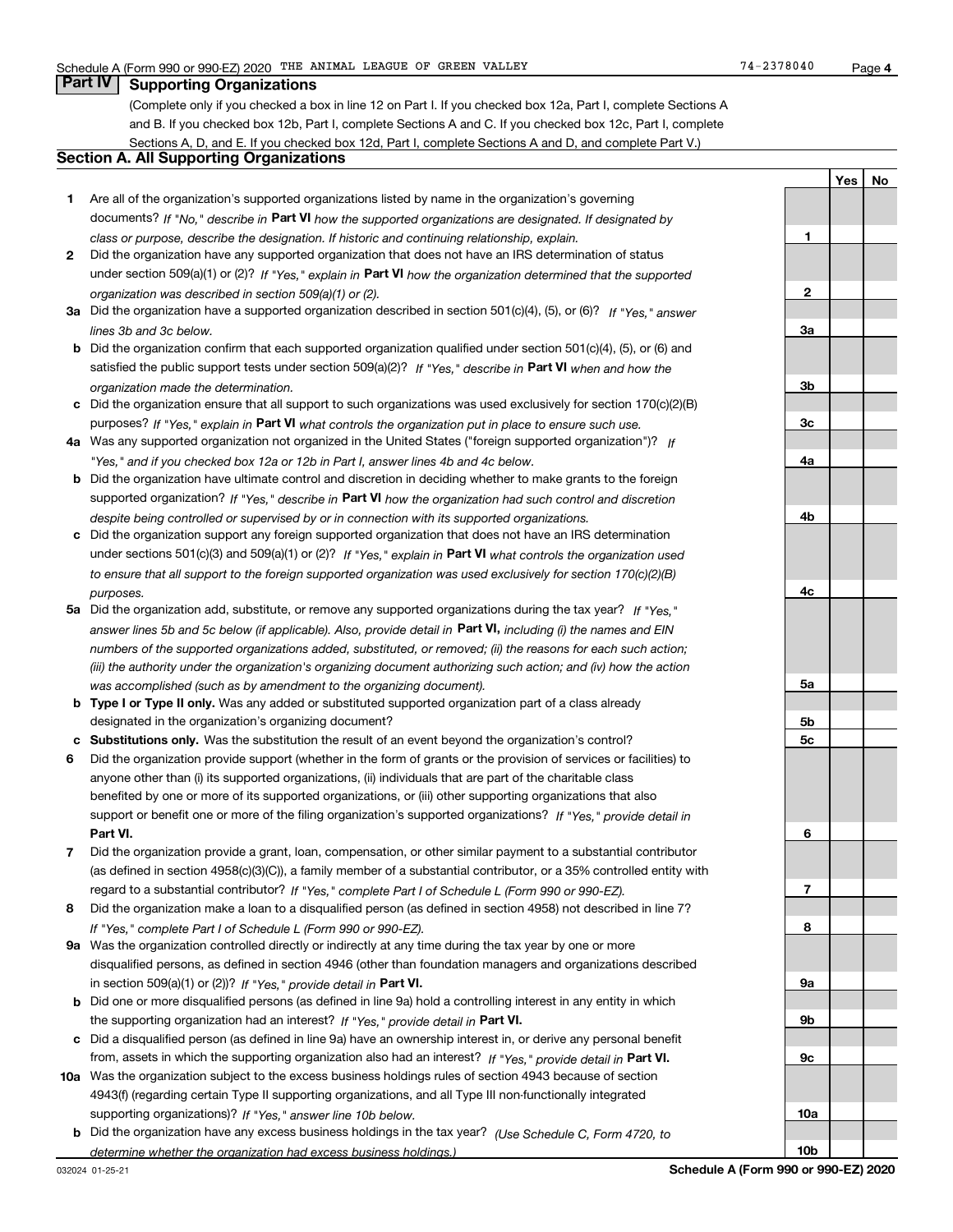**1**

**2**

**3a**

**YesNo**

## **Part IV Supporting Organizations**

(Complete only if you checked a box in line 12 on Part I. If you checked box 12a, Part I, complete Sections A and B. If you checked box 12b, Part I, complete Sections A and C. If you checked box 12c, Part I, complete Sections A, D, and E. If you checked box 12d, Part I, complete Sections A and D, and complete Part V.)

### **Section A. All Supporting Organizations**

- **1** Are all of the organization's supported organizations listed by name in the organization's governing documents? If "No," describe in **Part VI** how the supported organizations are designated. If designated by *class or purpose, describe the designation. If historic and continuing relationship, explain.*
- **2** Did the organization have any supported organization that does not have an IRS determination of status under section 509(a)(1) or (2)? If "Yes," explain in Part VI how the organization determined that the supported *organization was described in section 509(a)(1) or (2).*
- **3a** Did the organization have a supported organization described in section 501(c)(4), (5), or (6)? If "Yes," answer *lines 3b and 3c below.*
- **b** Did the organization confirm that each supported organization qualified under section 501(c)(4), (5), or (6) and satisfied the public support tests under section 509(a)(2)? If "Yes," describe in **Part VI** when and how the *organization made the determination.*
- **c**Did the organization ensure that all support to such organizations was used exclusively for section 170(c)(2)(B) purposes? If "Yes," explain in **Part VI** what controls the organization put in place to ensure such use.
- **4a***If* Was any supported organization not organized in the United States ("foreign supported organization")? *"Yes," and if you checked box 12a or 12b in Part I, answer lines 4b and 4c below.*
- **b** Did the organization have ultimate control and discretion in deciding whether to make grants to the foreign supported organization? If "Yes," describe in **Part VI** how the organization had such control and discretion *despite being controlled or supervised by or in connection with its supported organizations.*
- **c** Did the organization support any foreign supported organization that does not have an IRS determination under sections 501(c)(3) and 509(a)(1) or (2)? If "Yes," explain in **Part VI** what controls the organization used *to ensure that all support to the foreign supported organization was used exclusively for section 170(c)(2)(B) purposes.*
- **5a***If "Yes,"* Did the organization add, substitute, or remove any supported organizations during the tax year? answer lines 5b and 5c below (if applicable). Also, provide detail in **Part VI,** including (i) the names and EIN *numbers of the supported organizations added, substituted, or removed; (ii) the reasons for each such action; (iii) the authority under the organization's organizing document authorizing such action; and (iv) how the action was accomplished (such as by amendment to the organizing document).*
- **b** Type I or Type II only. Was any added or substituted supported organization part of a class already designated in the organization's organizing document?
- **cSubstitutions only.**  Was the substitution the result of an event beyond the organization's control?
- **6** Did the organization provide support (whether in the form of grants or the provision of services or facilities) to **Part VI.** *If "Yes," provide detail in* support or benefit one or more of the filing organization's supported organizations? anyone other than (i) its supported organizations, (ii) individuals that are part of the charitable class benefited by one or more of its supported organizations, or (iii) other supporting organizations that also
- **7**Did the organization provide a grant, loan, compensation, or other similar payment to a substantial contributor *If "Yes," complete Part I of Schedule L (Form 990 or 990-EZ).* regard to a substantial contributor? (as defined in section 4958(c)(3)(C)), a family member of a substantial contributor, or a 35% controlled entity with
- **8** Did the organization make a loan to a disqualified person (as defined in section 4958) not described in line 7? *If "Yes," complete Part I of Schedule L (Form 990 or 990-EZ).*
- **9a** Was the organization controlled directly or indirectly at any time during the tax year by one or more in section 509(a)(1) or (2))? If "Yes," *provide detail in* <code>Part VI.</code> disqualified persons, as defined in section 4946 (other than foundation managers and organizations described
- **b** Did one or more disqualified persons (as defined in line 9a) hold a controlling interest in any entity in which the supporting organization had an interest? If "Yes," provide detail in P**art VI**.
- **c**Did a disqualified person (as defined in line 9a) have an ownership interest in, or derive any personal benefit from, assets in which the supporting organization also had an interest? If "Yes," provide detail in P**art VI.**
- **10a** Was the organization subject to the excess business holdings rules of section 4943 because of section supporting organizations)? If "Yes," answer line 10b below. 4943(f) (regarding certain Type II supporting organizations, and all Type III non-functionally integrated
- **b** Did the organization have any excess business holdings in the tax year? (Use Schedule C, Form 4720, to *determine whether the organization had excess business holdings.)*

**10a**

**10b**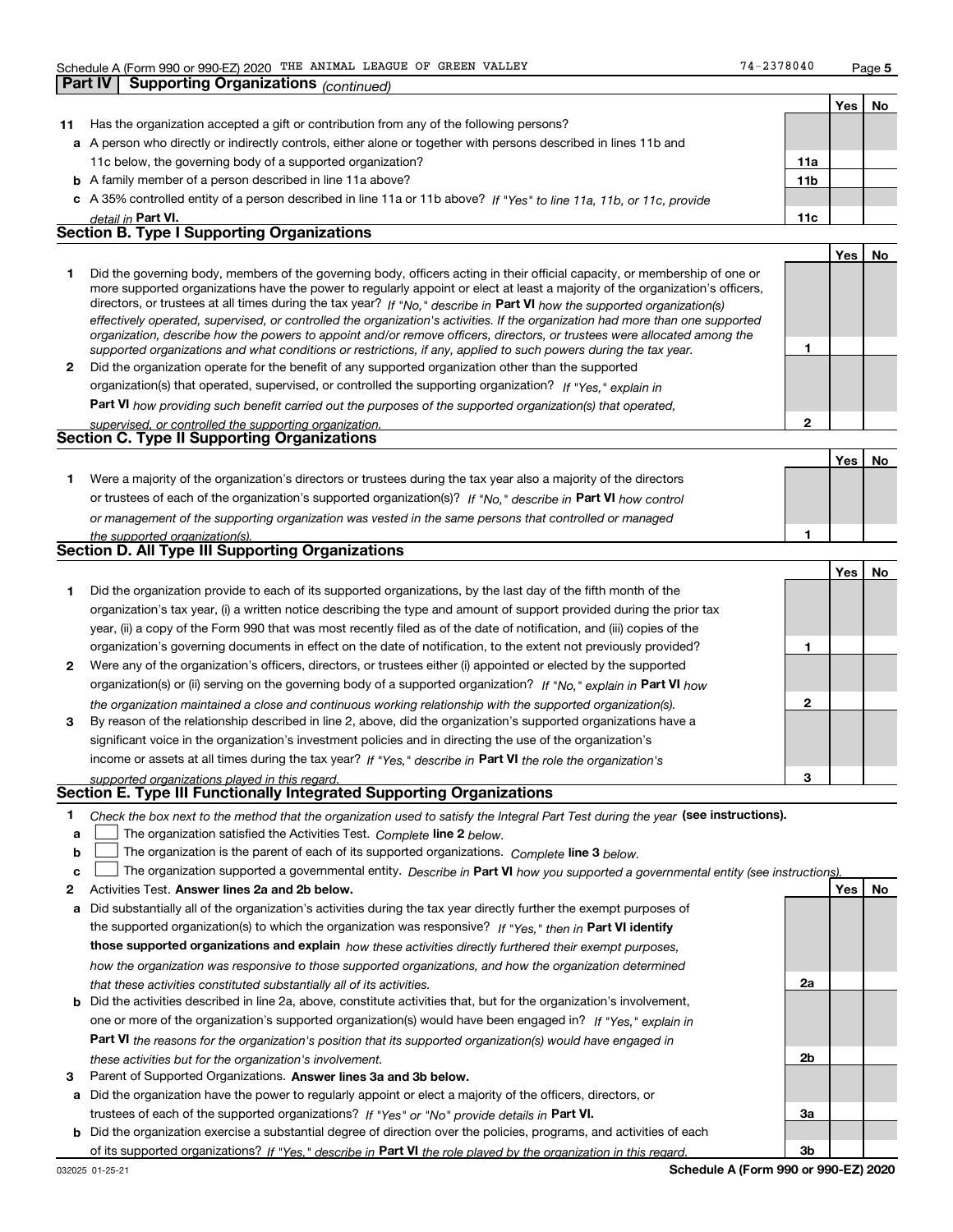**Part IV Supporting Organizations** *(continued)*

**1**

**2**

|                                                   |                                                                                                                      |                 | Yes | No |  |  |  |  |
|---------------------------------------------------|----------------------------------------------------------------------------------------------------------------------|-----------------|-----|----|--|--|--|--|
| 11                                                | Has the organization accepted a gift or contribution from any of the following persons?                              |                 |     |    |  |  |  |  |
|                                                   | a A person who directly or indirectly controls, either alone or together with persons described in lines 11b and     |                 |     |    |  |  |  |  |
|                                                   | 11c below, the governing body of a supported organization?                                                           | 11a             |     |    |  |  |  |  |
|                                                   | <b>b</b> A family member of a person described in line 11a above?                                                    | 11 <sub>b</sub> |     |    |  |  |  |  |
|                                                   | c A 35% controlled entity of a person described in line 11a or 11b above? If "Yes" to line 11a, 11b, or 11c, provide |                 |     |    |  |  |  |  |
|                                                   | detail in Part VI.                                                                                                   | 11c             |     |    |  |  |  |  |
| <b>Section B. Type I Supporting Organizations</b> |                                                                                                                      |                 |     |    |  |  |  |  |
|                                                   |                                                                                                                      |                 | Yes | No |  |  |  |  |
|                                                   |                                                                                                                      |                 |     |    |  |  |  |  |

|              | Did the governing body, members of the governing body, officers acting in their official capacity, or membership of one or<br>more supported organizations have the power to regularly appoint or elect at least a majority of the organization's officers,<br>directors, or trustees at all times during the tax year? If "No," describe in Part VI how the supported organization(s) |  |
|--------------|----------------------------------------------------------------------------------------------------------------------------------------------------------------------------------------------------------------------------------------------------------------------------------------------------------------------------------------------------------------------------------------|--|
|              | effectively operated, supervised, or controlled the organization's activities. If the organization had more than one supported<br>organization, describe how the powers to appoint and/or remove officers, directors, or trustees were allocated among the                                                                                                                             |  |
|              | supported organizations and what conditions or restrictions, if any, applied to such powers during the tax year.                                                                                                                                                                                                                                                                       |  |
| $\mathbf{p}$ | Did the organization operate for the benefit of any supported organization other than the supported                                                                                                                                                                                                                                                                                    |  |
|              | $\sim$ . The second second second contracts in the second second second second second second second second second second second second second second second second second second second second second second second second seco                                                                                                                                                        |  |

*If "Yes," explain in* organization(s) that operated, supervised, or controlled the supporting organization?

**Part VI**  *how providing such benefit carried out the purposes of the supported organization(s) that operated,*

|  | supervised, or controlled the supporting organization. |  |
|--|--------------------------------------------------------|--|
|  | <b>Section C. Type II Supporting Organizations</b>     |  |

**Yes No 1**or trustees of each of the organization's supported organization(s)? If "No," describe in **Part VI** how control **1***or management of the supporting organization was vested in the same persons that controlled or managed the supported organization(s).* Were a majority of the organization's directors or trustees during the tax year also a majority of the directors

| Section D. All Type III Supporting Organizations |  |  |  |  |  |  |
|--------------------------------------------------|--|--|--|--|--|--|
|                                                  |  |  |  |  |  |  |

|              |                                                                                                                                                                                                                                         |   | Yes   No |  |
|--------------|-----------------------------------------------------------------------------------------------------------------------------------------------------------------------------------------------------------------------------------------|---|----------|--|
|              | Did the organization provide to each of its supported organizations, by the last day of the fifth month of the<br>organization's tax year, (i) a written notice describing the type and amount of support provided during the prior tax |   |          |  |
|              | year, (ii) a copy of the Form 990 that was most recently filed as of the date of notification, and (iii) copies of the                                                                                                                  |   |          |  |
|              | organization's governing documents in effect on the date of notification, to the extent not previously provided?                                                                                                                        |   |          |  |
| $\mathbf{2}$ | Were any of the organization's officers, directors, or trustees either (i) appointed or elected by the supported                                                                                                                        |   |          |  |
|              | organization(s) or (ii) serving on the governing body of a supported organization? If "No," explain in Part VI how                                                                                                                      |   |          |  |
|              | the organization maintained a close and continuous working relationship with the supported organization(s).                                                                                                                             | 2 |          |  |
| 3            | By reason of the relationship described in line 2, above, did the organization's supported organizations have a                                                                                                                         |   |          |  |
|              | significant voice in the organization's investment policies and in directing the use of the organization's                                                                                                                              |   |          |  |
|              | income or assets at all times during the tax year? If "Yes," describe in Part VI the role the organization's                                                                                                                            |   |          |  |
|              | supported organizations played in this regard.                                                                                                                                                                                          | з |          |  |

# *supported organizations played in this regard.* **Section E. Type III Functionally Integrated Supporting Organizations**

- **1**Check the box next to the method that the organization used to satisfy the Integral Part Test during the year (see instructions).
- **alinupy** The organization satisfied the Activities Test. Complete line 2 below.
- **b**The organization is the parent of each of its supported organizations. *Complete* line 3 *below.*  $\mathcal{L}^{\text{max}}$

|  |  | $\mathbf{c}$ $\Box$ The organization supported a governmental entity. Describe in Part VI how you supported a governmental entity (see instructions). |  |  |  |  |  |  |
|--|--|-------------------------------------------------------------------------------------------------------------------------------------------------------|--|--|--|--|--|--|
|--|--|-------------------------------------------------------------------------------------------------------------------------------------------------------|--|--|--|--|--|--|

- **2Answer lines 2a and 2b below. Yes No** Activities Test.
- **a** Did substantially all of the organization's activities during the tax year directly further the exempt purposes of the supported organization(s) to which the organization was responsive? If "Yes," then in **Part VI identify those supported organizations and explain**  *how these activities directly furthered their exempt purposes, how the organization was responsive to those supported organizations, and how the organization determined that these activities constituted substantially all of its activities.*
- **b** Did the activities described in line 2a, above, constitute activities that, but for the organization's involvement, **Part VI**  *the reasons for the organization's position that its supported organization(s) would have engaged in* one or more of the organization's supported organization(s) would have been engaged in? If "Yes," e*xplain in these activities but for the organization's involvement.*
- **3** Parent of Supported Organizations. Answer lines 3a and 3b below.
- **a** Did the organization have the power to regularly appoint or elect a majority of the officers, directors, or trustees of each of the supported organizations? If "Yes" or "No" provide details in **Part VI.**
- **b** Did the organization exercise a substantial degree of direction over the policies, programs, and activities of each of its supported organizations? If "Yes," describe in Part VI the role played by the organization in this regard.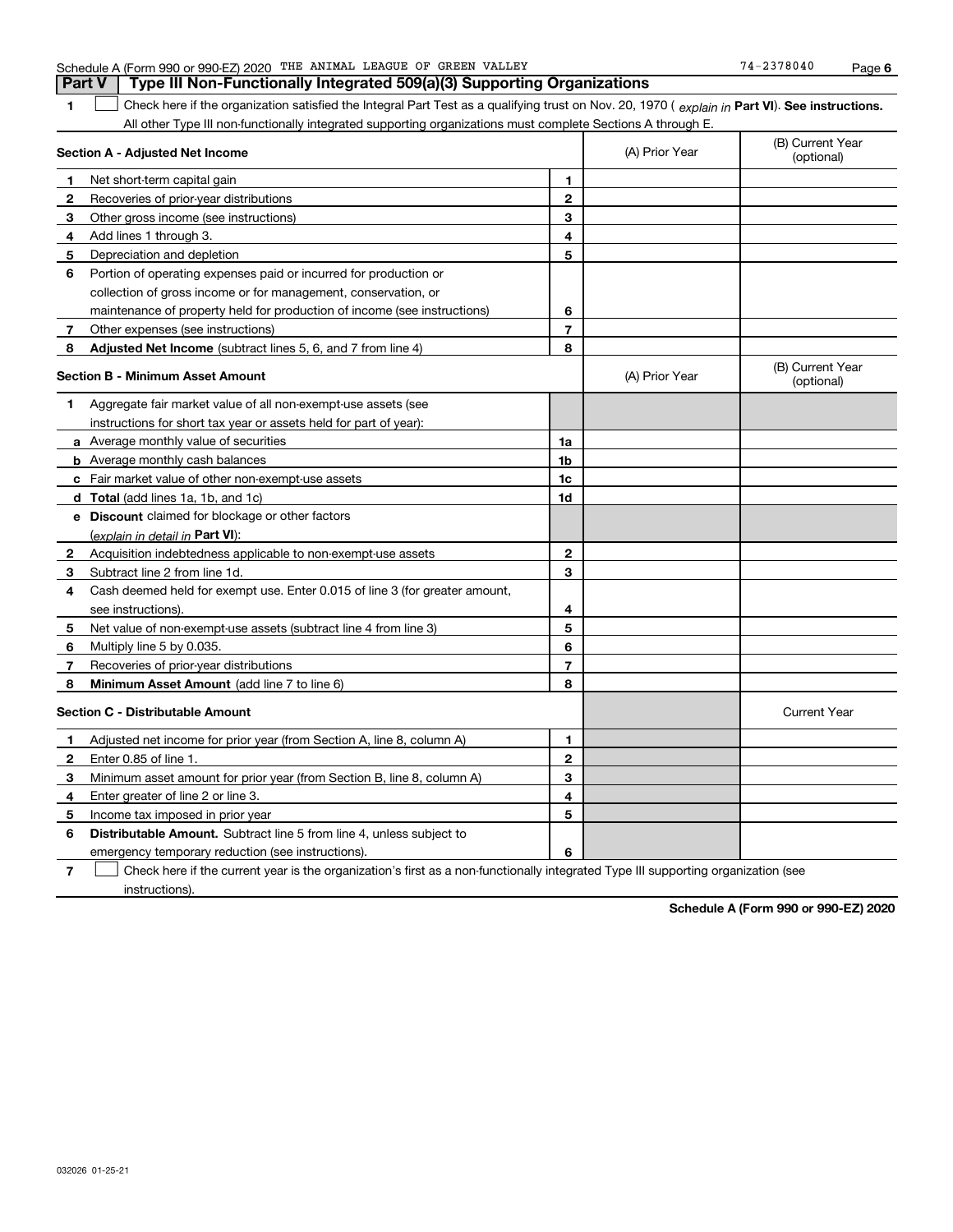| 1            | Check here if the organization satisfied the Integral Part Test as a qualifying trust on Nov. 20, 1970 (explain in Part VI). See instructions.<br>All other Type III non-functionally integrated supporting organizations must complete Sections A through E. |                |                |                                |  |  |  |
|--------------|---------------------------------------------------------------------------------------------------------------------------------------------------------------------------------------------------------------------------------------------------------------|----------------|----------------|--------------------------------|--|--|--|
|              | Section A - Adjusted Net Income                                                                                                                                                                                                                               |                | (A) Prior Year | (B) Current Year<br>(optional) |  |  |  |
| 1            | Net short-term capital gain                                                                                                                                                                                                                                   | 1              |                |                                |  |  |  |
| $\mathbf{2}$ | Recoveries of prior-year distributions                                                                                                                                                                                                                        | $\overline{2}$ |                |                                |  |  |  |
| 3            | Other gross income (see instructions)                                                                                                                                                                                                                         | 3              |                |                                |  |  |  |
| 4            | Add lines 1 through 3.                                                                                                                                                                                                                                        | 4              |                |                                |  |  |  |
| 5            | Depreciation and depletion                                                                                                                                                                                                                                    | 5              |                |                                |  |  |  |
| 6            | Portion of operating expenses paid or incurred for production or                                                                                                                                                                                              |                |                |                                |  |  |  |
|              | collection of gross income or for management, conservation, or                                                                                                                                                                                                |                |                |                                |  |  |  |
|              | maintenance of property held for production of income (see instructions)                                                                                                                                                                                      | 6              |                |                                |  |  |  |
| $\mathbf{7}$ | Other expenses (see instructions)                                                                                                                                                                                                                             | $\overline{7}$ |                |                                |  |  |  |
| 8            | <b>Adjusted Net Income</b> (subtract lines 5, 6, and 7 from line 4)                                                                                                                                                                                           | 8              |                |                                |  |  |  |
|              | <b>Section B - Minimum Asset Amount</b>                                                                                                                                                                                                                       |                | (A) Prior Year | (B) Current Year<br>(optional) |  |  |  |
| 1            | Aggregate fair market value of all non-exempt-use assets (see                                                                                                                                                                                                 |                |                |                                |  |  |  |
|              | instructions for short tax year or assets held for part of year):                                                                                                                                                                                             |                |                |                                |  |  |  |
|              | a Average monthly value of securities                                                                                                                                                                                                                         | 1a             |                |                                |  |  |  |
|              | <b>b</b> Average monthly cash balances                                                                                                                                                                                                                        | 1b             |                |                                |  |  |  |
|              | c Fair market value of other non-exempt-use assets                                                                                                                                                                                                            | 1 <sub>c</sub> |                |                                |  |  |  |
|              | <b>d</b> Total (add lines 1a, 1b, and 1c)                                                                                                                                                                                                                     | 1d             |                |                                |  |  |  |
|              | e Discount claimed for blockage or other factors                                                                                                                                                                                                              |                |                |                                |  |  |  |
|              | (explain in detail in Part VI):                                                                                                                                                                                                                               |                |                |                                |  |  |  |
| 2            | Acquisition indebtedness applicable to non-exempt-use assets                                                                                                                                                                                                  | $\overline{2}$ |                |                                |  |  |  |
| 3            | Subtract line 2 from line 1d.                                                                                                                                                                                                                                 | 3              |                |                                |  |  |  |
| 4            | Cash deemed held for exempt use. Enter 0.015 of line 3 (for greater amount,                                                                                                                                                                                   |                |                |                                |  |  |  |
|              | see instructions)                                                                                                                                                                                                                                             | 4              |                |                                |  |  |  |
| 5            | Net value of non-exempt-use assets (subtract line 4 from line 3)                                                                                                                                                                                              | 5              |                |                                |  |  |  |
| 6            | Multiply line 5 by 0.035.                                                                                                                                                                                                                                     | 6              |                |                                |  |  |  |
| 7            | Recoveries of prior-year distributions                                                                                                                                                                                                                        | $\overline{7}$ |                |                                |  |  |  |
| 8            | Minimum Asset Amount (add line 7 to line 6)                                                                                                                                                                                                                   | 8              |                |                                |  |  |  |
|              | <b>Section C - Distributable Amount</b>                                                                                                                                                                                                                       |                |                | <b>Current Year</b>            |  |  |  |
| 1            | Adjusted net income for prior year (from Section A, line 8, column A)                                                                                                                                                                                         | 1              |                |                                |  |  |  |
| 2            | Enter 0.85 of line 1.                                                                                                                                                                                                                                         | $\overline{2}$ |                |                                |  |  |  |
| з            | Minimum asset amount for prior year (from Section B, line 8, column A)                                                                                                                                                                                        | 3              |                |                                |  |  |  |
| 4            | Enter greater of line 2 or line 3.                                                                                                                                                                                                                            | 4              |                |                                |  |  |  |
| 5            | Income tax imposed in prior year                                                                                                                                                                                                                              | 5              |                |                                |  |  |  |
| 6            | <b>Distributable Amount.</b> Subtract line 5 from line 4, unless subject to                                                                                                                                                                                   |                |                |                                |  |  |  |
|              | emergency temporary reduction (see instructions).                                                                                                                                                                                                             | 6              |                |                                |  |  |  |

Check here if the current year is the organization's first as a non-functionally integrated Type III supporting organization (see

## **Part V Type III Non-Functionally Integrated 509(a)(3) Supporting Organizations**

 $\mathcal{L}^{\text{max}}$ 

instructions).

**Schedule A (Form 990 or 990-EZ) 2020**

**7**

 $\overline{\phantom{a}}$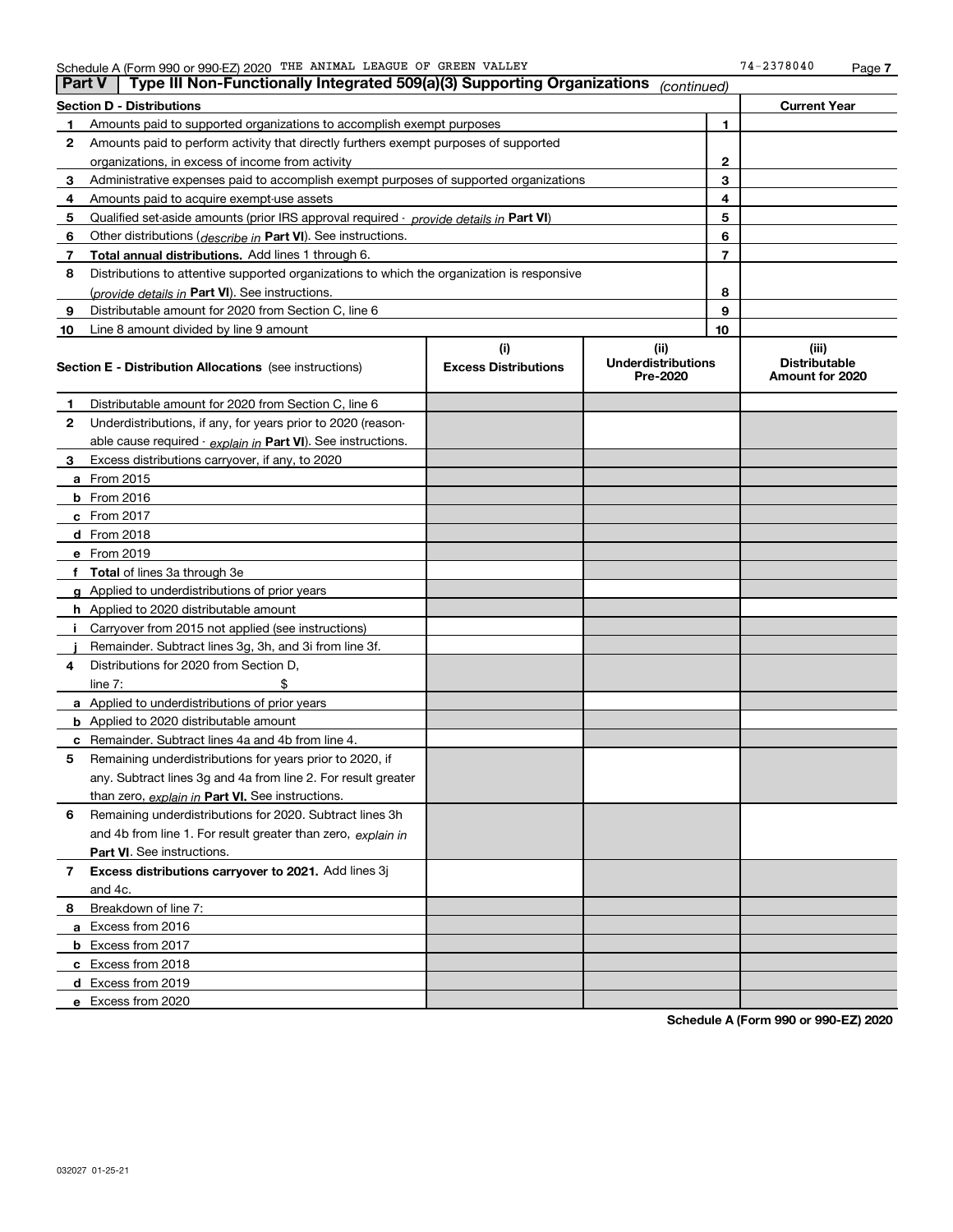|    | Type III Non-Functionally Integrated 509(a)(3) Supporting Organizations<br>∣ Part V<br>(continued) |                             |                                       |    |                                         |  |
|----|----------------------------------------------------------------------------------------------------|-----------------------------|---------------------------------------|----|-----------------------------------------|--|
|    | Section D - Distributions                                                                          |                             |                                       |    | <b>Current Year</b>                     |  |
| 1  | Amounts paid to supported organizations to accomplish exempt purposes                              |                             |                                       | 1  |                                         |  |
| 2  | Amounts paid to perform activity that directly furthers exempt purposes of supported               |                             |                                       |    |                                         |  |
|    | organizations, in excess of income from activity                                                   |                             | 2                                     |    |                                         |  |
| 3  | Administrative expenses paid to accomplish exempt purposes of supported organizations              |                             |                                       | 3  |                                         |  |
| 4  | Amounts paid to acquire exempt-use assets                                                          |                             |                                       | 4  |                                         |  |
| 5  | Qualified set aside amounts (prior IRS approval required - provide details in Part VI)             |                             |                                       | 5  |                                         |  |
| 6  | Other distributions ( <i>describe in</i> Part VI). See instructions.                               |                             |                                       | 6  |                                         |  |
| 7  | Total annual distributions. Add lines 1 through 6.                                                 |                             |                                       | 7  |                                         |  |
| 8  | Distributions to attentive supported organizations to which the organization is responsive         |                             |                                       |    |                                         |  |
|    | ( <i>provide details in</i> Part VI). See instructions.                                            |                             |                                       | 8  |                                         |  |
| 9  | Distributable amount for 2020 from Section C, line 6                                               |                             |                                       | 9  |                                         |  |
| 10 | Line 8 amount divided by line 9 amount                                                             |                             |                                       | 10 |                                         |  |
|    |                                                                                                    | (i)                         | (ii)                                  |    | (iii)                                   |  |
|    | <b>Section E - Distribution Allocations</b> (see instructions)                                     | <b>Excess Distributions</b> | <b>Underdistributions</b><br>Pre-2020 |    | <b>Distributable</b><br>Amount for 2020 |  |
| 1  | Distributable amount for 2020 from Section C, line 6                                               |                             |                                       |    |                                         |  |
| 2  | Underdistributions, if any, for years prior to 2020 (reason-                                       |                             |                                       |    |                                         |  |
|    | able cause required - explain in Part VI). See instructions.                                       |                             |                                       |    |                                         |  |
| 3  | Excess distributions carryover, if any, to 2020                                                    |                             |                                       |    |                                         |  |
|    | a From 2015                                                                                        |                             |                                       |    |                                         |  |
|    | <b>b</b> From 2016                                                                                 |                             |                                       |    |                                         |  |
|    | <b>c</b> From 2017                                                                                 |                             |                                       |    |                                         |  |
|    | <b>d</b> From 2018                                                                                 |                             |                                       |    |                                         |  |
|    | e From 2019                                                                                        |                             |                                       |    |                                         |  |
|    | f Total of lines 3a through 3e                                                                     |                             |                                       |    |                                         |  |
|    | g Applied to underdistributions of prior years                                                     |                             |                                       |    |                                         |  |
|    | <b>h</b> Applied to 2020 distributable amount                                                      |                             |                                       |    |                                         |  |
|    | Carryover from 2015 not applied (see instructions)                                                 |                             |                                       |    |                                         |  |
|    | Remainder. Subtract lines 3g, 3h, and 3i from line 3f.                                             |                             |                                       |    |                                         |  |
| 4  | Distributions for 2020 from Section D,                                                             |                             |                                       |    |                                         |  |
|    | line $7:$                                                                                          |                             |                                       |    |                                         |  |
|    | a Applied to underdistributions of prior years                                                     |                             |                                       |    |                                         |  |
|    | <b>b</b> Applied to 2020 distributable amount                                                      |                             |                                       |    |                                         |  |
|    | c Remainder. Subtract lines 4a and 4b from line 4.                                                 |                             |                                       |    |                                         |  |
| 5. | Remaining underdistributions for years prior to 2020, if                                           |                             |                                       |    |                                         |  |
|    | any. Subtract lines 3g and 4a from line 2. For result greater                                      |                             |                                       |    |                                         |  |
|    | than zero, explain in Part VI. See instructions.                                                   |                             |                                       |    |                                         |  |
| 6  | Remaining underdistributions for 2020. Subtract lines 3h                                           |                             |                                       |    |                                         |  |
|    | and 4b from line 1. For result greater than zero, explain in                                       |                             |                                       |    |                                         |  |
|    | Part VI. See instructions.                                                                         |                             |                                       |    |                                         |  |
| 7  | Excess distributions carryover to 2021. Add lines 3j                                               |                             |                                       |    |                                         |  |
|    | and 4c.                                                                                            |                             |                                       |    |                                         |  |
| 8  | Breakdown of line 7:                                                                               |                             |                                       |    |                                         |  |
|    | a Excess from 2016                                                                                 |                             |                                       |    |                                         |  |
|    | <b>b</b> Excess from 2017                                                                          |                             |                                       |    |                                         |  |
|    | c Excess from 2018                                                                                 |                             |                                       |    |                                         |  |
|    | d Excess from 2019                                                                                 |                             |                                       |    |                                         |  |
|    | e Excess from 2020                                                                                 |                             |                                       |    |                                         |  |

**Schedule A (Form 990 or 990-EZ) 2020**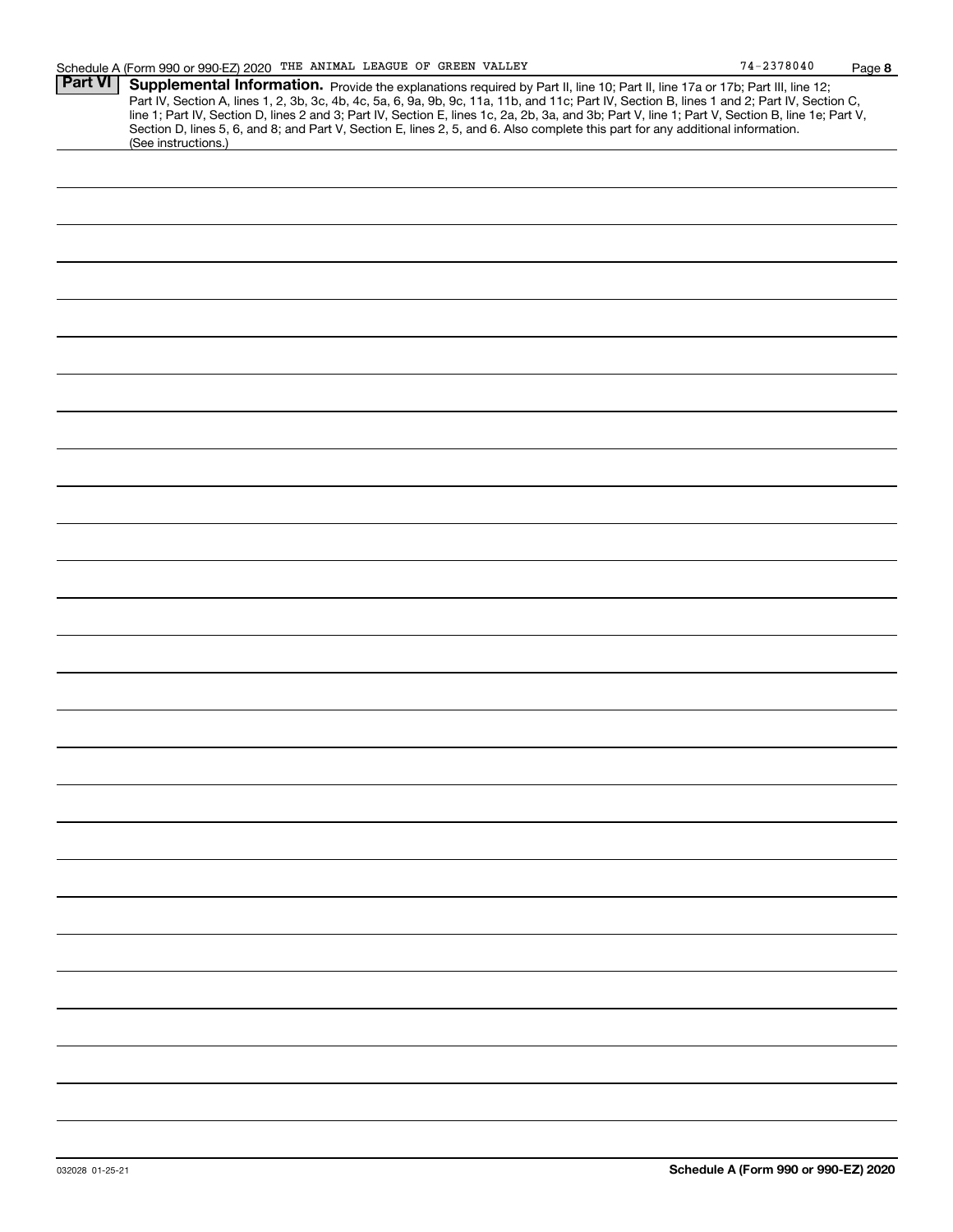**8**

| <b>Part VI</b> |                                                                                                                                                                                                                                                                                                                                                                                            |  |  |  |  |
|----------------|--------------------------------------------------------------------------------------------------------------------------------------------------------------------------------------------------------------------------------------------------------------------------------------------------------------------------------------------------------------------------------------------|--|--|--|--|
|                | <b>Supplemental Information.</b> Provide the explanations required by Part II, line 10; Part II, line 17a or 17b; Part III, line 12;<br>Part IV, Section A, lines 1, 2, 3b, 3c, 4b, 4c, 5a, 6, 9a, 9b, 9c, 11a, 11b, and 11c; Part IV,<br>line 1; Part IV, Section D, lines 2 and 3; Part IV, Section E, lines 1c, 2a, 2b, 3a, and 3b; Part V, line 1; Part V, Section B, line 1e; Part V, |  |  |  |  |
|                | Section D, lines 5, 6, and 8; and Part V, Section E, lines 2, 5, and 6. Also complete this part for any additional information.<br>(See instructions.)                                                                                                                                                                                                                                     |  |  |  |  |
|                |                                                                                                                                                                                                                                                                                                                                                                                            |  |  |  |  |
|                |                                                                                                                                                                                                                                                                                                                                                                                            |  |  |  |  |
|                |                                                                                                                                                                                                                                                                                                                                                                                            |  |  |  |  |
|                |                                                                                                                                                                                                                                                                                                                                                                                            |  |  |  |  |
|                |                                                                                                                                                                                                                                                                                                                                                                                            |  |  |  |  |
|                |                                                                                                                                                                                                                                                                                                                                                                                            |  |  |  |  |
|                |                                                                                                                                                                                                                                                                                                                                                                                            |  |  |  |  |
|                |                                                                                                                                                                                                                                                                                                                                                                                            |  |  |  |  |
|                |                                                                                                                                                                                                                                                                                                                                                                                            |  |  |  |  |
|                |                                                                                                                                                                                                                                                                                                                                                                                            |  |  |  |  |
|                |                                                                                                                                                                                                                                                                                                                                                                                            |  |  |  |  |
|                |                                                                                                                                                                                                                                                                                                                                                                                            |  |  |  |  |
|                |                                                                                                                                                                                                                                                                                                                                                                                            |  |  |  |  |
|                |                                                                                                                                                                                                                                                                                                                                                                                            |  |  |  |  |
|                |                                                                                                                                                                                                                                                                                                                                                                                            |  |  |  |  |
|                |                                                                                                                                                                                                                                                                                                                                                                                            |  |  |  |  |
|                |                                                                                                                                                                                                                                                                                                                                                                                            |  |  |  |  |
|                |                                                                                                                                                                                                                                                                                                                                                                                            |  |  |  |  |
|                |                                                                                                                                                                                                                                                                                                                                                                                            |  |  |  |  |
|                |                                                                                                                                                                                                                                                                                                                                                                                            |  |  |  |  |
|                |                                                                                                                                                                                                                                                                                                                                                                                            |  |  |  |  |
|                |                                                                                                                                                                                                                                                                                                                                                                                            |  |  |  |  |
|                |                                                                                                                                                                                                                                                                                                                                                                                            |  |  |  |  |
|                |                                                                                                                                                                                                                                                                                                                                                                                            |  |  |  |  |
|                |                                                                                                                                                                                                                                                                                                                                                                                            |  |  |  |  |
|                |                                                                                                                                                                                                                                                                                                                                                                                            |  |  |  |  |
|                |                                                                                                                                                                                                                                                                                                                                                                                            |  |  |  |  |
|                |                                                                                                                                                                                                                                                                                                                                                                                            |  |  |  |  |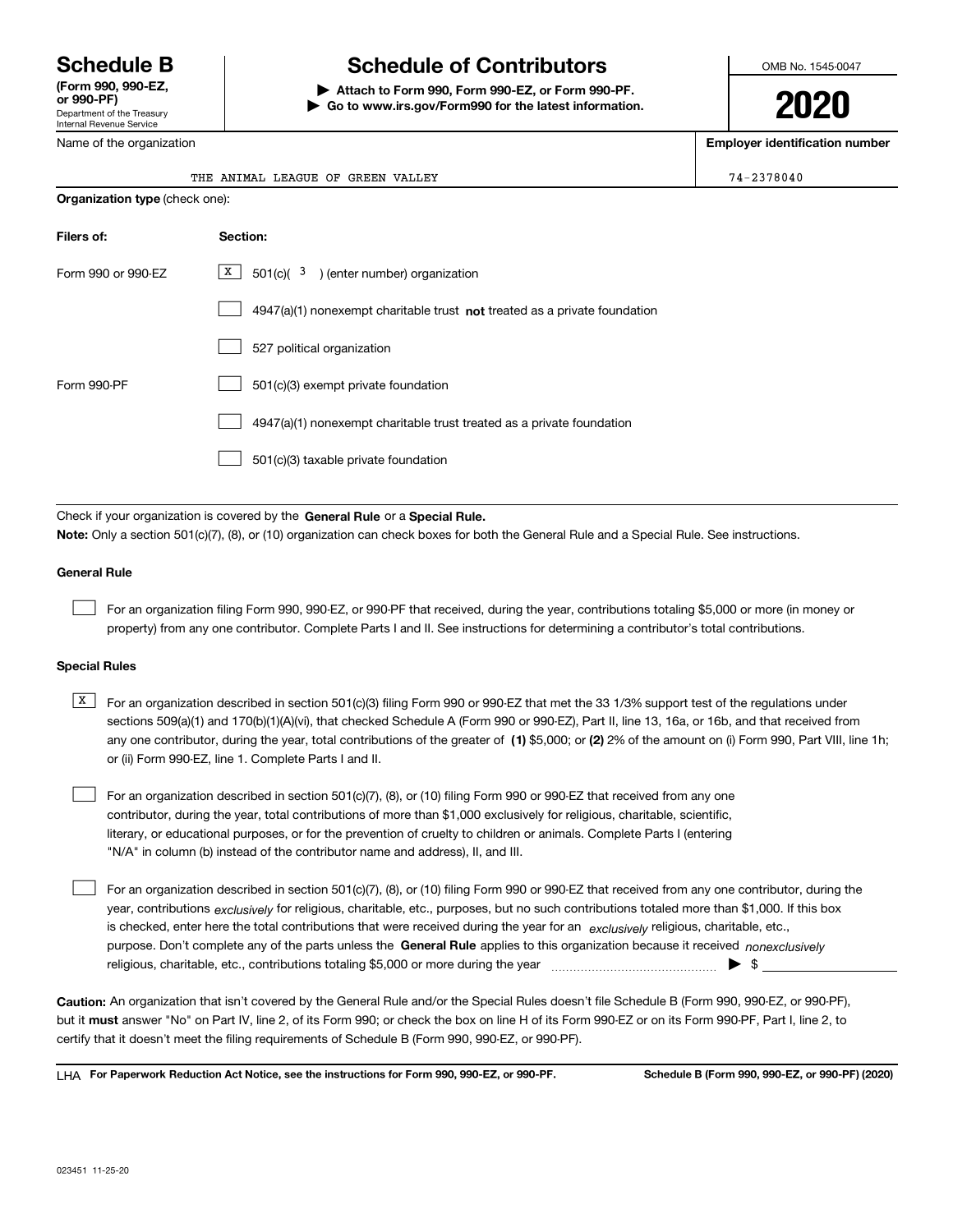Department of the Treasury Internal Revenue Service **(Form 990, 990-EZ, or 990-PF)**

Name of the organization

# **Schedule B Schedule of Contributors**

**| Attach to Form 990, Form 990-EZ, or Form 990-PF. | Go to www.irs.gov/Form990 for the latest information.** OMB No. 1545-0047

**2020**

**Employer identification number**

 $74 - 2378040$ 

|  | THE ANIMAL LEAGUE OF GREEN VALLEY |  |  |
|--|-----------------------------------|--|--|
|  |                                   |  |  |

| <b>Organization type (check one):</b> |                                                                                    |  |  |  |  |
|---------------------------------------|------------------------------------------------------------------------------------|--|--|--|--|
| Filers of:                            | Section:                                                                           |  |  |  |  |
| Form 990 or 990-EZ                    | $\boxed{\text{X}}$ 501(c)( 3) (enter number) organization                          |  |  |  |  |
|                                       | $4947(a)(1)$ nonexempt charitable trust <b>not</b> treated as a private foundation |  |  |  |  |
|                                       | 527 political organization                                                         |  |  |  |  |
| Form 990-PF                           | 501(c)(3) exempt private foundation                                                |  |  |  |  |
|                                       | 4947(a)(1) nonexempt charitable trust treated as a private foundation              |  |  |  |  |
|                                       | 501(c)(3) taxable private foundation                                               |  |  |  |  |

Check if your organization is covered by the **General Rule** or a **Special Rule. Note:**  Only a section 501(c)(7), (8), or (10) organization can check boxes for both the General Rule and a Special Rule. See instructions.

### **General Rule**

 $\mathcal{L}^{\text{max}}$ 

For an organization filing Form 990, 990-EZ, or 990-PF that received, during the year, contributions totaling \$5,000 or more (in money or property) from any one contributor. Complete Parts I and II. See instructions for determining a contributor's total contributions.

#### **Special Rules**

any one contributor, during the year, total contributions of the greater of  $\,$  (1) \$5,000; or **(2)** 2% of the amount on (i) Form 990, Part VIII, line 1h;  $\overline{X}$  For an organization described in section 501(c)(3) filing Form 990 or 990-EZ that met the 33 1/3% support test of the regulations under sections 509(a)(1) and 170(b)(1)(A)(vi), that checked Schedule A (Form 990 or 990-EZ), Part II, line 13, 16a, or 16b, and that received from or (ii) Form 990-EZ, line 1. Complete Parts I and II.

For an organization described in section 501(c)(7), (8), or (10) filing Form 990 or 990-EZ that received from any one contributor, during the year, total contributions of more than \$1,000 exclusively for religious, charitable, scientific, literary, or educational purposes, or for the prevention of cruelty to children or animals. Complete Parts I (entering "N/A" in column (b) instead of the contributor name and address), II, and III.  $\mathcal{L}^{\text{max}}$ 

purpose. Don't complete any of the parts unless the **General Rule** applies to this organization because it received *nonexclusively* year, contributions <sub>exclusively</sub> for religious, charitable, etc., purposes, but no such contributions totaled more than \$1,000. If this box is checked, enter here the total contributions that were received during the year for an  $\;$ exclusively religious, charitable, etc., For an organization described in section 501(c)(7), (8), or (10) filing Form 990 or 990-EZ that received from any one contributor, during the religious, charitable, etc., contributions totaling \$5,000 or more during the year  $\Box$ — $\Box$   $\Box$  $\mathcal{L}^{\text{max}}$ 

**Caution:**  An organization that isn't covered by the General Rule and/or the Special Rules doesn't file Schedule B (Form 990, 990-EZ, or 990-PF),  **must** but it answer "No" on Part IV, line 2, of its Form 990; or check the box on line H of its Form 990-EZ or on its Form 990-PF, Part I, line 2, to certify that it doesn't meet the filing requirements of Schedule B (Form 990, 990-EZ, or 990-PF).

**For Paperwork Reduction Act Notice, see the instructions for Form 990, 990-EZ, or 990-PF. Schedule B (Form 990, 990-EZ, or 990-PF) (2020)** LHA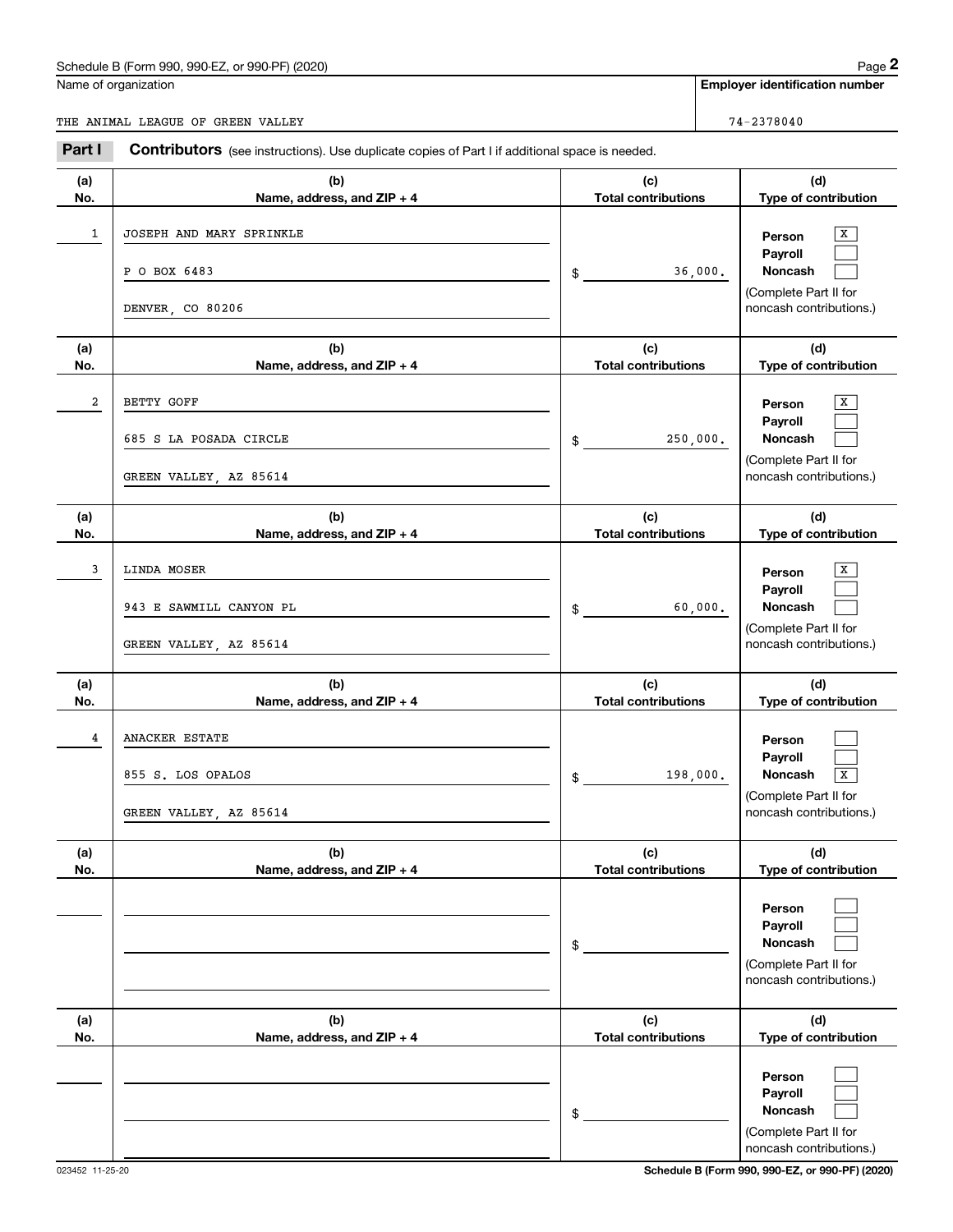## Schedule B (Form 990, 990-EZ, or 990-PF) (2020) Page 2

| 'ane<br>o |
|-----------|
|           |
|           |
|           |

|                | Schedule B (Form 990, 990-EZ, or 990-PF) (2020)                                                |                                   | Page 2                                                                                           |
|----------------|------------------------------------------------------------------------------------------------|-----------------------------------|--------------------------------------------------------------------------------------------------|
|                | Name of organization                                                                           |                                   | <b>Employer identification number</b>                                                            |
|                | THE ANIMAL LEAGUE OF GREEN VALLEY                                                              |                                   | 74-2378040                                                                                       |
| Part I         | Contributors (see instructions). Use duplicate copies of Part I if additional space is needed. |                                   |                                                                                                  |
| (a)<br>No.     | (b)<br>Name, address, and ZIP + 4                                                              | (c)<br><b>Total contributions</b> | (d)<br>Type of contribution                                                                      |
| 1              | JOSEPH AND MARY SPRINKLE<br>P O BOX 6483<br>DENVER, CO 80206                                   | \$                                | X<br>Person<br>Payroll<br>Noncash<br>36,000.<br>(Complete Part II for<br>noncash contributions.) |
| (a)<br>No.     | (b)<br>Name, address, and ZIP + 4                                                              | (c)<br><b>Total contributions</b> | (d)<br>Type of contribution                                                                      |
| $\overline{a}$ | BETTY GOFF<br>685 S LA POSADA CIRCLE<br>GREEN VALLEY, AZ 85614                                 | 250,000.<br>\$                    | х<br>Person<br>Payroll<br>Noncash<br>(Complete Part II for<br>noncash contributions.)            |
| (a)<br>No.     | (b)<br>Name, address, and ZIP + 4                                                              | (c)<br><b>Total contributions</b> | (d)<br>Type of contribution                                                                      |
| 3              | LINDA MOSER<br>943 E SAWMILL CANYON PL<br>GREEN VALLEY, AZ 85614                               | \$                                | х<br>Person<br>Payroll<br>60,000.<br>Noncash<br>(Complete Part II for<br>noncash contributions.) |
| (a)<br>No.     | (b)<br>Name, address, and ZIP + 4                                                              | (c)<br><b>Total contributions</b> | (d)<br>Type of contribution                                                                      |
| 4              | ANACKER ESTATE<br>855 S. LOS OPALOS<br>GREEN VALLEY, AZ 85614                                  | 198,000.<br>\$                    | Person<br>Payroll<br><b>Noncash</b><br>x<br>(Complete Part II for<br>noncash contributions.)     |
| (a)<br>No.     | (b)<br>Name, address, and ZIP + 4                                                              | (c)<br><b>Total contributions</b> | (d)<br>Type of contribution                                                                      |
|                |                                                                                                | \$                                | Person<br>Payroll<br>Noncash<br>(Complete Part II for<br>noncash contributions.)                 |
| (a)<br>No.     | (b)<br>Name, address, and ZIP + 4                                                              | (c)<br><b>Total contributions</b> | (d)<br>Type of contribution                                                                      |
|                |                                                                                                | \$                                | Person<br>Payroll<br>Noncash<br>(Complete Part II for<br>noncash contributions.)                 |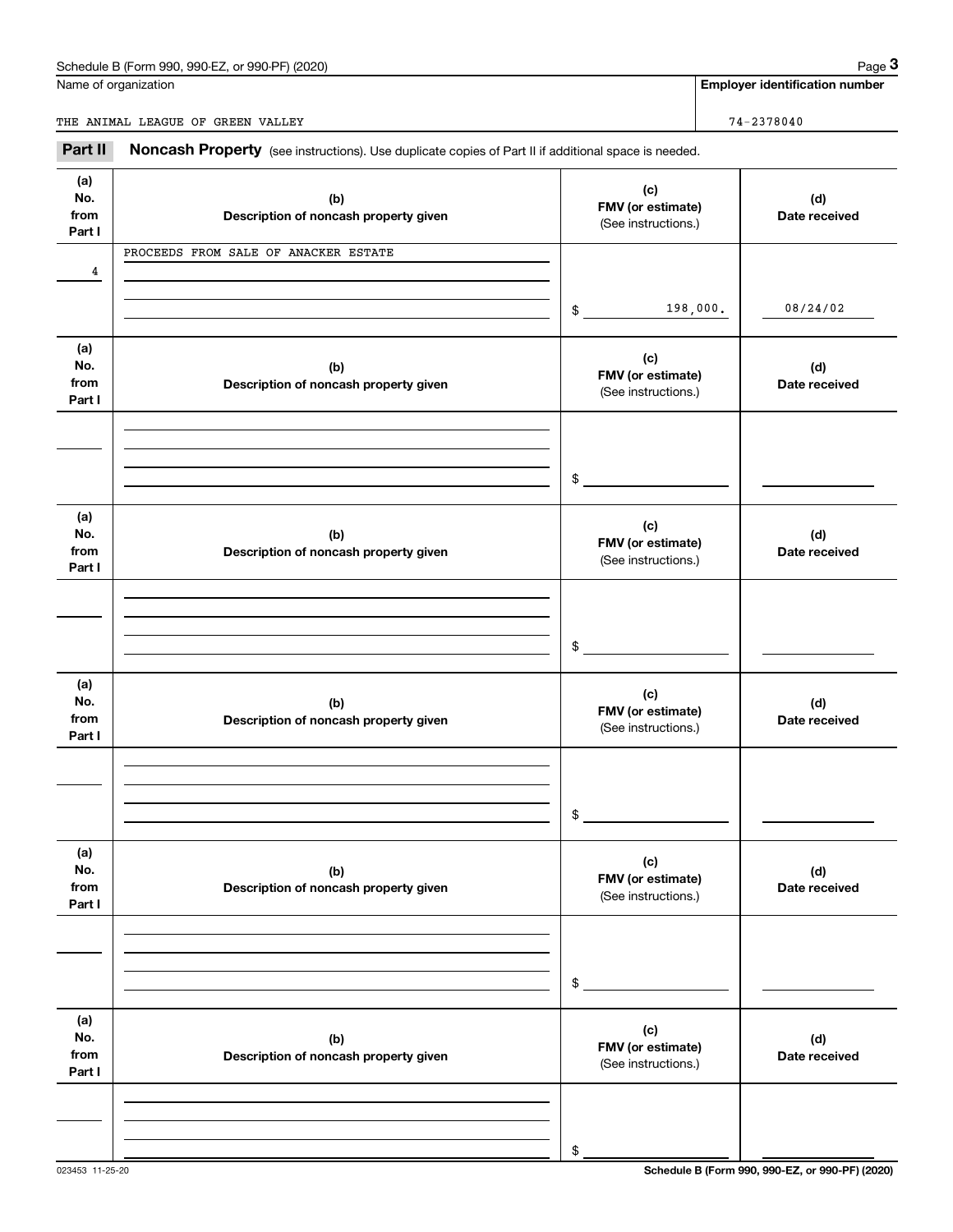## Schedule B (Form 990, 990-EZ, or 990-PF) (2020) Page 3

Name of organization

**Employer identification number**

THE ANIMAL LEAGUE OF GREEN VALLEY **74-2378040** 

Chedule B (Form 990, 990-EZ, or 990-PF) (2020)<br> **2990 Page 3**<br> **2991 Employer identification number**<br> **3991 Employer identification number**<br> **24-2378040**<br> **24-2378040**<br> **24-2378040**<br> **24-2378040** 

| (a)<br>No.<br>from<br>Part I | (b)<br>Description of noncash property given | (c)<br>FMV (or estimate)<br>(See instructions.) | (d)<br>Date received |
|------------------------------|----------------------------------------------|-------------------------------------------------|----------------------|
| 4                            | PROCEEDS FROM SALE OF ANACKER ESTATE         |                                                 |                      |
|                              |                                              | 198,000.<br>\$                                  | 08/24/02             |
| (a)<br>No.<br>from<br>Part I | (b)<br>Description of noncash property given | (c)<br>FMV (or estimate)<br>(See instructions.) | (d)<br>Date received |
|                              |                                              | \$                                              |                      |
| (a)<br>No.<br>from<br>Part I | (b)<br>Description of noncash property given | (c)<br>FMV (or estimate)<br>(See instructions.) | (d)<br>Date received |
|                              |                                              | \$                                              |                      |
| (a)<br>No.<br>from<br>Part I | (b)<br>Description of noncash property given | (c)<br>FMV (or estimate)<br>(See instructions.) | (d)<br>Date received |
|                              |                                              | \$                                              |                      |
| (a)<br>No.<br>from<br>Part I | (b)<br>Description of noncash property given | (c)<br>FMV (or estimate)<br>(See instructions.) | (d)<br>Date received |
|                              |                                              | \$                                              |                      |
| (a)<br>No.<br>from<br>Part I | (b)<br>Description of noncash property given | (c)<br>FMV (or estimate)<br>(See instructions.) | (d)<br>Date received |
|                              |                                              |                                                 |                      |
|                              |                                              | \$                                              |                      |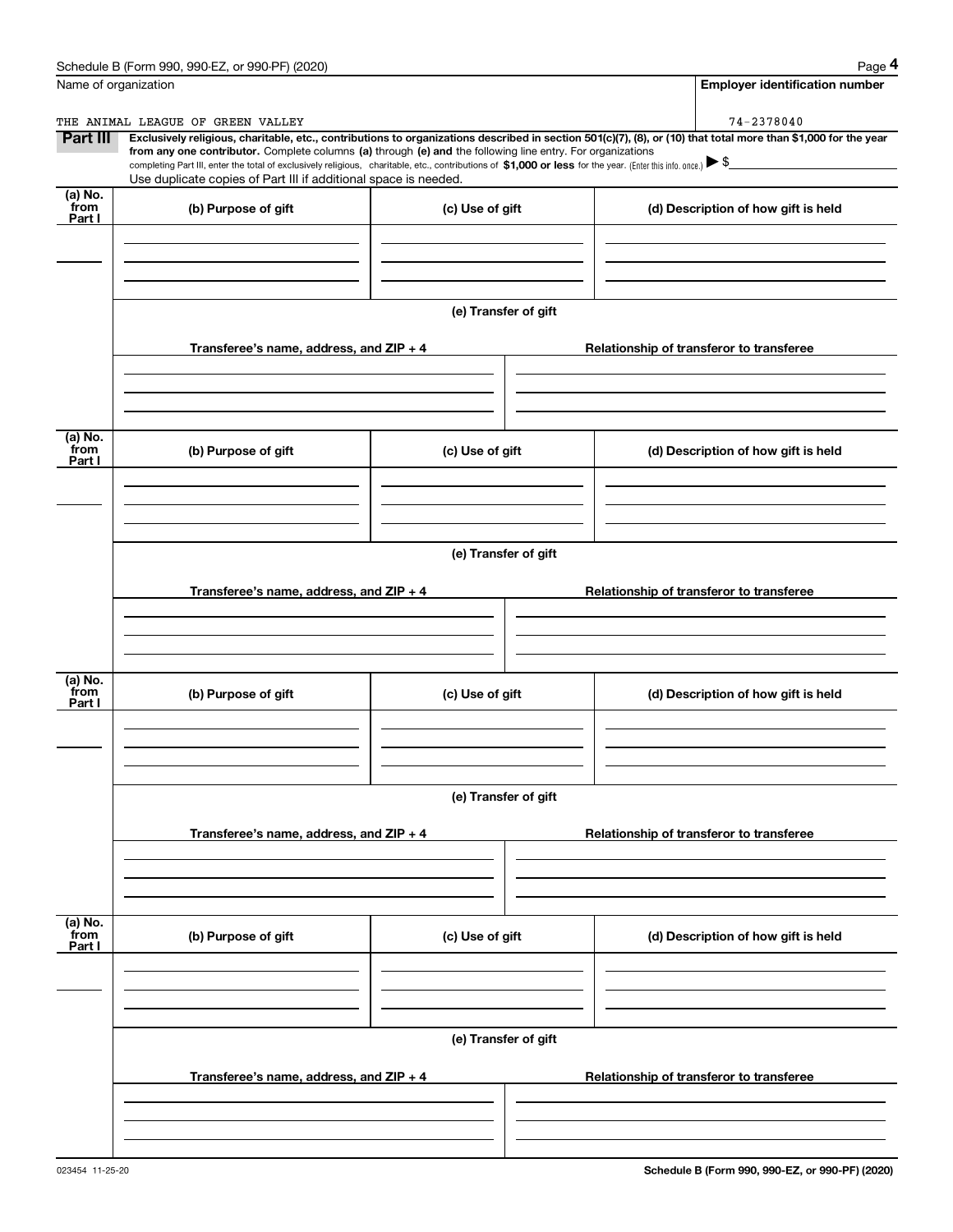|                           | Schedule B (Form 990, 990-EZ, or 990-PF) (2020)                                                                                                                                                                                                                                                 |                      | Page 4                                                                                                                                                         |  |  |  |
|---------------------------|-------------------------------------------------------------------------------------------------------------------------------------------------------------------------------------------------------------------------------------------------------------------------------------------------|----------------------|----------------------------------------------------------------------------------------------------------------------------------------------------------------|--|--|--|
|                           | Name of organization                                                                                                                                                                                                                                                                            |                      | <b>Employer identification number</b>                                                                                                                          |  |  |  |
|                           | THE ANIMAL LEAGUE OF GREEN VALLEY                                                                                                                                                                                                                                                               |                      | 74-2378040                                                                                                                                                     |  |  |  |
| Part III                  | from any one contributor. Complete columns (a) through (e) and the following line entry. For organizations<br>completing Part III, enter the total of exclusively religious, charitable, etc., contributions of \$1,000 or less for the year. (Enter this info. once.) $\blacktriangleright$ \$ |                      | Exclusively religious, charitable, etc., contributions to organizations described in section 501(c)(7), (8), or (10) that total more than \$1,000 for the year |  |  |  |
|                           | Use duplicate copies of Part III if additional space is needed.                                                                                                                                                                                                                                 |                      |                                                                                                                                                                |  |  |  |
| (a) No.<br>from<br>Part I | (b) Purpose of gift                                                                                                                                                                                                                                                                             | (c) Use of gift      | (d) Description of how gift is held                                                                                                                            |  |  |  |
|                           |                                                                                                                                                                                                                                                                                                 |                      |                                                                                                                                                                |  |  |  |
|                           |                                                                                                                                                                                                                                                                                                 |                      |                                                                                                                                                                |  |  |  |
|                           |                                                                                                                                                                                                                                                                                                 | (e) Transfer of gift |                                                                                                                                                                |  |  |  |
|                           | Transferee's name, address, and ZIP + 4                                                                                                                                                                                                                                                         |                      | Relationship of transferor to transferee                                                                                                                       |  |  |  |
|                           |                                                                                                                                                                                                                                                                                                 |                      |                                                                                                                                                                |  |  |  |
| (a) No.<br>from<br>Part I | (b) Purpose of gift                                                                                                                                                                                                                                                                             | (c) Use of gift      | (d) Description of how gift is held                                                                                                                            |  |  |  |
|                           |                                                                                                                                                                                                                                                                                                 |                      |                                                                                                                                                                |  |  |  |
|                           |                                                                                                                                                                                                                                                                                                 |                      |                                                                                                                                                                |  |  |  |
|                           | (e) Transfer of gift                                                                                                                                                                                                                                                                            |                      |                                                                                                                                                                |  |  |  |
|                           | Transferee's name, address, and ZIP + 4                                                                                                                                                                                                                                                         |                      | Relationship of transferor to transferee                                                                                                                       |  |  |  |
|                           |                                                                                                                                                                                                                                                                                                 |                      |                                                                                                                                                                |  |  |  |
| (a) No.<br>from<br>Part I | (b) Purpose of gift                                                                                                                                                                                                                                                                             | (c) Use of gift      | (d) Description of how gift is held                                                                                                                            |  |  |  |
|                           |                                                                                                                                                                                                                                                                                                 |                      |                                                                                                                                                                |  |  |  |
|                           | (e) Transfer of gift                                                                                                                                                                                                                                                                            |                      |                                                                                                                                                                |  |  |  |
|                           | Transferee's name, address, and ZIP + 4                                                                                                                                                                                                                                                         |                      | Relationship of transferor to transferee                                                                                                                       |  |  |  |
|                           |                                                                                                                                                                                                                                                                                                 |                      |                                                                                                                                                                |  |  |  |
| (a) No.<br>from<br>Part I | (b) Purpose of gift                                                                                                                                                                                                                                                                             | (c) Use of gift      | (d) Description of how gift is held                                                                                                                            |  |  |  |
|                           |                                                                                                                                                                                                                                                                                                 |                      |                                                                                                                                                                |  |  |  |
|                           |                                                                                                                                                                                                                                                                                                 | (e) Transfer of gift |                                                                                                                                                                |  |  |  |
|                           | Transferee's name, address, and ZIP + 4                                                                                                                                                                                                                                                         |                      | Relationship of transferor to transferee                                                                                                                       |  |  |  |
|                           |                                                                                                                                                                                                                                                                                                 |                      |                                                                                                                                                                |  |  |  |
|                           |                                                                                                                                                                                                                                                                                                 |                      |                                                                                                                                                                |  |  |  |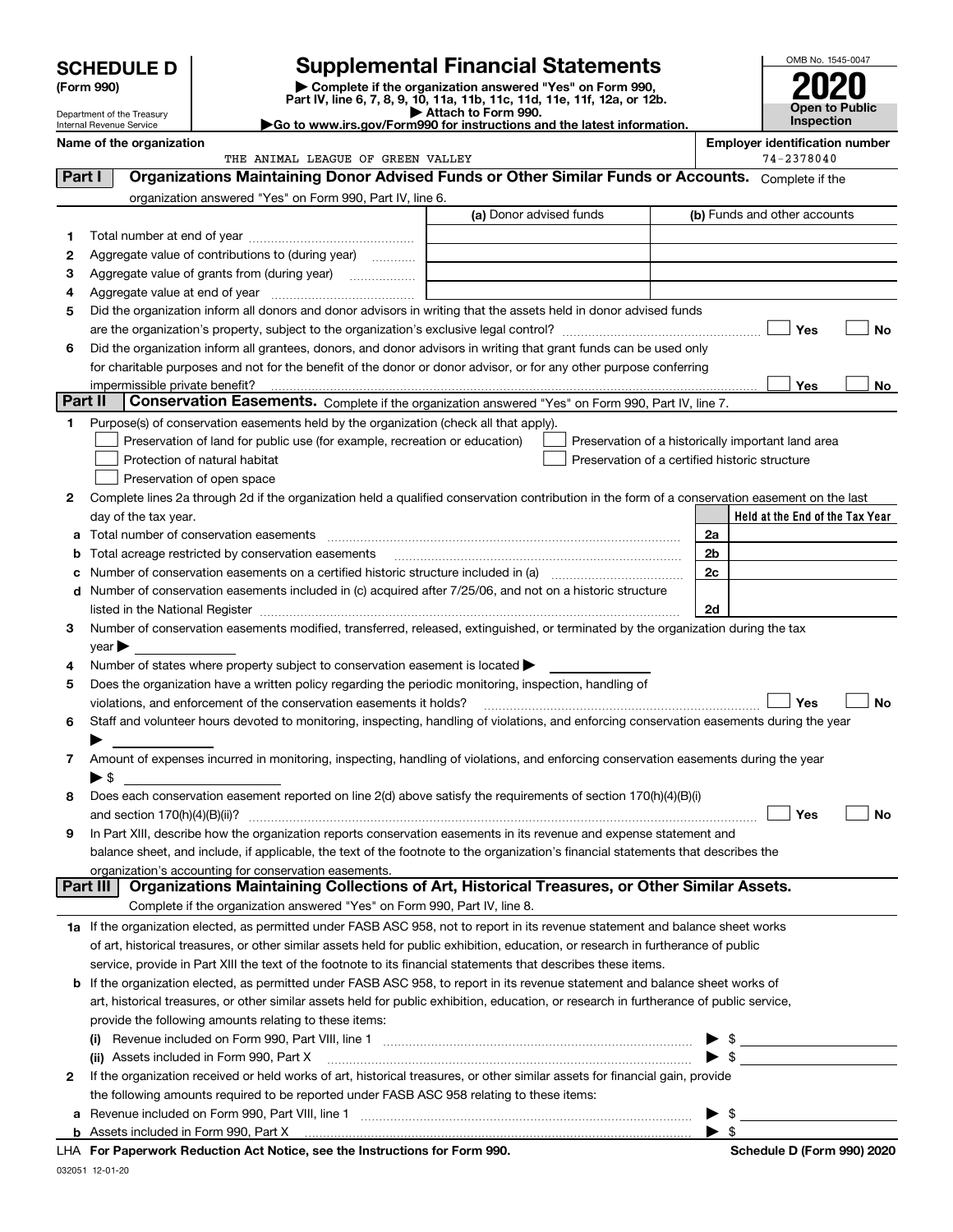|         | <b>SCHEDULE D</b><br>(Form 990)                        |                                                                                                                                                                     | <b>Supplemental Financial Statements</b><br>Complete if the organization answered "Yes" on Form 990,<br>Part IV, line 6, 7, 8, 9, 10, 11a, 11b, 11c, 11d, 11e, 11f, 12a, or 12b. |    | OMB No. 1545-0047<br><b>Open to Public</b> |    |
|---------|--------------------------------------------------------|---------------------------------------------------------------------------------------------------------------------------------------------------------------------|----------------------------------------------------------------------------------------------------------------------------------------------------------------------------------|----|--------------------------------------------|----|
|         | Department of the Treasury<br>Internal Revenue Service |                                                                                                                                                                     | Attach to Form 990.<br>Go to www.irs.gov/Form990 for instructions and the latest information.                                                                                    |    | <b>Inspection</b>                          |    |
|         | Name of the organization                               |                                                                                                                                                                     |                                                                                                                                                                                  |    | <b>Employer identification number</b>      |    |
|         |                                                        | THE ANIMAL LEAGUE OF GREEN VALLEY                                                                                                                                   |                                                                                                                                                                                  |    | 74-2378040                                 |    |
| Part I  |                                                        |                                                                                                                                                                     | Organizations Maintaining Donor Advised Funds or Other Similar Funds or Accounts. Complete if the                                                                                |    |                                            |    |
|         |                                                        | organization answered "Yes" on Form 990, Part IV, line 6.                                                                                                           |                                                                                                                                                                                  |    |                                            |    |
|         |                                                        |                                                                                                                                                                     | (a) Donor advised funds                                                                                                                                                          |    | (b) Funds and other accounts               |    |
| 1       |                                                        |                                                                                                                                                                     |                                                                                                                                                                                  |    |                                            |    |
| 2       |                                                        | Aggregate value of contributions to (during year)                                                                                                                   |                                                                                                                                                                                  |    |                                            |    |
| з       |                                                        | Aggregate value of grants from (during year)                                                                                                                        |                                                                                                                                                                                  |    |                                            |    |
| 4       | Aggregate value at end of year                         |                                                                                                                                                                     |                                                                                                                                                                                  |    |                                            |    |
| 5       |                                                        |                                                                                                                                                                     | Did the organization inform all donors and donor advisors in writing that the assets held in donor advised funds                                                                 |    |                                            |    |
|         |                                                        |                                                                                                                                                                     |                                                                                                                                                                                  |    | Yes                                        | No |
| 6       |                                                        |                                                                                                                                                                     | Did the organization inform all grantees, donors, and donor advisors in writing that grant funds can be used only                                                                |    |                                            |    |
|         |                                                        |                                                                                                                                                                     | for charitable purposes and not for the benefit of the donor or donor advisor, or for any other purpose conferring                                                               |    |                                            |    |
| Part II | impermissible private benefit?                         |                                                                                                                                                                     | Conservation Easements. Complete if the organization answered "Yes" on Form 990, Part IV, line 7.                                                                                |    | Yes                                        | No |
|         |                                                        |                                                                                                                                                                     |                                                                                                                                                                                  |    |                                            |    |
| 1.      |                                                        | Purpose(s) of conservation easements held by the organization (check all that apply).<br>Preservation of land for public use (for example, recreation or education) | Preservation of a historically important land area                                                                                                                               |    |                                            |    |
|         |                                                        | Protection of natural habitat                                                                                                                                       | Preservation of a certified historic structure                                                                                                                                   |    |                                            |    |
|         |                                                        | Preservation of open space                                                                                                                                          |                                                                                                                                                                                  |    |                                            |    |
| 2       |                                                        |                                                                                                                                                                     | Complete lines 2a through 2d if the organization held a qualified conservation contribution in the form of a conservation easement on the last                                   |    |                                            |    |
|         | day of the tax year.                                   |                                                                                                                                                                     |                                                                                                                                                                                  |    | Held at the End of the Tax Year            |    |
|         |                                                        |                                                                                                                                                                     |                                                                                                                                                                                  | 2a |                                            |    |
|         |                                                        | Total acreage restricted by conservation easements                                                                                                                  |                                                                                                                                                                                  | 2b |                                            |    |
|         |                                                        |                                                                                                                                                                     |                                                                                                                                                                                  | 2c |                                            |    |
| d       |                                                        |                                                                                                                                                                     | Number of conservation easements included in (c) acquired after 7/25/06, and not on a historic structure                                                                         |    |                                            |    |
|         | listed in the National Register                        |                                                                                                                                                                     |                                                                                                                                                                                  | 2d |                                            |    |
| З       |                                                        |                                                                                                                                                                     | Number of conservation easements modified, transferred, released, extinguished, or terminated by the organization during the tax                                                 |    |                                            |    |
|         | $\vee$ ear                                             |                                                                                                                                                                     |                                                                                                                                                                                  |    |                                            |    |
| 4       |                                                        | Number of states where property subject to conservation easement is located $\blacktriangleright$                                                                   |                                                                                                                                                                                  |    |                                            |    |
| 5       |                                                        | Does the organization have a written policy regarding the periodic monitoring, inspection, handling of                                                              |                                                                                                                                                                                  |    |                                            |    |
|         |                                                        | violations, and enforcement of the conservation easements it holds?                                                                                                 |                                                                                                                                                                                  |    | Yes                                        | No |
| 6       |                                                        |                                                                                                                                                                     | Staff and volunteer hours devoted to monitoring, inspecting, handling of violations, and enforcing conservation easements during the year                                        |    |                                            |    |
|         |                                                        |                                                                                                                                                                     |                                                                                                                                                                                  |    |                                            |    |
| 7       |                                                        |                                                                                                                                                                     | Amount of expenses incurred in monitoring, inspecting, handling of violations, and enforcing conservation easements during the year                                              |    |                                            |    |
|         | ▶ \$                                                   |                                                                                                                                                                     |                                                                                                                                                                                  |    |                                            |    |
| 8       |                                                        |                                                                                                                                                                     | Does each conservation easement reported on line 2(d) above satisfy the requirements of section 170(h)(4)(B)(i)                                                                  |    |                                            |    |
|         | and section $170(h)(4)(B)(ii)?$                        |                                                                                                                                                                     |                                                                                                                                                                                  |    | Yes                                        | No |
| 9       |                                                        |                                                                                                                                                                     | In Part XIII, describe how the organization reports conservation easements in its revenue and expense statement and                                                              |    |                                            |    |
|         |                                                        | organization's accounting for conservation easements.                                                                                                               | balance sheet, and include, if applicable, the text of the footnote to the organization's financial statements that describes the                                                |    |                                            |    |
|         | Part III                                               |                                                                                                                                                                     | Organizations Maintaining Collections of Art, Historical Treasures, or Other Similar Assets.                                                                                     |    |                                            |    |
|         |                                                        | Complete if the organization answered "Yes" on Form 990, Part IV, line 8.                                                                                           |                                                                                                                                                                                  |    |                                            |    |
|         |                                                        |                                                                                                                                                                     | 1a If the organization elected, as permitted under FASB ASC 958, not to report in its revenue statement and balance sheet works                                                  |    |                                            |    |
|         |                                                        |                                                                                                                                                                     | of art, historical treasures, or other similar assets held for public exhibition, education, or research in furtherance of public                                                |    |                                            |    |
|         |                                                        |                                                                                                                                                                     | service, provide in Part XIII the text of the footnote to its financial statements that describes these items.                                                                   |    |                                            |    |
|         |                                                        |                                                                                                                                                                     | <b>b</b> If the organization elected, as permitted under FASB ASC 958, to report in its revenue statement and balance sheet works of                                             |    |                                            |    |
|         |                                                        |                                                                                                                                                                     | art, historical treasures, or other similar assets held for public exhibition, education, or research in furtherance of public service,                                          |    |                                            |    |
|         |                                                        | provide the following amounts relating to these items:                                                                                                              |                                                                                                                                                                                  |    |                                            |    |

|                                                                                                                                   | provide the following amounts relating to these items.                                    |  |  |  |
|-----------------------------------------------------------------------------------------------------------------------------------|-------------------------------------------------------------------------------------------|--|--|--|
|                                                                                                                                   | (i)                                                                                       |  |  |  |
|                                                                                                                                   | (ii) Assets included in Form 990, Part X [11] [12] Assets included in Form 990, Part X    |  |  |  |
| If the organization received or held works of art, historical treasures, or other similar assets for financial gain, provide<br>2 |                                                                                           |  |  |  |
|                                                                                                                                   | the following amounts required to be reported under FASB ASC 958 relating to these items: |  |  |  |
|                                                                                                                                   | a Revenue included on Form 990, Part VIII, line 1                                         |  |  |  |
|                                                                                                                                   |                                                                                           |  |  |  |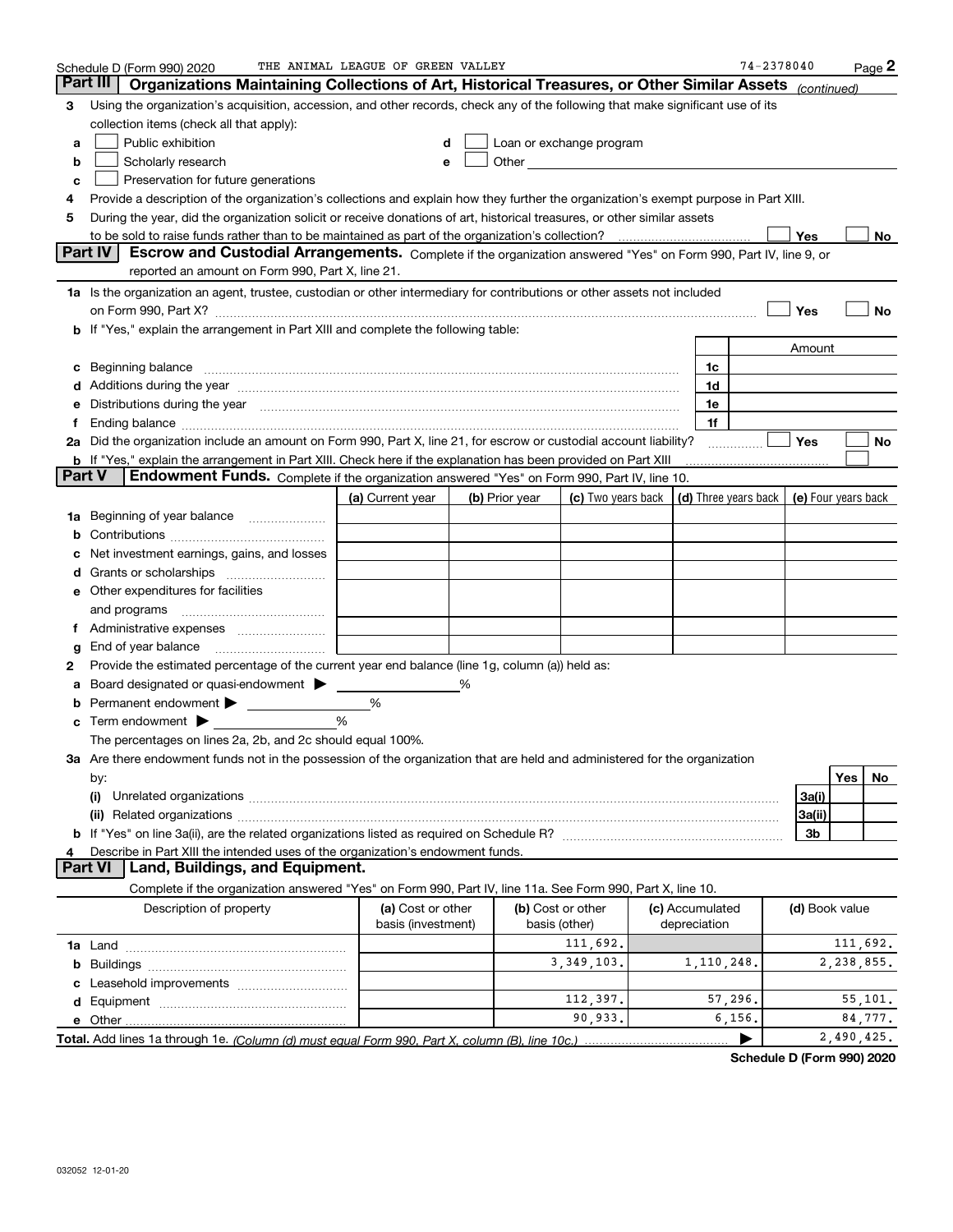|               | Schedule D (Form 990) 2020                                                                                                                                                                                                     | THE ANIMAL LEAGUE OF GREEN VALLEY |                |                                                                                                                                                                                                                                |                 | 74-2378040                                       |                |            | $Page$ 2 |
|---------------|--------------------------------------------------------------------------------------------------------------------------------------------------------------------------------------------------------------------------------|-----------------------------------|----------------|--------------------------------------------------------------------------------------------------------------------------------------------------------------------------------------------------------------------------------|-----------------|--------------------------------------------------|----------------|------------|----------|
| Part III      | Organizations Maintaining Collections of Art, Historical Treasures, or Other Similar Assets                                                                                                                                    |                                   |                |                                                                                                                                                                                                                                |                 |                                                  | (continued)    |            |          |
| 3             | Using the organization's acquisition, accession, and other records, check any of the following that make significant use of its                                                                                                |                                   |                |                                                                                                                                                                                                                                |                 |                                                  |                |            |          |
|               | collection items (check all that apply):                                                                                                                                                                                       |                                   |                |                                                                                                                                                                                                                                |                 |                                                  |                |            |          |
| a             | Public exhibition                                                                                                                                                                                                              | d                                 |                | Loan or exchange program                                                                                                                                                                                                       |                 |                                                  |                |            |          |
| b             | Scholarly research                                                                                                                                                                                                             | е                                 |                | Other and the control of the control of the control of the control of the control of the control of the control of the control of the control of the control of the control of the control of the control of the control of th |                 |                                                  |                |            |          |
| c             | Preservation for future generations                                                                                                                                                                                            |                                   |                |                                                                                                                                                                                                                                |                 |                                                  |                |            |          |
| 4             | Provide a description of the organization's collections and explain how they further the organization's exempt purpose in Part XIII.                                                                                           |                                   |                |                                                                                                                                                                                                                                |                 |                                                  |                |            |          |
| 5             | During the year, did the organization solicit or receive donations of art, historical treasures, or other similar assets                                                                                                       |                                   |                |                                                                                                                                                                                                                                |                 |                                                  |                |            |          |
|               |                                                                                                                                                                                                                                |                                   |                |                                                                                                                                                                                                                                |                 |                                                  | Yes            |            | No       |
|               | Part IV<br>Escrow and Custodial Arrangements. Complete if the organization answered "Yes" on Form 990, Part IV, line 9, or<br>reported an amount on Form 990, Part X, line 21.                                                 |                                   |                |                                                                                                                                                                                                                                |                 |                                                  |                |            |          |
|               | 1a Is the organization an agent, trustee, custodian or other intermediary for contributions or other assets not included                                                                                                       |                                   |                |                                                                                                                                                                                                                                |                 |                                                  |                |            |          |
|               |                                                                                                                                                                                                                                |                                   |                |                                                                                                                                                                                                                                |                 |                                                  | Yes            |            | No       |
|               | <b>b</b> If "Yes," explain the arrangement in Part XIII and complete the following table:                                                                                                                                      |                                   |                |                                                                                                                                                                                                                                |                 |                                                  |                |            |          |
|               |                                                                                                                                                                                                                                |                                   |                |                                                                                                                                                                                                                                |                 |                                                  | Amount         |            |          |
| c             | Beginning balance <b>contract to the contract of the contract of the contract of the contract of the contract of t</b>                                                                                                         |                                   |                |                                                                                                                                                                                                                                | 1c              |                                                  |                |            |          |
|               | Additions during the year manufactured and an according to the year manufactured and according the year manufactured and according the state of the state of the state of the state of the state of the state of the state of  |                                   |                |                                                                                                                                                                                                                                | 1d              |                                                  |                |            |          |
| е             | Distributions during the year measurements are all the state of the state of the state of the state of the state of the state of the state of the state of the state of the state of the state of the state of the state of th |                                   |                |                                                                                                                                                                                                                                | 1e              |                                                  |                |            |          |
| Ť.            | Ending balance manufactured and contact the contract of the contract of the contract of the contract of the contract of the contract of the contract of the contract of the contract of the contract of the contract of the co |                                   |                |                                                                                                                                                                                                                                | 1f              |                                                  |                |            |          |
|               | 2a Did the organization include an amount on Form 990, Part X, line 21, for escrow or custodial account liability?                                                                                                             |                                   |                |                                                                                                                                                                                                                                |                 |                                                  | <b>Yes</b>     |            | No       |
|               | <b>b</b> If "Yes," explain the arrangement in Part XIII. Check here if the explanation has been provided on Part XIII                                                                                                          |                                   |                |                                                                                                                                                                                                                                |                 |                                                  |                |            |          |
| <b>Part V</b> | Endowment Funds. Complete if the organization answered "Yes" on Form 990, Part IV, line 10.                                                                                                                                    |                                   |                |                                                                                                                                                                                                                                |                 |                                                  |                |            |          |
|               |                                                                                                                                                                                                                                | (a) Current year                  | (b) Prior year | (c) Two years back                                                                                                                                                                                                             |                 | (d) Three years back $\vert$ (e) Four years back |                |            |          |
|               | 1a Beginning of year balance                                                                                                                                                                                                   |                                   |                |                                                                                                                                                                                                                                |                 |                                                  |                |            |          |
| b             |                                                                                                                                                                                                                                |                                   |                |                                                                                                                                                                                                                                |                 |                                                  |                |            |          |
|               | Net investment earnings, gains, and losses                                                                                                                                                                                     |                                   |                |                                                                                                                                                                                                                                |                 |                                                  |                |            |          |
| d             |                                                                                                                                                                                                                                |                                   |                |                                                                                                                                                                                                                                |                 |                                                  |                |            |          |
|               | <b>e</b> Other expenditures for facilities                                                                                                                                                                                     |                                   |                |                                                                                                                                                                                                                                |                 |                                                  |                |            |          |
|               | and programs                                                                                                                                                                                                                   |                                   |                |                                                                                                                                                                                                                                |                 |                                                  |                |            |          |
| Ť.            |                                                                                                                                                                                                                                |                                   |                |                                                                                                                                                                                                                                |                 |                                                  |                |            |          |
| g             | End of year balance                                                                                                                                                                                                            |                                   |                |                                                                                                                                                                                                                                |                 |                                                  |                |            |          |
| 2             | Provide the estimated percentage of the current year end balance (line 1g, column (a)) held as:                                                                                                                                |                                   |                |                                                                                                                                                                                                                                |                 |                                                  |                |            |          |
| а             | Board designated or quasi-endowment >                                                                                                                                                                                          |                                   |                |                                                                                                                                                                                                                                |                 |                                                  |                |            |          |
| b             | Permanent endowment >                                                                                                                                                                                                          | %                                 |                |                                                                                                                                                                                                                                |                 |                                                  |                |            |          |
| c             | Term endowment $\blacktriangleright$                                                                                                                                                                                           | %                                 |                |                                                                                                                                                                                                                                |                 |                                                  |                |            |          |
|               | The percentages on lines 2a, 2b, and 2c should equal 100%.<br>3a Are there endowment funds not in the possession of the organization that are held and administered for the organization                                       |                                   |                |                                                                                                                                                                                                                                |                 |                                                  |                |            |          |
|               |                                                                                                                                                                                                                                |                                   |                |                                                                                                                                                                                                                                |                 |                                                  |                | Yes        | No       |
|               | by:<br>(i)                                                                                                                                                                                                                     |                                   |                |                                                                                                                                                                                                                                |                 |                                                  | 3a(i)          |            |          |
|               |                                                                                                                                                                                                                                |                                   |                |                                                                                                                                                                                                                                |                 |                                                  | 3a(ii)         |            |          |
|               |                                                                                                                                                                                                                                |                                   |                |                                                                                                                                                                                                                                |                 |                                                  | 3b             |            |          |
|               | Describe in Part XIII the intended uses of the organization's endowment funds.                                                                                                                                                 |                                   |                |                                                                                                                                                                                                                                |                 |                                                  |                |            |          |
|               | Part VI<br>Land, Buildings, and Equipment.                                                                                                                                                                                     |                                   |                |                                                                                                                                                                                                                                |                 |                                                  |                |            |          |
|               | Complete if the organization answered "Yes" on Form 990, Part IV, line 11a. See Form 990, Part X, line 10.                                                                                                                     |                                   |                |                                                                                                                                                                                                                                |                 |                                                  |                |            |          |
|               | Description of property                                                                                                                                                                                                        | (a) Cost or other                 |                | (b) Cost or other                                                                                                                                                                                                              | (c) Accumulated |                                                  | (d) Book value |            |          |
|               |                                                                                                                                                                                                                                | basis (investment)                |                | basis (other)                                                                                                                                                                                                                  | depreciation    |                                                  |                |            |          |
|               |                                                                                                                                                                                                                                |                                   |                | 111,692.                                                                                                                                                                                                                       |                 |                                                  |                | 111,692.   |          |
|               |                                                                                                                                                                                                                                |                                   |                | 3, 349, 103.                                                                                                                                                                                                                   | 1,110,248.      |                                                  |                | 2,238,855. |          |
|               |                                                                                                                                                                                                                                |                                   |                |                                                                                                                                                                                                                                |                 |                                                  |                |            |          |
|               |                                                                                                                                                                                                                                |                                   |                | 112,397.                                                                                                                                                                                                                       |                 | 57,296.                                          |                |            | 55,101.  |
|               |                                                                                                                                                                                                                                |                                   |                | 90,933.                                                                                                                                                                                                                        |                 | 6, 156.                                          |                |            | 84,777.  |
|               |                                                                                                                                                                                                                                |                                   |                |                                                                                                                                                                                                                                |                 | ▶                                                |                | 2,490,425. |          |

**Schedule D (Form 990) 2020**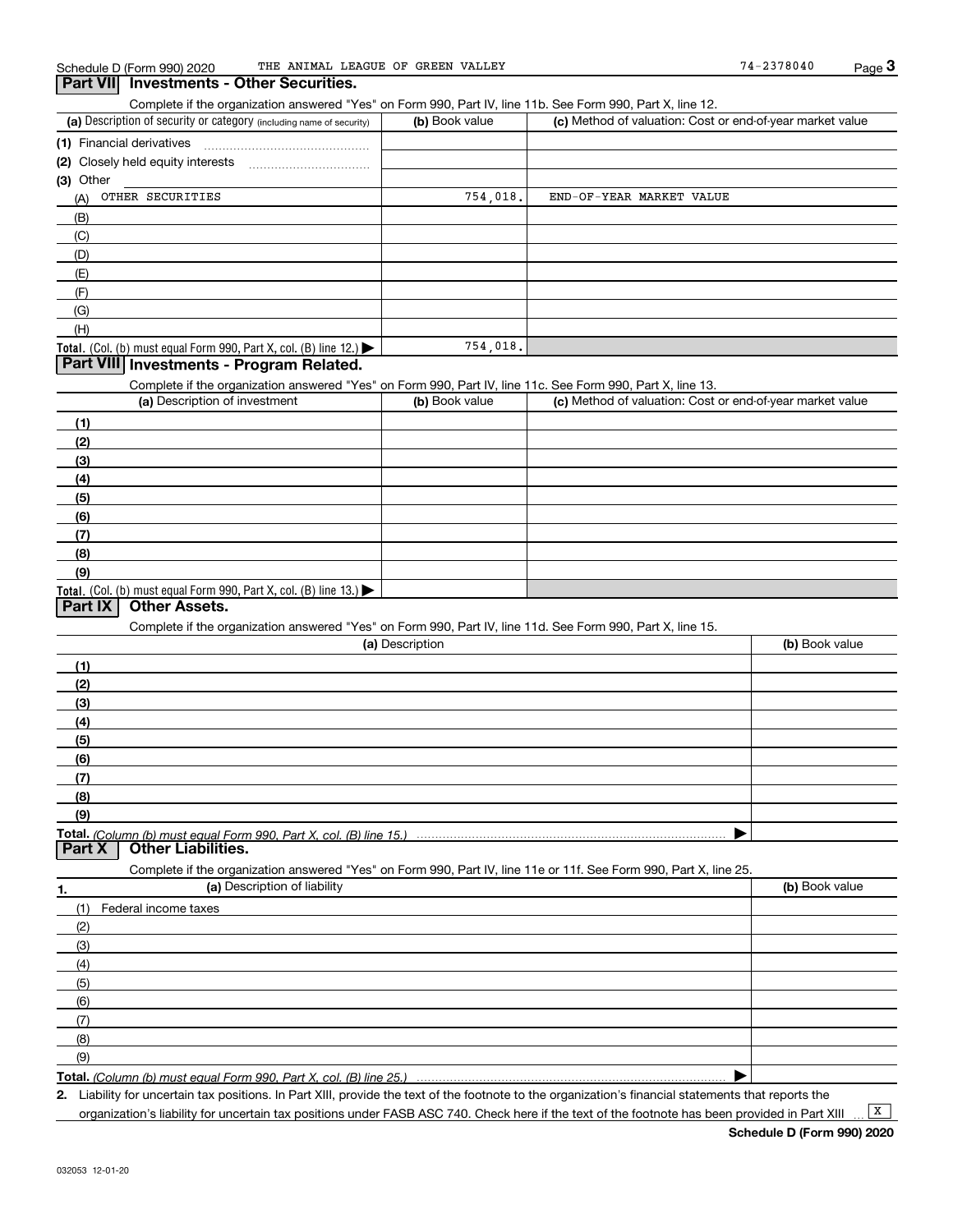Complete if the organization answered "Yes" on Form 990, Part IV, line 11b. See Form 990, Part X, line 12.

| (a) Description of security or category (including name of security)                   | (b) Book value | (c) Method of valuation: Cost or end-of-year market value |
|----------------------------------------------------------------------------------------|----------------|-----------------------------------------------------------|
| (1) Financial derivatives                                                              |                |                                                           |
| (2) Closely held equity interests                                                      |                |                                                           |
| (3) Other                                                                              |                |                                                           |
| OTHER SECURITIES<br>(A)                                                                | 754,018.       | END-OF-YEAR MARKET VALUE                                  |
| (B)                                                                                    |                |                                                           |
| (C)                                                                                    |                |                                                           |
| (D)                                                                                    |                |                                                           |
| (E)                                                                                    |                |                                                           |
| (F)                                                                                    |                |                                                           |
| (G)                                                                                    |                |                                                           |
| (H)                                                                                    |                |                                                           |
| Total. (Col. (b) must equal Form 990, Part X, col. (B) line 12.) $\blacktriangleright$ | 754,018.       |                                                           |

#### **Part VIII Investments - Program Related.**

Complete if the organization answered "Yes" on Form 990, Part IV, line 11c. See Form 990, Part X, line 13.

| (a) Description of investment                                                          | (b) Book value | (c) Method of valuation: Cost or end-of-year market value |
|----------------------------------------------------------------------------------------|----------------|-----------------------------------------------------------|
| (1)                                                                                    |                |                                                           |
| (2)                                                                                    |                |                                                           |
| (3)                                                                                    |                |                                                           |
| (4)                                                                                    |                |                                                           |
| $\frac{1}{2}$                                                                          |                |                                                           |
| (6)                                                                                    |                |                                                           |
| (7)                                                                                    |                |                                                           |
| (8)                                                                                    |                |                                                           |
| (9)                                                                                    |                |                                                           |
| Total. (Col. (b) must equal Form 990, Part X, col. (B) line 13.) $\blacktriangleright$ |                |                                                           |

### **Part IX Other Assets.**

Complete if the organization answered "Yes" on Form 990, Part IV, line 11d. See Form 990, Part X, line 15.

| (a) Description                                                                                                   | (b) Book value |
|-------------------------------------------------------------------------------------------------------------------|----------------|
| (1)                                                                                                               |                |
| (2)                                                                                                               |                |
| (3)                                                                                                               |                |
| (4)                                                                                                               |                |
| (5)                                                                                                               |                |
| (6)                                                                                                               |                |
| (7)                                                                                                               |                |
| (8)                                                                                                               |                |
| (9)                                                                                                               |                |
|                                                                                                                   |                |
| <b>Other Liabilities.</b><br><b>Part X</b>                                                                        |                |
| Complete if the organization answered "Yes" on Form 990, Part IV, line 11e or 11f. See Form 990, Part X, line 25. |                |
| (a) Description of liability<br>1.                                                                                | (b) Book value |
| Federal income taxes                                                                                              |                |
| (2)                                                                                                               |                |

(3)(4)(5) (6)(7)(8)(9)

**Total.**  *(Column (b) must equal Form 990, Part X, col. (B) line 25.)* 

**2.**Liability for uncertain tax positions. In Part XIII, provide the text of the footnote to the organization's financial statements that reports the

organization's liability for uncertain tax positions under FASB ASC 740. Check here if the text of the footnote has been provided in Part XIII

 $\boxed{\mathbf{X}}$ 

 $\blacktriangleright$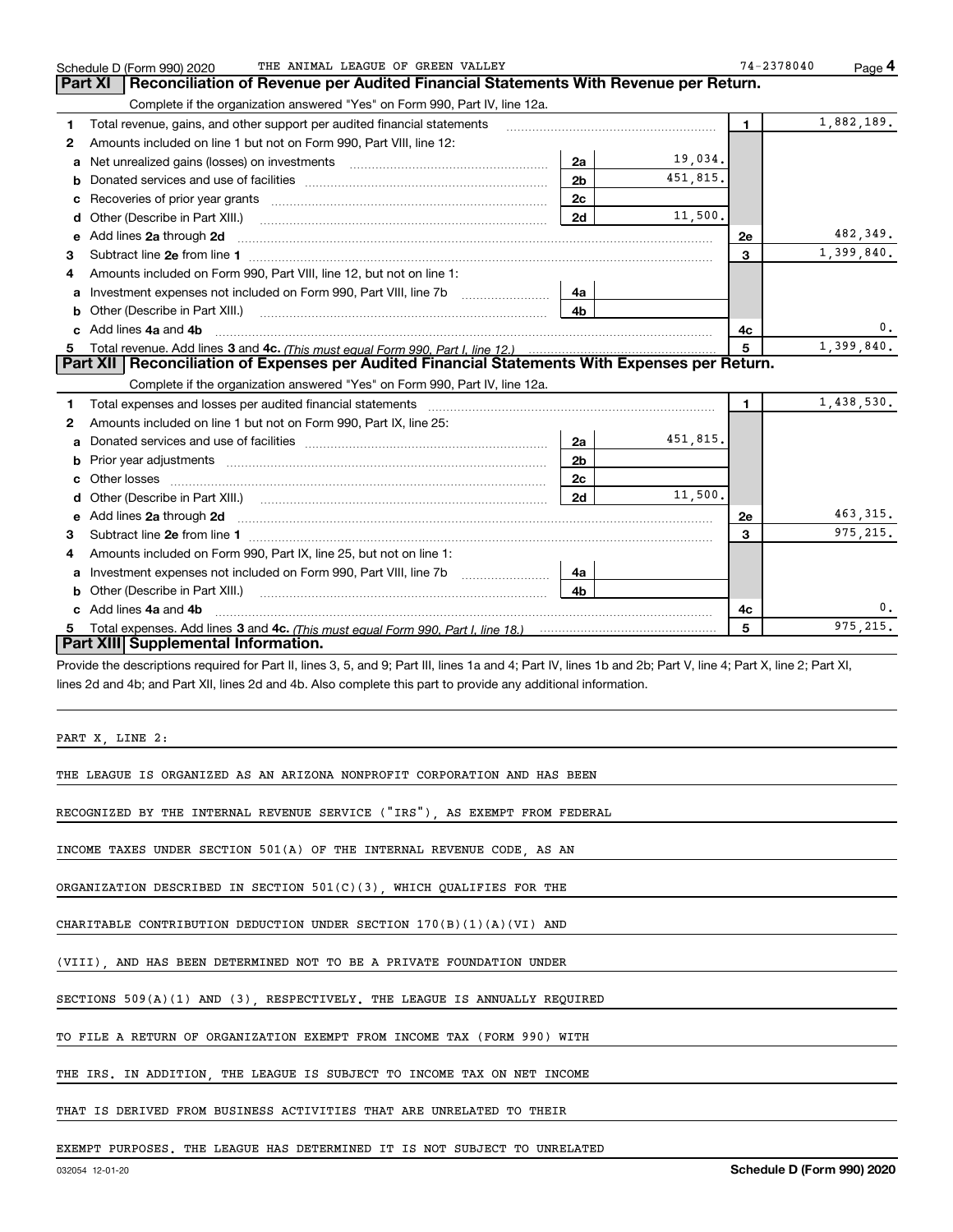|            | 74-2378040     |          |                | THE ANIMAL LEAGUE OF GREEN VALLEY<br>Schedule D (Form 990) 2020                                                                                                               |    |
|------------|----------------|----------|----------------|-------------------------------------------------------------------------------------------------------------------------------------------------------------------------------|----|
|            |                |          |                | Reconciliation of Revenue per Audited Financial Statements With Revenue per Return.<br><b>Part XI</b>                                                                         |    |
|            |                |          |                | Complete if the organization answered "Yes" on Form 990, Part IV, line 12a.                                                                                                   |    |
| 1,882,189. | $\blacksquare$ |          |                | Total revenue, gains, and other support per audited financial statements                                                                                                      | 1. |
|            |                |          |                | Amounts included on line 1 but not on Form 990, Part VIII, line 12:                                                                                                           | 2  |
|            |                | 19,034.  | 2a             | Net unrealized gains (losses) on investments [111] [12] matter and all the values of the values of the values                                                                 | a  |
|            |                | 451,815. | 2 <sub>b</sub> |                                                                                                                                                                               | b  |
|            |                |          | 2c             |                                                                                                                                                                               | c  |
|            |                | 11,500.  | 2d             | Other (Describe in Part XIII.)                                                                                                                                                | d  |
| 482,349.   | 2e             |          |                | e Add lines 2a through 2d                                                                                                                                                     |    |
| 1,399,840. | 3              |          |                |                                                                                                                                                                               | 3  |
|            |                |          |                | Amounts included on Form 990, Part VIII, line 12, but not on line 1:                                                                                                          | 4  |
|            |                |          | 4a             | Investment expenses not included on Form 990, Part VIII, line 7b                                                                                                              | a  |
|            |                |          | 4b             | Other (Describe in Part XIII.)                                                                                                                                                | b  |
| 0.         | 4c             |          |                | Add lines 4a and 4b                                                                                                                                                           |    |
| 1,399,840. | 5              |          |                | Total revenue. Add lines 3 and 4c. (This must equal Form 990, Part I, line 12.)                                                                                               |    |
|            |                |          |                | Part XII   Reconciliation of Expenses per Audited Financial Statements With Expenses per Return.                                                                              |    |
|            |                |          |                | Complete if the organization answered "Yes" on Form 990, Part IV, line 12a.                                                                                                   |    |
| 1,438,530. | 1.             |          |                |                                                                                                                                                                               | 1. |
|            |                |          |                | Amounts included on line 1 but not on Form 990, Part IX, line 25:                                                                                                             | 2  |
|            |                | 451,815. | 2a             |                                                                                                                                                                               | a  |
|            |                |          | 2 <sub>b</sub> | Prior year adjustments material contracts and all prior year adjustments and continuum and the contracts of the                                                               | b  |
|            |                |          |                |                                                                                                                                                                               |    |
|            |                |          | 2c             | Other losses<br>c                                                                                                                                                             |    |
|            |                | 11,500.  | 2d             |                                                                                                                                                                               |    |
| 463, 315.  | 2e             |          |                |                                                                                                                                                                               | е  |
| 975, 215.  | 3              |          |                | Add lines 2a through 2d <b>contract and a contract and a contract a</b> contract a contract and a contract a contract a                                                       | З  |
|            |                |          |                | Amounts included on Form 990, Part IX, line 25, but not on line 1:                                                                                                            | 4  |
|            |                |          | 4a             |                                                                                                                                                                               | a  |
|            |                |          | 4 <sub>b</sub> |                                                                                                                                                                               | b  |
| 0.         | 4c             |          |                | c Add lines 4a and 4b                                                                                                                                                         |    |
| 975, 215.  | 5              |          |                | Total expenses. Add lines 3 and 4c. (This must equal Form 990, Part I, line 18.) <b>Conservers</b> Expenses. Add lines 3 and 4c. (This must equal Form 990, Part I, line 18.) | 5  |

PART X, LINE 2:

THE LEAGUE IS ORGANIZED AS AN ARIZONA NONPROFIT CORPORATION AND HAS BEEN

RECOGNIZED BY THE INTERNAL REVENUE SERVICE ("IRS"), AS EXEMPT FROM FEDERAL

INCOME TAXES UNDER SECTION 501(A) OF THE INTERNAL REVENUE CODE, AS AN

ORGANIZATION DESCRIBED IN SECTION 501(C)(3), WHICH QUALIFIES FOR THE

CHARITABLE CONTRIBUTION DEDUCTION UNDER SECTION 170(B)(1)(A)(VI) AND

(VIII), AND HAS BEEN DETERMINED NOT TO BE A PRIVATE FOUNDATION UNDER

SECTIONS 509(A)(1) AND (3), RESPECTIVELY. THE LEAGUE IS ANNUALLY REQUIRED

TO FILE A RETURN OF ORGANIZATION EXEMPT FROM INCOME TAX (FORM 990) WITH

THE IRS. IN ADDITION, THE LEAGUE IS SUBJECT TO INCOME TAX ON NET INCOME

THAT IS DERIVED FROM BUSINESS ACTIVITIES THAT ARE UNRELATED TO THEIR

EXEMPT PURPOSES. THE LEAGUE HAS DETERMINED IT IS NOT SUBJECT TO UNRELATED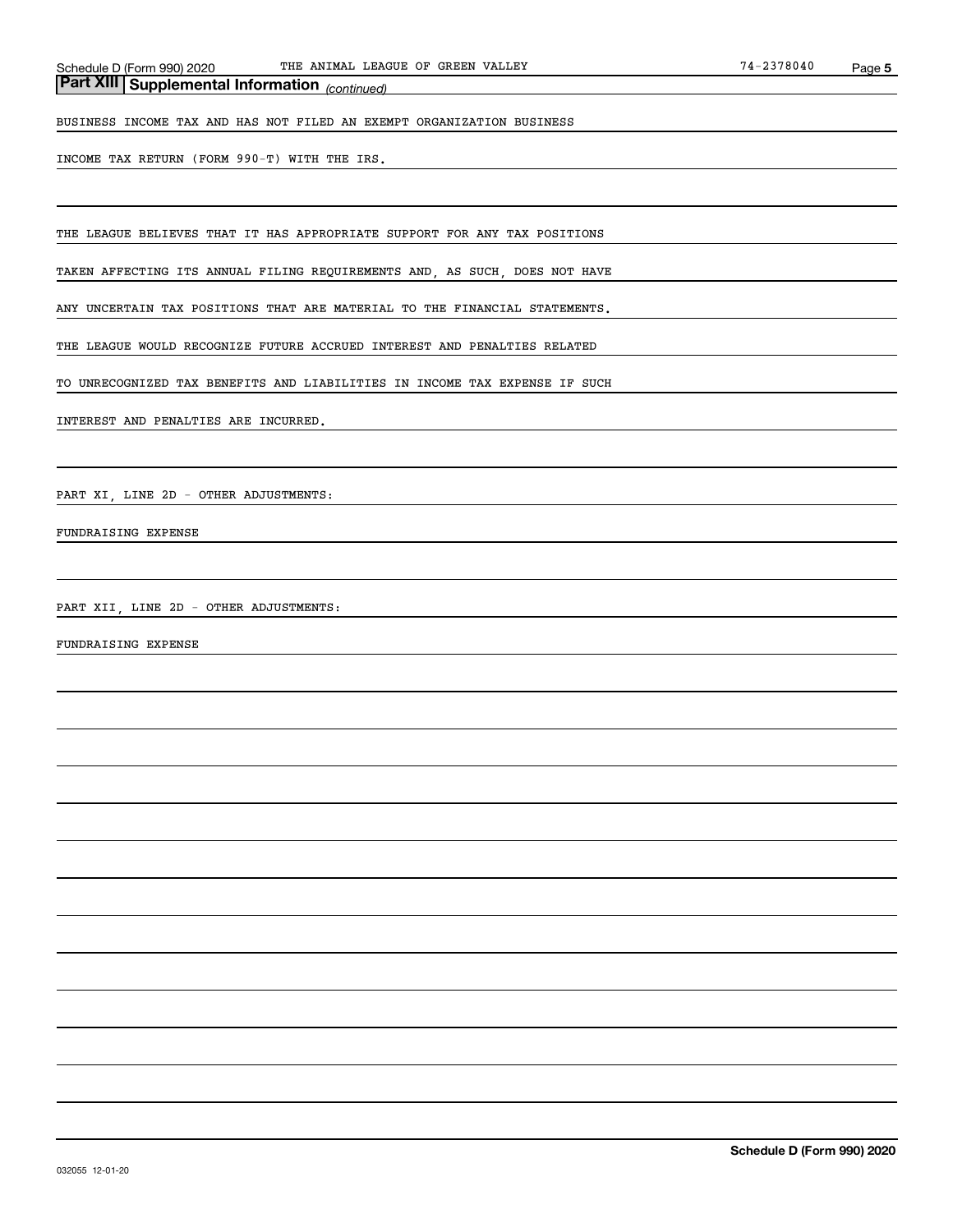*(continued)* **Part XIII Supplemental Information** 

BUSINESS INCOME TAX AND HAS NOT FILED AN EXEMPT ORGANIZATION BUSINESS

INCOME TAX RETURN (FORM 990-T) WITH THE IRS.

THE LEAGUE BELIEVES THAT IT HAS APPROPRIATE SUPPORT FOR ANY TAX POSITIONS

TAKEN AFFECTING ITS ANNUAL FILING REQUIREMENTS AND, AS SUCH, DOES NOT HAVE

ANY UNCERTAIN TAX POSITIONS THAT ARE MATERIAL TO THE FINANCIAL STATEMENTS.

THE LEAGUE WOULD RECOGNIZE FUTURE ACCRUED INTEREST AND PENALTIES RELATED

TO UNRECOGNIZED TAX BENEFITS AND LIABILITIES IN INCOME TAX EXPENSE IF SUCH

INTEREST AND PENALTIES ARE INCURRED.

PART XI, LINE 2D - OTHER ADJUSTMENTS:

FUNDRAISING EXPENSE

PART XII, LINE 2D - OTHER ADJUSTMENTS:

FUNDRAISING EXPENSE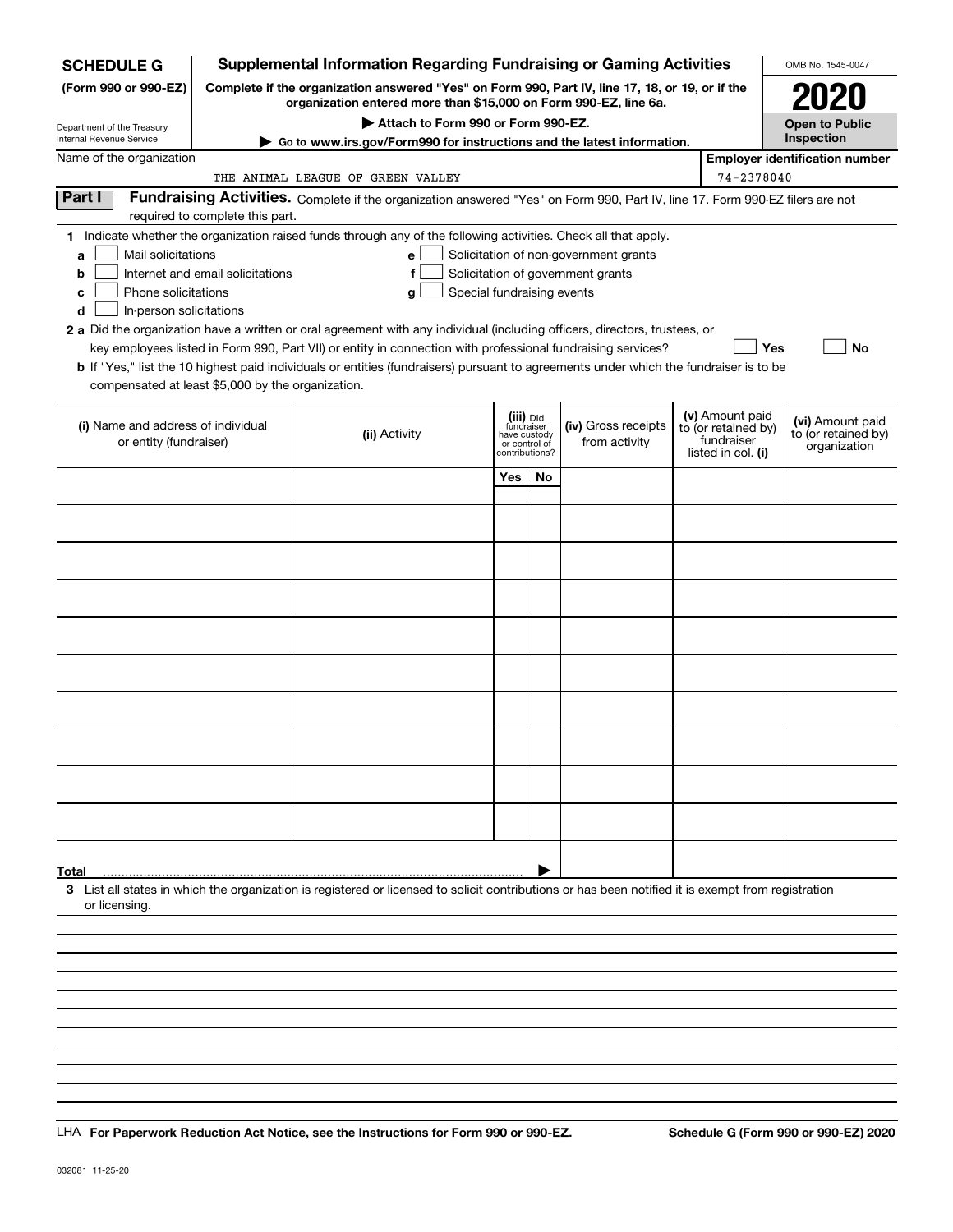| <b>SCHEDULE G</b>                                            |                                  | <b>Supplemental Information Regarding Fundraising or Gaming Activities</b>                                                                                          |     |                                 |                                       |                                   | OMB No. 1545-0047                     |
|--------------------------------------------------------------|----------------------------------|---------------------------------------------------------------------------------------------------------------------------------------------------------------------|-----|---------------------------------|---------------------------------------|-----------------------------------|---------------------------------------|
| (Form 990 or 990-EZ)                                         |                                  | Complete if the organization answered "Yes" on Form 990, Part IV, line 17, 18, or 19, or if the<br>organization entered more than \$15,000 on Form 990-EZ, line 6a. |     |                                 |                                       |                                   |                                       |
| Department of the Treasury                                   |                                  | Attach to Form 990 or Form 990-EZ.                                                                                                                                  |     |                                 |                                       |                                   | <b>Open to Public</b>                 |
| Internal Revenue Service                                     |                                  | Go to www.irs.gov/Form990 for instructions and the latest information.                                                                                              |     |                                 |                                       |                                   | Inspection                            |
| Name of the organization                                     |                                  |                                                                                                                                                                     |     |                                 |                                       | 74-2378040                        | <b>Employer identification number</b> |
| Part I                                                       |                                  | THE ANIMAL LEAGUE OF GREEN VALLEY                                                                                                                                   |     |                                 |                                       |                                   |                                       |
|                                                              | required to complete this part.  | Fundraising Activities. Complete if the organization answered "Yes" on Form 990, Part IV, line 17. Form 990-EZ filers are not                                       |     |                                 |                                       |                                   |                                       |
|                                                              |                                  | 1 Indicate whether the organization raised funds through any of the following activities. Check all that apply.                                                     |     |                                 |                                       |                                   |                                       |
| Mail solicitations<br>a                                      |                                  | е                                                                                                                                                                   |     |                                 | Solicitation of non-government grants |                                   |                                       |
| b                                                            | Internet and email solicitations | f                                                                                                                                                                   |     |                                 | Solicitation of government grants     |                                   |                                       |
| Phone solicitations<br>c                                     |                                  | Special fundraising events<br>g                                                                                                                                     |     |                                 |                                       |                                   |                                       |
| In-person solicitations<br>d                                 |                                  |                                                                                                                                                                     |     |                                 |                                       |                                   |                                       |
|                                                              |                                  | 2 a Did the organization have a written or oral agreement with any individual (including officers, directors, trustees, or                                          |     |                                 |                                       |                                   |                                       |
|                                                              |                                  | key employees listed in Form 990, Part VII) or entity in connection with professional fundraising services?                                                         |     |                                 |                                       | <b>Yes</b>                        | <b>No</b>                             |
|                                                              |                                  | b If "Yes," list the 10 highest paid individuals or entities (fundraisers) pursuant to agreements under which the fundraiser is to be                               |     |                                 |                                       |                                   |                                       |
| compensated at least \$5,000 by the organization.            |                                  |                                                                                                                                                                     |     |                                 |                                       |                                   |                                       |
|                                                              |                                  |                                                                                                                                                                     |     | (iii) Did<br>fundraiser         |                                       | (v) Amount paid                   | (vi) Amount paid                      |
| (i) Name and address of individual<br>or entity (fundraiser) |                                  | (ii) Activity                                                                                                                                                       |     | have custody                    | (iv) Gross receipts<br>from activity  | to (or retained by)<br>fundraiser | to (or retained by)                   |
|                                                              |                                  |                                                                                                                                                                     |     | or control of<br>contributions? |                                       | listed in col. (i)                | organization                          |
|                                                              |                                  |                                                                                                                                                                     | Yes | <b>No</b>                       |                                       |                                   |                                       |
|                                                              |                                  |                                                                                                                                                                     |     |                                 |                                       |                                   |                                       |
|                                                              |                                  |                                                                                                                                                                     |     |                                 |                                       |                                   |                                       |
|                                                              |                                  |                                                                                                                                                                     |     |                                 |                                       |                                   |                                       |
|                                                              |                                  |                                                                                                                                                                     |     |                                 |                                       |                                   |                                       |
|                                                              |                                  |                                                                                                                                                                     |     |                                 |                                       |                                   |                                       |
|                                                              |                                  |                                                                                                                                                                     |     |                                 |                                       |                                   |                                       |
|                                                              |                                  |                                                                                                                                                                     |     |                                 |                                       |                                   |                                       |
|                                                              |                                  |                                                                                                                                                                     |     |                                 |                                       |                                   |                                       |
|                                                              |                                  |                                                                                                                                                                     |     |                                 |                                       |                                   |                                       |
|                                                              |                                  |                                                                                                                                                                     |     |                                 |                                       |                                   |                                       |
|                                                              |                                  |                                                                                                                                                                     |     |                                 |                                       |                                   |                                       |
|                                                              |                                  |                                                                                                                                                                     |     |                                 |                                       |                                   |                                       |
|                                                              |                                  |                                                                                                                                                                     |     |                                 |                                       |                                   |                                       |
|                                                              |                                  |                                                                                                                                                                     |     |                                 |                                       |                                   |                                       |
|                                                              |                                  |                                                                                                                                                                     |     |                                 |                                       |                                   |                                       |
|                                                              |                                  |                                                                                                                                                                     |     |                                 |                                       |                                   |                                       |
|                                                              |                                  |                                                                                                                                                                     |     |                                 |                                       |                                   |                                       |
|                                                              |                                  |                                                                                                                                                                     |     |                                 |                                       |                                   |                                       |
|                                                              |                                  |                                                                                                                                                                     |     |                                 |                                       |                                   |                                       |
| Total                                                        |                                  | 3 List all states in which the organization is registered or licensed to solicit contributions or has been notified it is exempt from registration                  |     |                                 |                                       |                                   |                                       |
| or licensing.                                                |                                  |                                                                                                                                                                     |     |                                 |                                       |                                   |                                       |
|                                                              |                                  |                                                                                                                                                                     |     |                                 |                                       |                                   |                                       |
|                                                              |                                  |                                                                                                                                                                     |     |                                 |                                       |                                   |                                       |
|                                                              |                                  |                                                                                                                                                                     |     |                                 |                                       |                                   |                                       |
|                                                              |                                  |                                                                                                                                                                     |     |                                 |                                       |                                   |                                       |
|                                                              |                                  |                                                                                                                                                                     |     |                                 |                                       |                                   |                                       |

LHA For Paperwork Reduction Act Notice, see the Instructions for Form 990 or 990-EZ. Schedule G (Form 990 or 990-EZ) 2020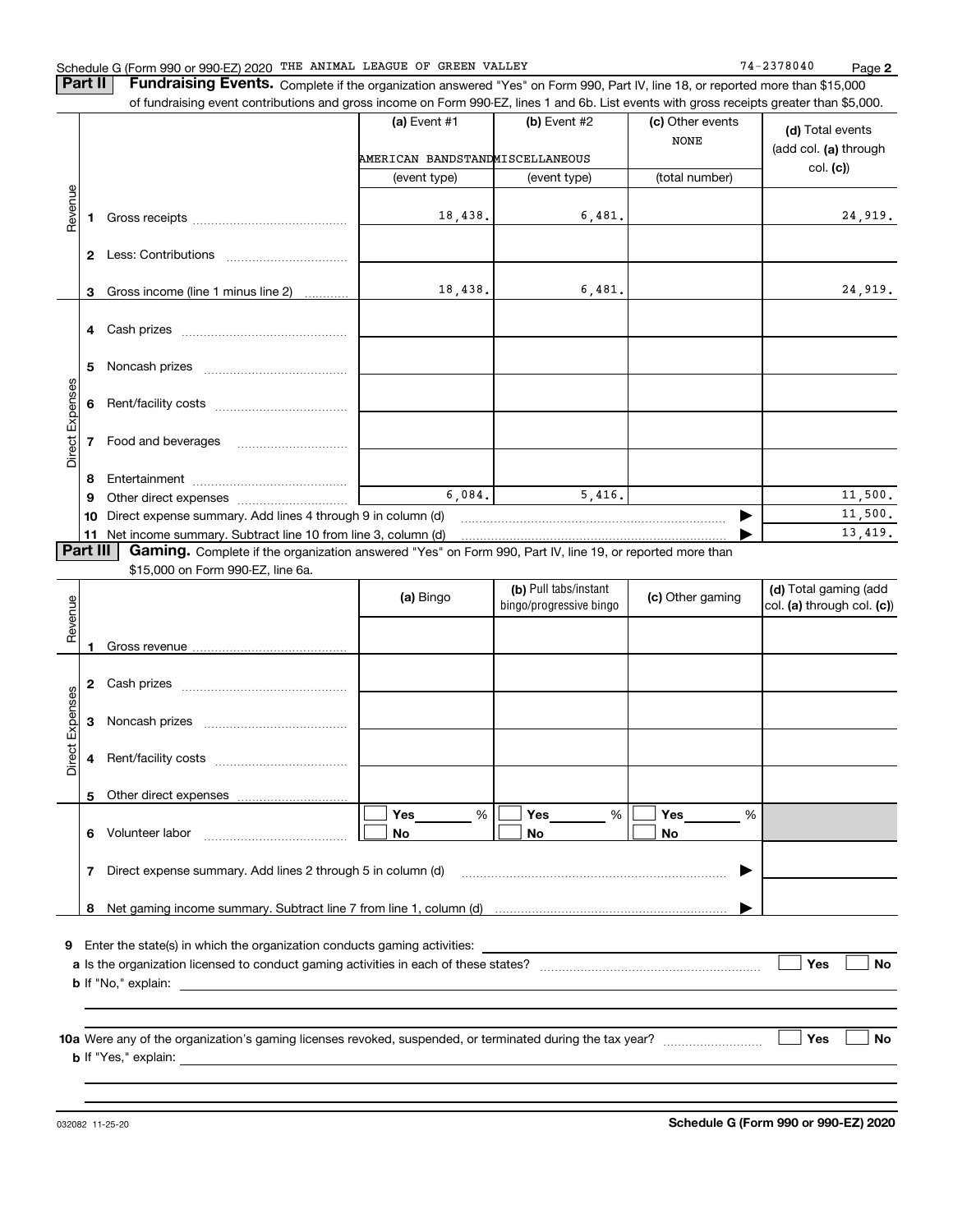**2**

**Part II** | Fundraising Events. Complete if the organization answered "Yes" on Form 990, Part IV, line 18, or reported more than \$15,000

|                 |          | of fundraising event contributions and gross income on Form 990-EZ, lines 1 and 6b. List events with gross receipts greater than \$5,000. |                                 |                         |                  |                            |
|-----------------|----------|-------------------------------------------------------------------------------------------------------------------------------------------|---------------------------------|-------------------------|------------------|----------------------------|
|                 |          |                                                                                                                                           | (a) Event $#1$                  | $(b)$ Event #2          | (c) Other events | (d) Total events           |
|                 |          |                                                                                                                                           |                                 |                         | <b>NONE</b>      | (add col. (a) through      |
|                 |          |                                                                                                                                           | AMERICAN BANDSTANDMISCELLANEOUS |                         |                  |                            |
|                 |          |                                                                                                                                           | (event type)                    | (event type)            | (total number)   | col. (c)                   |
| Revenue         |          |                                                                                                                                           |                                 |                         |                  |                            |
|                 | 1.       |                                                                                                                                           | 18,438.                         | 6,481.                  |                  | 24,919.                    |
|                 |          |                                                                                                                                           |                                 |                         |                  |                            |
|                 |          |                                                                                                                                           |                                 |                         |                  |                            |
|                 |          |                                                                                                                                           |                                 |                         |                  |                            |
|                 | 3        | Gross income (line 1 minus line 2)                                                                                                        | 18,438.                         | 6,481.                  |                  | 24,919.                    |
|                 |          |                                                                                                                                           |                                 |                         |                  |                            |
|                 |          |                                                                                                                                           |                                 |                         |                  |                            |
|                 |          |                                                                                                                                           |                                 |                         |                  |                            |
|                 | 5        |                                                                                                                                           |                                 |                         |                  |                            |
|                 |          |                                                                                                                                           |                                 |                         |                  |                            |
| Direct Expenses | 6        |                                                                                                                                           |                                 |                         |                  |                            |
|                 |          |                                                                                                                                           |                                 |                         |                  |                            |
|                 | 7        | Food and beverages                                                                                                                        |                                 |                         |                  |                            |
|                 |          |                                                                                                                                           |                                 |                         |                  |                            |
|                 | 8        |                                                                                                                                           |                                 |                         |                  |                            |
|                 | 9        |                                                                                                                                           | 6,084.                          | 5,416.                  |                  | 11,500.                    |
|                 | 10       | Direct expense summary. Add lines 4 through 9 in column (d)                                                                               |                                 |                         | ▶                | 11,500.                    |
|                 |          | 11 Net income summary. Subtract line 10 from line 3, column (d)                                                                           |                                 |                         |                  | 13,419.                    |
|                 | Part III | Gaming. Complete if the organization answered "Yes" on Form 990, Part IV, line 19, or reported more than                                  |                                 |                         |                  |                            |
|                 |          | \$15,000 on Form 990-EZ, line 6a.                                                                                                         |                                 |                         |                  |                            |
|                 |          |                                                                                                                                           |                                 | (b) Pull tabs/instant   |                  | (d) Total gaming (add      |
|                 |          |                                                                                                                                           | (a) Bingo                       | bingo/progressive bingo | (c) Other gaming | col. (a) through col. (c)) |
| Revenue         |          |                                                                                                                                           |                                 |                         |                  |                            |
|                 |          |                                                                                                                                           |                                 |                         |                  |                            |
|                 |          |                                                                                                                                           |                                 |                         |                  |                            |
|                 |          |                                                                                                                                           |                                 |                         |                  |                            |
| Expenses        |          |                                                                                                                                           |                                 |                         |                  |                            |
|                 | 3        |                                                                                                                                           |                                 |                         |                  |                            |
|                 |          |                                                                                                                                           |                                 |                         |                  |                            |
| Direct          | 4        |                                                                                                                                           |                                 |                         |                  |                            |
|                 |          |                                                                                                                                           |                                 |                         |                  |                            |
|                 |          | 5 Other direct expenses                                                                                                                   |                                 |                         |                  |                            |
|                 |          |                                                                                                                                           | %<br>Yes                        | Yes<br>%                | Yes<br>%         |                            |
|                 | 6.       | Volunteer labor                                                                                                                           | No                              | No                      | No               |                            |
|                 |          |                                                                                                                                           |                                 |                         |                  |                            |
|                 | 7        | Direct expense summary. Add lines 2 through 5 in column (d)                                                                               |                                 |                         |                  |                            |
|                 |          |                                                                                                                                           |                                 |                         |                  |                            |
|                 |          |                                                                                                                                           |                                 |                         |                  |                            |
|                 | 8        |                                                                                                                                           |                                 |                         |                  |                            |

**9**Enter the state(s) in which the organization conducts gaming activities:

| <b>a</b> Is the organization licensed to conduct gaming activities in each of these states? |  | Yes | No |
|---------------------------------------------------------------------------------------------|--|-----|----|
| <b>b</b> If "No," explain:                                                                  |  |     |    |

**10 a Yes No** Were any of the organization's gaming licenses revoked, suspended, or terminated during the tax year? ~~~~~~~~~ **b** If "Yes," explain: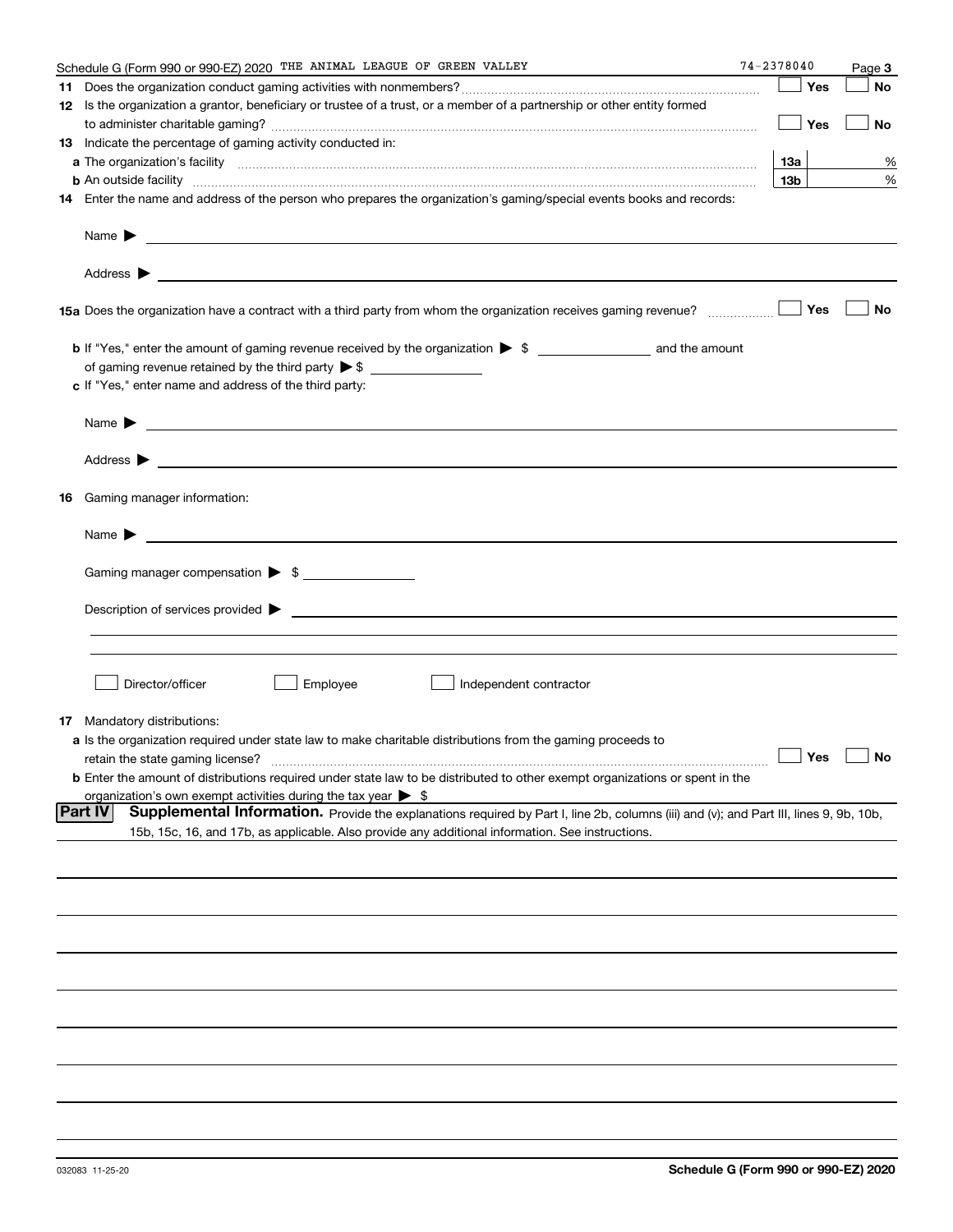| Schedule G (Form 990 or 990-EZ) 2020 THE ANIMAL LEAGUE OF GREEN VALLEY                                                                                                                                                                                       | $74 - 2378040$  |     | Page 3               |
|--------------------------------------------------------------------------------------------------------------------------------------------------------------------------------------------------------------------------------------------------------------|-----------------|-----|----------------------|
|                                                                                                                                                                                                                                                              |                 | Yes | <b>No</b>            |
| 12 Is the organization a grantor, beneficiary or trustee of a trust, or a member of a partnership or other entity formed                                                                                                                                     |                 |     |                      |
|                                                                                                                                                                                                                                                              |                 | Yes | No                   |
| 13 Indicate the percentage of gaming activity conducted in:                                                                                                                                                                                                  |                 |     |                      |
|                                                                                                                                                                                                                                                              | 13а             |     | %                    |
| <b>b</b> An outside facility <i>www.communicality communicality communicality communicality communicality communicality communically communically communically communically communically communically communically communically commu</i>                    | 13 <sub>b</sub> |     | %                    |
| 14 Enter the name and address of the person who prepares the organization's gaming/special events books and records:                                                                                                                                         |                 |     |                      |
| Name $\blacktriangleright$<br><u> 1989 - Andrea Stadt Britain, amerikansk politiker (</u>                                                                                                                                                                    |                 |     |                      |
| Address $\blacktriangleright$<br><u> 1989 - Johann Harry Harry Harry Harry Harry Harry Harry Harry Harry Harry Harry Harry Harry Harry Harry Harry</u>                                                                                                       |                 |     |                      |
| 15a Does the organization have a contract with a third party from whom the organization receives gaming revenue?                                                                                                                                             |                 | Yes | No                   |
|                                                                                                                                                                                                                                                              |                 |     |                      |
|                                                                                                                                                                                                                                                              |                 |     |                      |
| c If "Yes," enter name and address of the third party:                                                                                                                                                                                                       |                 |     |                      |
| Name $\blacktriangleright$<br><u> 1989 - Johann Stoff, amerikansk politiker (</u> † 1908)                                                                                                                                                                    |                 |     |                      |
| Address $\blacktriangleright$                                                                                                                                                                                                                                |                 |     |                      |
| <b>16</b> Gaming manager information:                                                                                                                                                                                                                        |                 |     |                      |
| Name $\blacktriangleright$                                                                                                                                                                                                                                   |                 |     |                      |
|                                                                                                                                                                                                                                                              |                 |     |                      |
| Gaming manager compensation > \$                                                                                                                                                                                                                             |                 |     |                      |
| Description of services provided $\blacktriangleright$                                                                                                                                                                                                       |                 |     |                      |
|                                                                                                                                                                                                                                                              |                 |     |                      |
|                                                                                                                                                                                                                                                              |                 |     |                      |
| Employee<br>Director/officer<br>Independent contractor                                                                                                                                                                                                       |                 |     |                      |
| <b>17</b> Mandatory distributions:                                                                                                                                                                                                                           |                 |     |                      |
| <b>a</b> Is the organization required under state law to make charitable distributions from the gaming proceeds to                                                                                                                                           |                 |     |                      |
| retain the state gaming license?                                                                                                                                                                                                                             |                 |     | $\Box$ Yes $\Box$ No |
| <b>b</b> Enter the amount of distributions required under state law to be distributed to other exempt organizations or spent in the                                                                                                                          |                 |     |                      |
| organization's own exempt activities during the tax year $\triangleright$ \$                                                                                                                                                                                 |                 |     |                      |
| <b>Part IV</b><br>Supplemental Information. Provide the explanations required by Part I, line 2b, columns (iii) and (v); and Part III, lines 9, 9b, 10b,<br>15b, 15c, 16, and 17b, as applicable. Also provide any additional information. See instructions. |                 |     |                      |
|                                                                                                                                                                                                                                                              |                 |     |                      |
|                                                                                                                                                                                                                                                              |                 |     |                      |
|                                                                                                                                                                                                                                                              |                 |     |                      |
|                                                                                                                                                                                                                                                              |                 |     |                      |
|                                                                                                                                                                                                                                                              |                 |     |                      |
|                                                                                                                                                                                                                                                              |                 |     |                      |
|                                                                                                                                                                                                                                                              |                 |     |                      |
|                                                                                                                                                                                                                                                              |                 |     |                      |
|                                                                                                                                                                                                                                                              |                 |     |                      |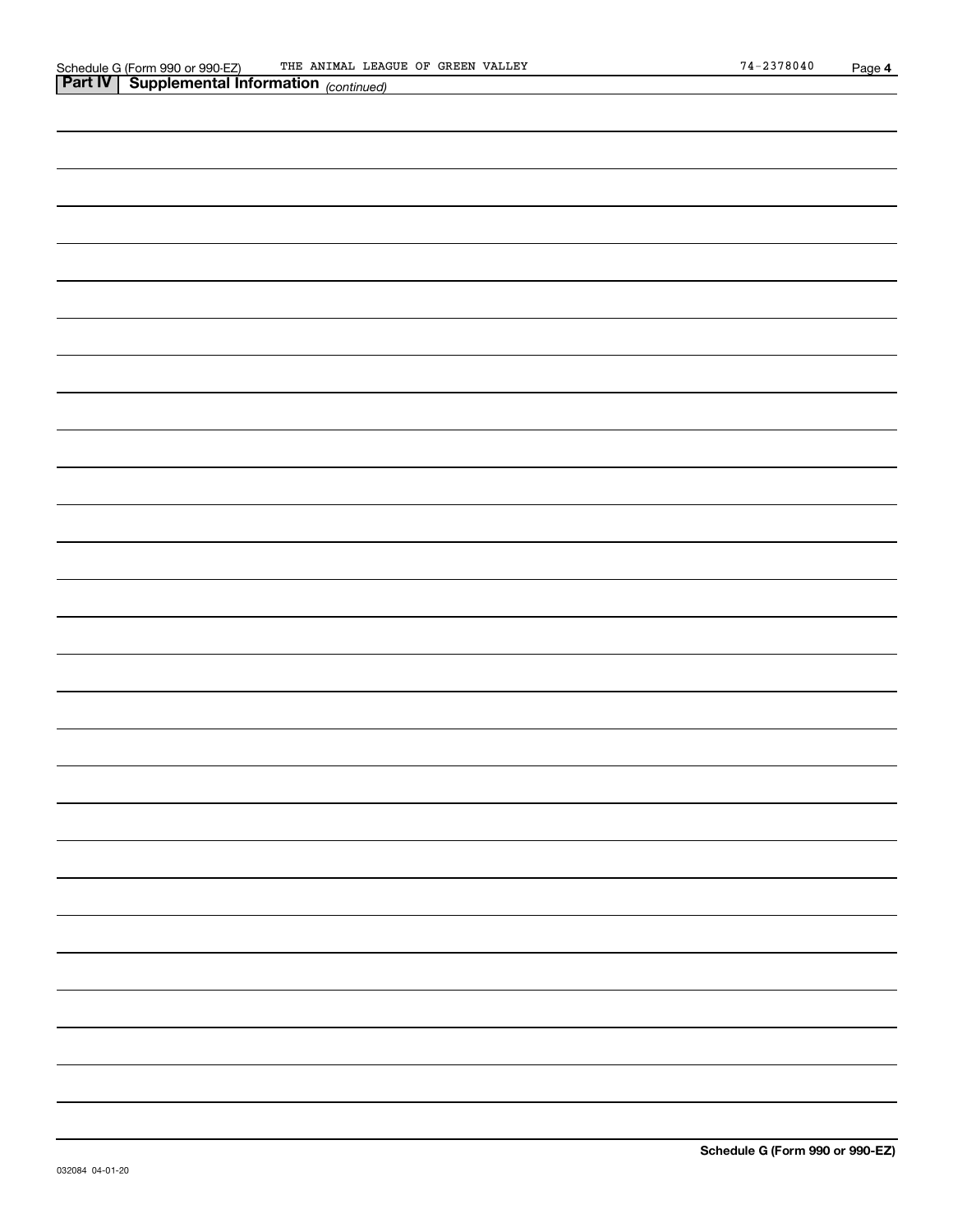| . . | 10011111004 |
|-----|-------------|
|     |             |
|     |             |
|     |             |
|     |             |
|     |             |
|     |             |
|     |             |
|     |             |
|     |             |
|     |             |
|     |             |
|     |             |
|     |             |
|     |             |
|     |             |
|     |             |
|     |             |
|     |             |
|     |             |
|     |             |
|     |             |
|     |             |
|     |             |
|     |             |
|     |             |
|     |             |
|     |             |
|     |             |
|     |             |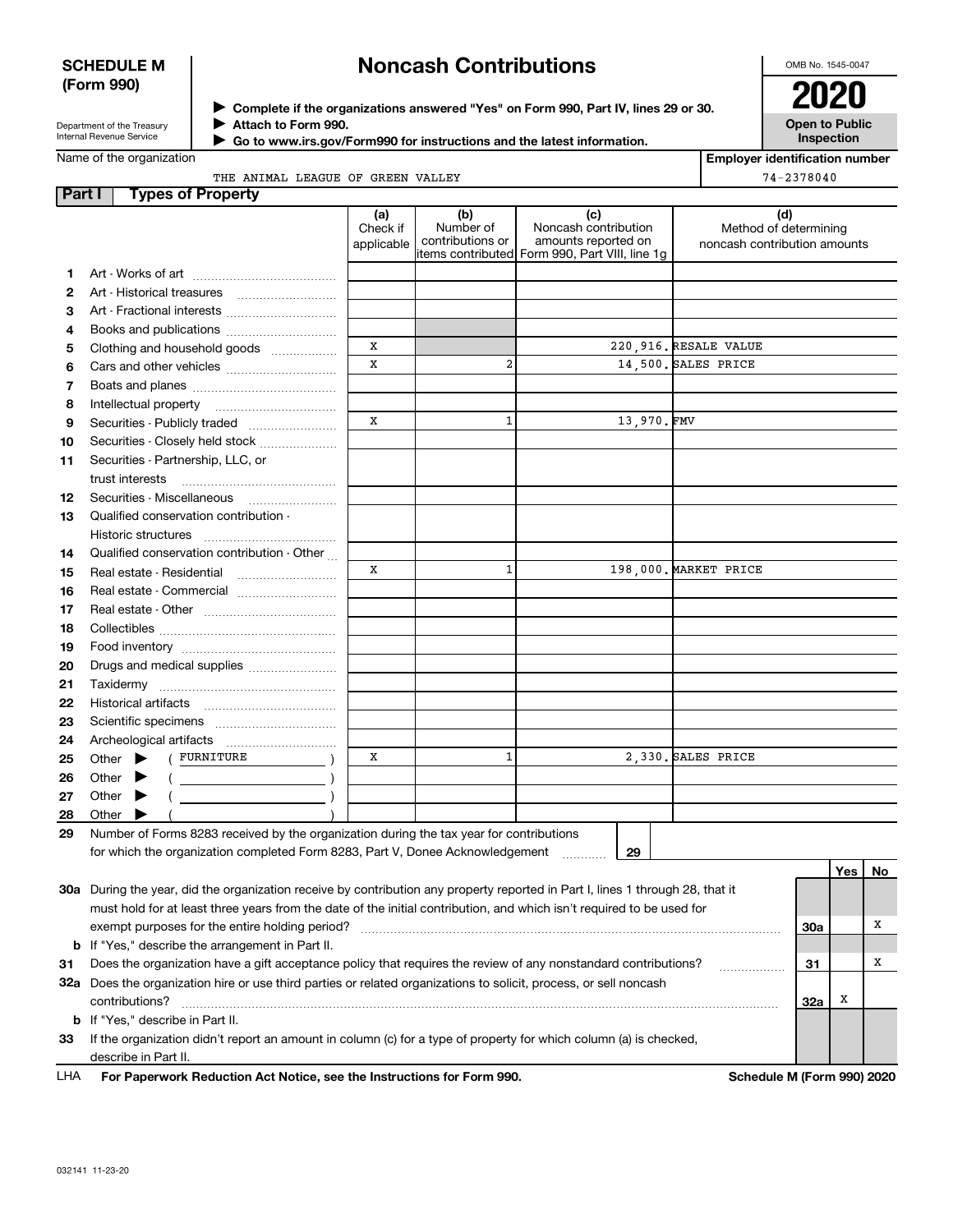## **SCHEDULE M (Form 990)**

# **Noncash Contributions**

OMB No. 1545-0047

| Department of the Treasury |
|----------------------------|
| Internal Revenue Service   |

**Complete if the organizations answered "Yes" on Form 990, Part IV, lines 29 or 30.** <sup>J</sup>**2020 Attach to Form 990.** J

 **Go to www.irs.gov/Form990 for instructions and the latest information.** J

**Open to Public Inspection**

**Employer identification number**

74-2378040

Name of the organization

THE ANIMAL LEAGUE OF GREEN VALLEY

| <b>Part I</b> | <b>Types of Property</b>                                                                                                       |                 |                                      |                                                    |            |                              |     |     |    |
|---------------|--------------------------------------------------------------------------------------------------------------------------------|-----------------|--------------------------------------|----------------------------------------------------|------------|------------------------------|-----|-----|----|
|               |                                                                                                                                | (a)<br>Check if | (b)<br>Number of<br>contributions or | (c)<br>Noncash contribution<br>amounts reported on |            | (d)<br>Method of determining |     |     |    |
|               |                                                                                                                                | applicable      |                                      | items contributed Form 990, Part VIII, line 1g     |            | noncash contribution amounts |     |     |    |
| 1.            |                                                                                                                                |                 |                                      |                                                    |            |                              |     |     |    |
| 2             |                                                                                                                                |                 |                                      |                                                    |            |                              |     |     |    |
| з             |                                                                                                                                |                 |                                      |                                                    |            |                              |     |     |    |
| 4             | Books and publications                                                                                                         |                 |                                      |                                                    |            |                              |     |     |    |
| 5             | Clothing and household goods                                                                                                   | X               |                                      |                                                    |            | 220,916. RESALE VALUE        |     |     |    |
| 6             |                                                                                                                                | $\mathbf x$     | $\overline{a}$                       |                                                    |            | 14,500. SALES PRICE          |     |     |    |
| 7             |                                                                                                                                |                 |                                      |                                                    |            |                              |     |     |    |
| 8             |                                                                                                                                |                 |                                      |                                                    |            |                              |     |     |    |
| 9             | Securities - Publicly traded                                                                                                   | X               | $\mathbf{1}$                         |                                                    | 13,970.FMV |                              |     |     |    |
| 10            | Securities - Closely held stock                                                                                                |                 |                                      |                                                    |            |                              |     |     |    |
| 11            | Securities - Partnership, LLC, or                                                                                              |                 |                                      |                                                    |            |                              |     |     |    |
|               | trust interests                                                                                                                |                 |                                      |                                                    |            |                              |     |     |    |
| 12            | Securities - Miscellaneous                                                                                                     |                 |                                      |                                                    |            |                              |     |     |    |
| 13            | Qualified conservation contribution -                                                                                          |                 |                                      |                                                    |            |                              |     |     |    |
|               | Historic structures                                                                                                            |                 |                                      |                                                    |            |                              |     |     |    |
|               | Qualified conservation contribution - Other                                                                                    |                 |                                      |                                                    |            |                              |     |     |    |
| 14            | Real estate - Residential                                                                                                      | X               | $\mathbf{1}$                         |                                                    |            | 198,000. MARKET PRICE        |     |     |    |
| 15            |                                                                                                                                |                 |                                      |                                                    |            |                              |     |     |    |
| 16            |                                                                                                                                |                 |                                      |                                                    |            |                              |     |     |    |
| 17            |                                                                                                                                |                 |                                      |                                                    |            |                              |     |     |    |
| 18            |                                                                                                                                |                 |                                      |                                                    |            |                              |     |     |    |
| 19            |                                                                                                                                |                 |                                      |                                                    |            |                              |     |     |    |
| 20            | Drugs and medical supplies                                                                                                     |                 |                                      |                                                    |            |                              |     |     |    |
| 21            |                                                                                                                                |                 |                                      |                                                    |            |                              |     |     |    |
| 22            |                                                                                                                                |                 |                                      |                                                    |            |                              |     |     |    |
| 23            |                                                                                                                                |                 |                                      |                                                    |            |                              |     |     |    |
| 24            | Archeological artifacts                                                                                                        |                 |                                      |                                                    |            |                              |     |     |    |
| 25            | ( FURNITURE<br>Other $\blacktriangleright$                                                                                     | x               | 1                                    | 2,330. SALES PRICE                                 |            |                              |     |     |    |
| 26            | Other $\blacktriangleright$                                                                                                    |                 |                                      |                                                    |            |                              |     |     |    |
| 27            | Other $\blacktriangleright$                                                                                                    |                 |                                      |                                                    |            |                              |     |     |    |
| 28            | Other $\blacktriangleright$                                                                                                    |                 |                                      |                                                    |            |                              |     |     |    |
| 29            | Number of Forms 8283 received by the organization during the tax year for contributions                                        |                 |                                      |                                                    |            |                              |     |     |    |
|               | for which the organization completed Form 8283, Part V, Donee Acknowledgement                                                  |                 |                                      | 29                                                 |            |                              |     |     |    |
|               |                                                                                                                                |                 |                                      |                                                    |            |                              |     | Yes | No |
|               | 30a During the year, did the organization receive by contribution any property reported in Part I, lines 1 through 28, that it |                 |                                      |                                                    |            |                              |     |     |    |
|               | must hold for at least three years from the date of the initial contribution, and which isn't required to be used for          |                 |                                      |                                                    |            |                              |     |     |    |
|               | exempt purposes for the entire holding period?                                                                                 |                 |                                      |                                                    |            |                              | 30a |     | х  |
|               | <b>b</b> If "Yes," describe the arrangement in Part II.                                                                        |                 |                                      |                                                    |            |                              |     |     |    |
| 31            | Does the organization have a gift acceptance policy that requires the review of any nonstandard contributions?                 |                 |                                      |                                                    |            |                              |     |     | х  |
|               | 32a Does the organization hire or use third parties or related organizations to solicit, process, or sell noncash              |                 |                                      |                                                    |            |                              |     |     |    |
|               | contributions?                                                                                                                 |                 |                                      |                                                    |            |                              | 32a | х   |    |
|               | <b>b</b> If "Yes," describe in Part II.                                                                                        |                 |                                      |                                                    |            |                              |     |     |    |
| 33            | If the organization didn't report an amount in column (c) for a type of property for which column (a) is checked,              |                 |                                      |                                                    |            |                              |     |     |    |
|               | describe in Part II.                                                                                                           |                 |                                      |                                                    |            |                              |     |     |    |
| LHA           | For Paperwork Reduction Act Notice, see the Instructions for Form 990.<br>Schedule M (Form 990) 2020                           |                 |                                      |                                                    |            |                              |     |     |    |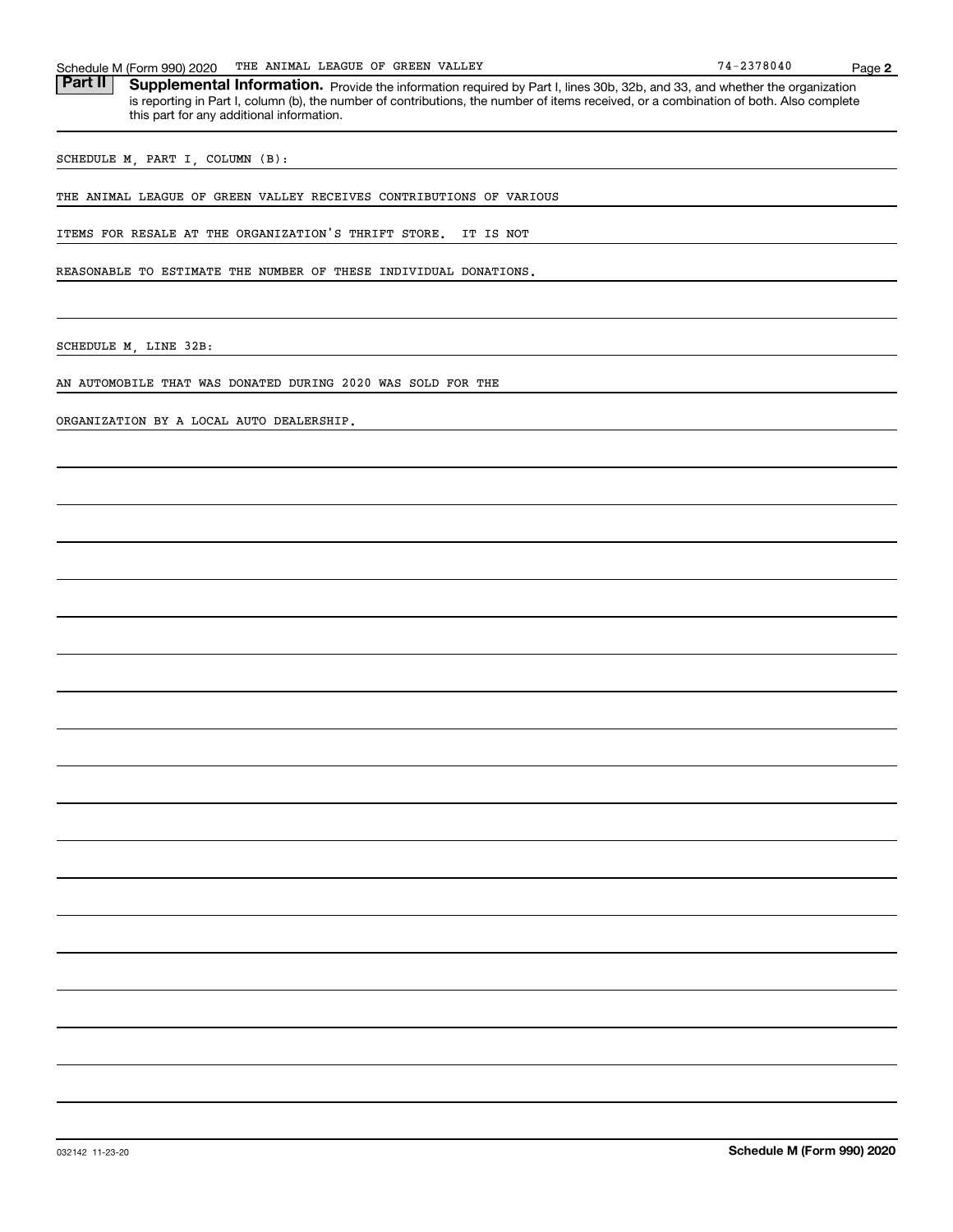| 990) 2020<br>Schedule M (<br>$-0.5$ | <b>GREEN VALLEY</b><br>OF<br>LEAGUE<br>THE<br>ANIMAI | $\overline{\phantom{a}}$ | Page |
|-------------------------------------|------------------------------------------------------|--------------------------|------|
| −                                   |                                                      |                          |      |

Part II | Supplemental Information. Provide the information required by Part I, lines 30b, 32b, and 33, and whether the organization is reporting in Part I, column (b), the number of contributions, the number of items received, or a combination of both. Also complete this part for any additional information.

SCHEDULE M, PART I, COLUMN (B):

THE ANIMAL LEAGUE OF GREEN VALLEY RECEIVES CONTRIBUTIONS OF VARIOUS

ITEMS FOR RESALE AT THE ORGANIZATION'S THRIFT STORE. IT IS NOT

REASONABLE TO ESTIMATE THE NUMBER OF THESE INDIVIDUAL DONATIONS.

SCHEDULE M, LINE 32B:

AN AUTOMOBILE THAT WAS DONATED DURING 2020 WAS SOLD FOR THE

ORGANIZATION BY A LOCAL AUTO DEALERSHIP.

**2**

 $74 - 2378040$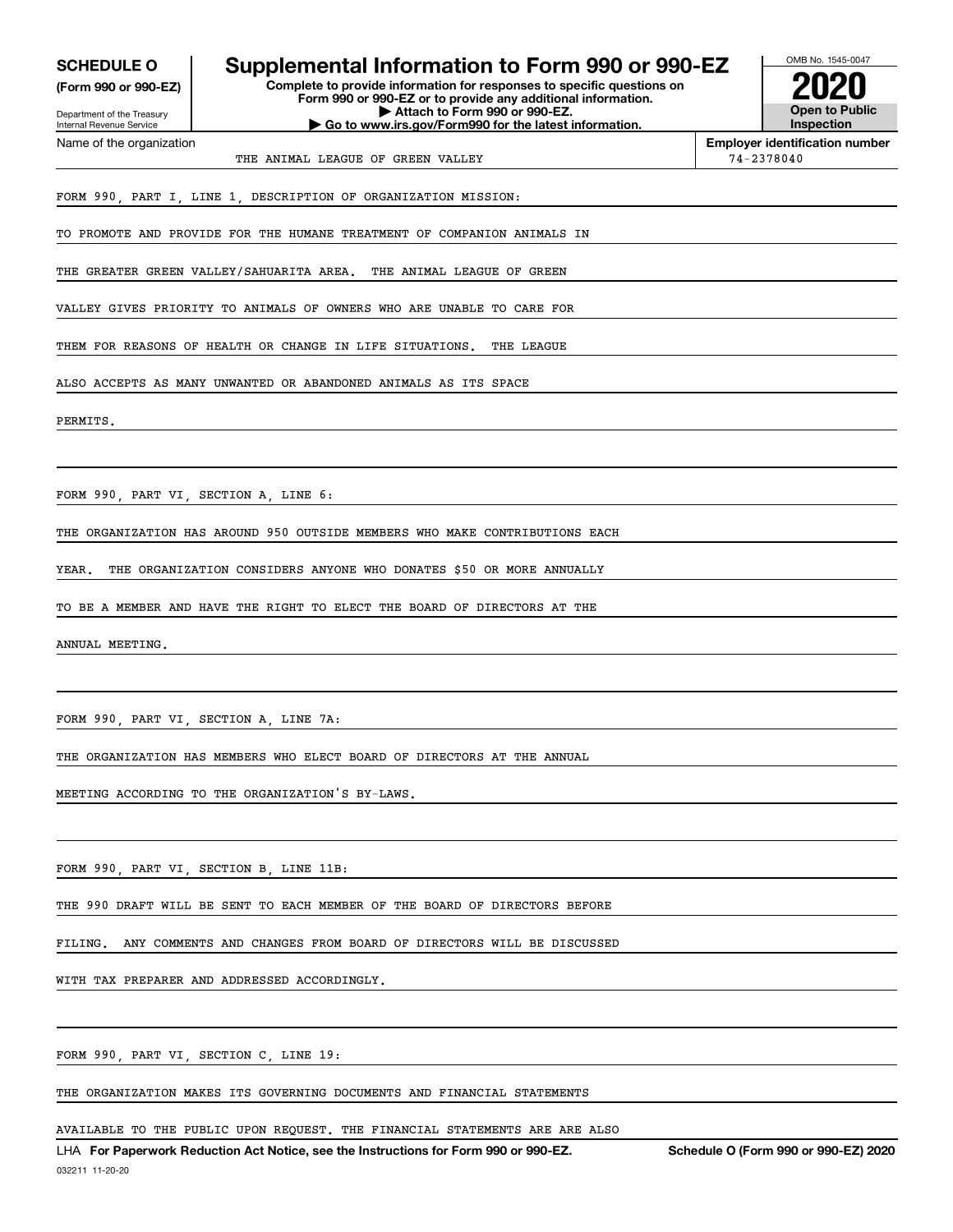| <b>SCHEDULE O</b> |  |
|-------------------|--|
|-------------------|--|

**(Form 990 or 990-EZ)**

Department of the Treasury Internal Revenue Service Name of the organization

## **Supplemental Information to Form 990 or 990-EZ**

**Complete to provide information for responses to specific questions on Form 990 or 990-EZ or to provide any additional information. | Attach to Form 990 or 990-EZ. | Go to www.irs.gov/Form990 for the latest information.**



**Employer identification number**

THE ANIMAL LEAGUE OF GREEN VALLEY **74-2378040** 

FORM 990, PART I, LINE 1, DESCRIPTION OF ORGANIZATION MISSION:

TO PROMOTE AND PROVIDE FOR THE HUMANE TREATMENT OF COMPANION ANIMALS IN

THE GREATER GREEN VALLEY/SAHUARITA AREA. THE ANIMAL LEAGUE OF GREEN

VALLEY GIVES PRIORITY TO ANIMALS OF OWNERS WHO ARE UNABLE TO CARE FOR

THEM FOR REASONS OF HEALTH OR CHANGE IN LIFE SITUATIONS. THE LEAGUE

ALSO ACCEPTS AS MANY UNWANTED OR ABANDONED ANIMALS AS ITS SPACE

PERMITS.

FORM 990, PART VI, SECTION A, LINE 6:

THE ORGANIZATION HAS AROUND 950 OUTSIDE MEMBERS WHO MAKE CONTRIBUTIONS EACH

YEAR. THE ORGANIZATION CONSIDERS ANYONE WHO DONATES \$50 OR MORE ANNUALLY

TO BE A MEMBER AND HAVE THE RIGHT TO ELECT THE BOARD OF DIRECTORS AT THE

ANNUAL MEETING.

FORM 990, PART VI, SECTION A, LINE 7A:

THE ORGANIZATION HAS MEMBERS WHO ELECT BOARD OF DIRECTORS AT THE ANNUAL

MEETING ACCORDING TO THE ORGANIZATION'S BY-LAWS.

FORM 990, PART VI, SECTION B, LINE 11B:

THE 990 DRAFT WILL BE SENT TO EACH MEMBER OF THE BOARD OF DIRECTORS BEFORE

FILING. ANY COMMENTS AND CHANGES FROM BOARD OF DIRECTORS WILL BE DISCUSSED

WITH TAX PREPARER AND ADDRESSED ACCORDINGLY.

FORM 990, PART VI, SECTION C, LINE 19:

THE ORGANIZATION MAKES ITS GOVERNING DOCUMENTS AND FINANCIAL STATEMENTS

AVAILABLE TO THE PUBLIC UPON REQUEST. THE FINANCIAL STATEMENTS ARE ARE ALSO

LHA For Paperwork Reduction Act Notice, see the Instructions for Form 990 or 990-EZ. Schedule O (Form 990 or 990-EZ) 2020